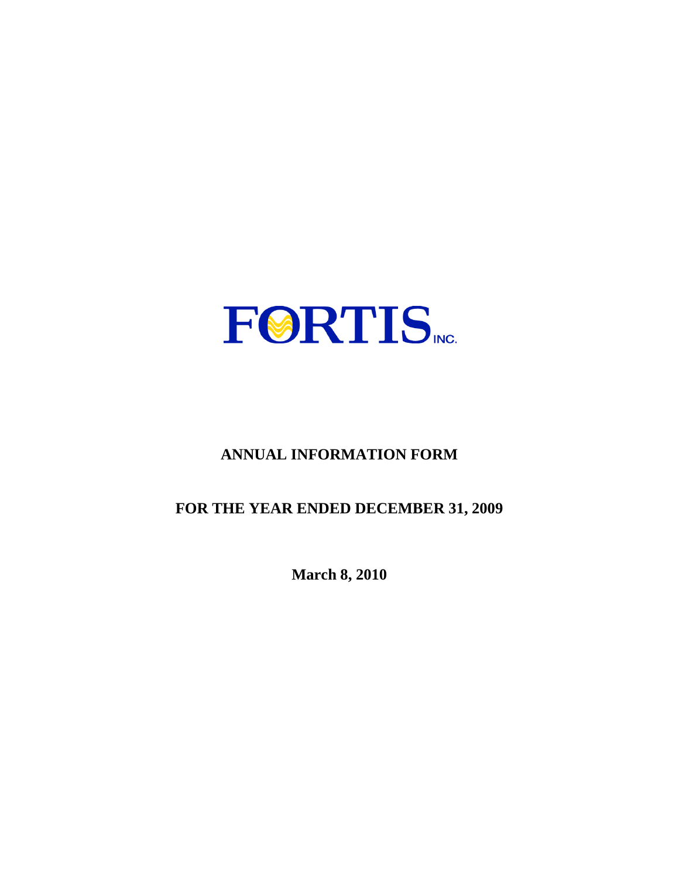

# **ANNUAL INFORMATION FORM**

# **FOR THE YEAR ENDED DECEMBER 31, 2009**

**March 8, 2010**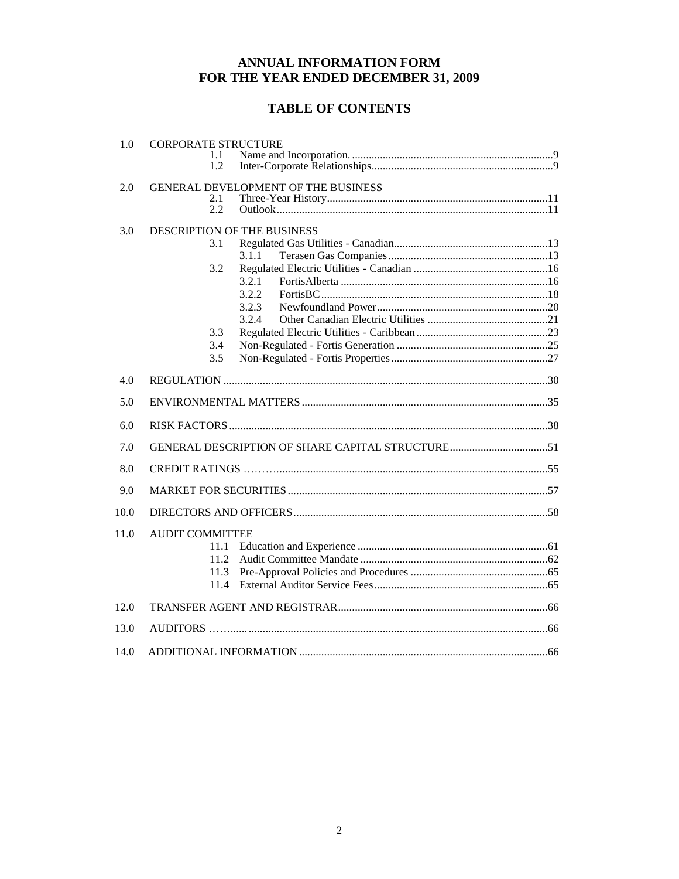## ANNUAL INFORMATION FORM FOR THE YEAR ENDED DECEMBER 31, 2009

# **TABLE OF CONTENTS**

| 1.0  | <b>CORPORATE STRUCTURE</b><br>1.1<br>1.2                                                                    |
|------|-------------------------------------------------------------------------------------------------------------|
| 2.0  | GENERAL DEVELOPMENT OF THE BUSINESS<br>2.1<br>2.2                                                           |
| 3.0  | DESCRIPTION OF THE BUSINESS<br>3.1<br>3.1.1<br>3.2<br>3.2.1<br>3.2.2<br>3.2.3<br>3.2.4<br>3.3<br>3.4<br>3.5 |
| 4.0  |                                                                                                             |
| 5.0  |                                                                                                             |
| 6.0  |                                                                                                             |
| 7.0  |                                                                                                             |
| 8.0  |                                                                                                             |
| 9.0  |                                                                                                             |
| 10.0 |                                                                                                             |
| 11.0 | <b>AUDIT COMMITTEE</b><br>11.1<br>11.2<br>11.3<br>11.4                                                      |
| 12.0 |                                                                                                             |
| 13.0 |                                                                                                             |
| 14.0 |                                                                                                             |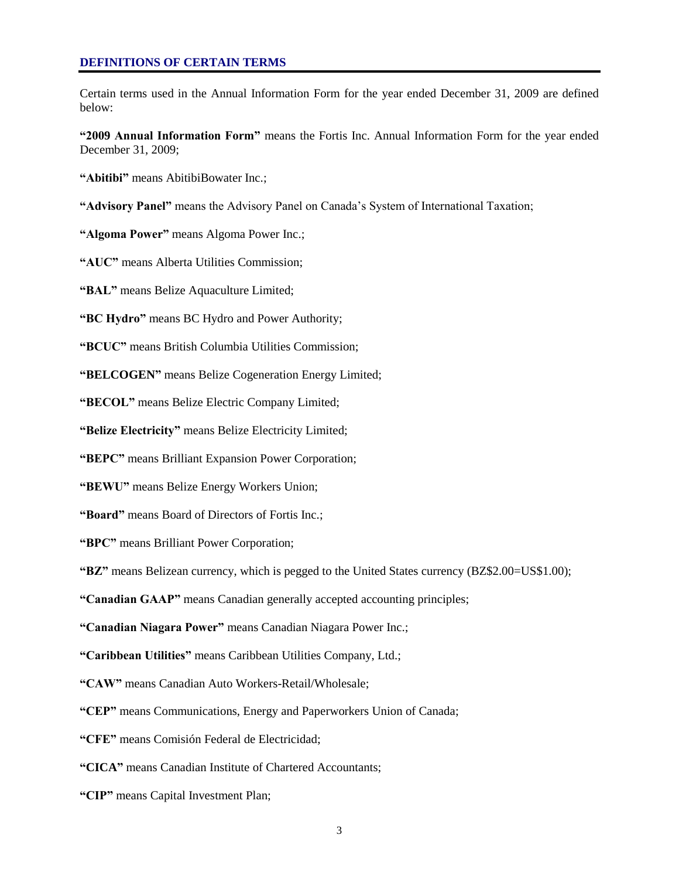Certain terms used in the Annual Information Form for the year ended December 31, 2009 are defined below:

**"2009 Annual Information Form"** means the Fortis Inc. Annual Information Form for the year ended December 31, 2009;

**"Abitibi"** means AbitibiBowater Inc.;

**"Advisory Panel"** means the Advisory Panel on Canada"s System of International Taxation;

**"Algoma Power"** means Algoma Power Inc.;

**"AUC"** means Alberta Utilities Commission;

**"BAL"** means Belize Aquaculture Limited;

**"BC Hydro"** means BC Hydro and Power Authority;

**"BCUC"** means British Columbia Utilities Commission;

**"BELCOGEN"** means Belize Cogeneration Energy Limited;

**"BECOL"** means Belize Electric Company Limited;

**"Belize Electricity"** means Belize Electricity Limited;

**"BEPC"** means Brilliant Expansion Power Corporation;

**"BEWU"** means Belize Energy Workers Union;

**"Board"** means Board of Directors of Fortis Inc.;

**"BPC"** means Brilliant Power Corporation;

**"BZ"** means Belizean currency, which is pegged to the United States currency (BZ\$2.00=US\$1.00);

**"Canadian GAAP"** means Canadian generally accepted accounting principles;

**"Canadian Niagara Power"** means Canadian Niagara Power Inc.;

**"Caribbean Utilities"** means Caribbean Utilities Company, Ltd.;

**"CAW"** means Canadian Auto Workers-Retail/Wholesale;

**"CEP"** means Communications, Energy and Paperworkers Union of Canada;

**"CFE"** means Comisión Federal de Electricidad;

**"CICA"** means Canadian Institute of Chartered Accountants;

**"CIP"** means Capital Investment Plan;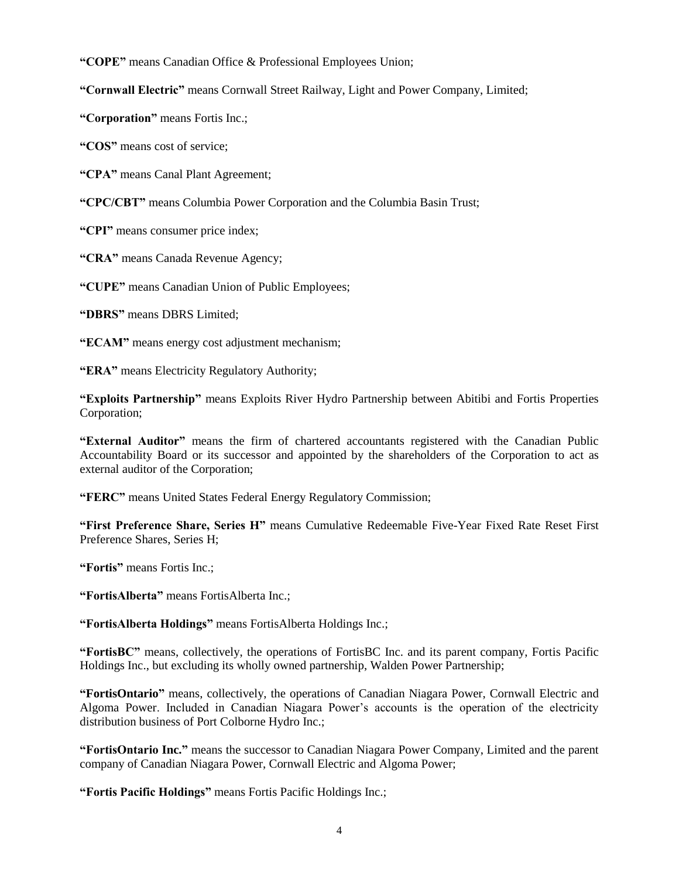**"COPE"** means Canadian Office & Professional Employees Union;

**"Cornwall Electric"** means Cornwall Street Railway, Light and Power Company, Limited;

**"Corporation"** means Fortis Inc.;

**"COS"** means cost of service;

**"CPA"** means Canal Plant Agreement;

**"CPC/CBT"** means Columbia Power Corporation and the Columbia Basin Trust;

**"CPI"** means consumer price index;

**"CRA"** means Canada Revenue Agency;

**"CUPE"** means Canadian Union of Public Employees;

**"DBRS"** means DBRS Limited;

**"ECAM"** means energy cost adjustment mechanism;

**"ERA"** means Electricity Regulatory Authority;

**"Exploits Partnership"** means Exploits River Hydro Partnership between Abitibi and Fortis Properties Corporation;

**"External Auditor"** means the firm of chartered accountants registered with the Canadian Public Accountability Board or its successor and appointed by the shareholders of the Corporation to act as external auditor of the Corporation;

**"FERC"** means United States Federal Energy Regulatory Commission;

**"First Preference Share, Series H"** means Cumulative Redeemable Five-Year Fixed Rate Reset First Preference Shares, Series H;

**"Fortis"** means Fortis Inc.;

**"FortisAlberta"** means FortisAlberta Inc.;

**"FortisAlberta Holdings"** means FortisAlberta Holdings Inc.;

**"FortisBC"** means, collectively, the operations of FortisBC Inc. and its parent company, Fortis Pacific Holdings Inc., but excluding its wholly owned partnership, Walden Power Partnership;

**"FortisOntario"** means, collectively, the operations of Canadian Niagara Power, Cornwall Electric and Algoma Power. Included in Canadian Niagara Power"s accounts is the operation of the electricity distribution business of Port Colborne Hydro Inc.;

**"FortisOntario Inc."** means the successor to Canadian Niagara Power Company, Limited and the parent company of Canadian Niagara Power, Cornwall Electric and Algoma Power;

**"Fortis Pacific Holdings"** means Fortis Pacific Holdings Inc.;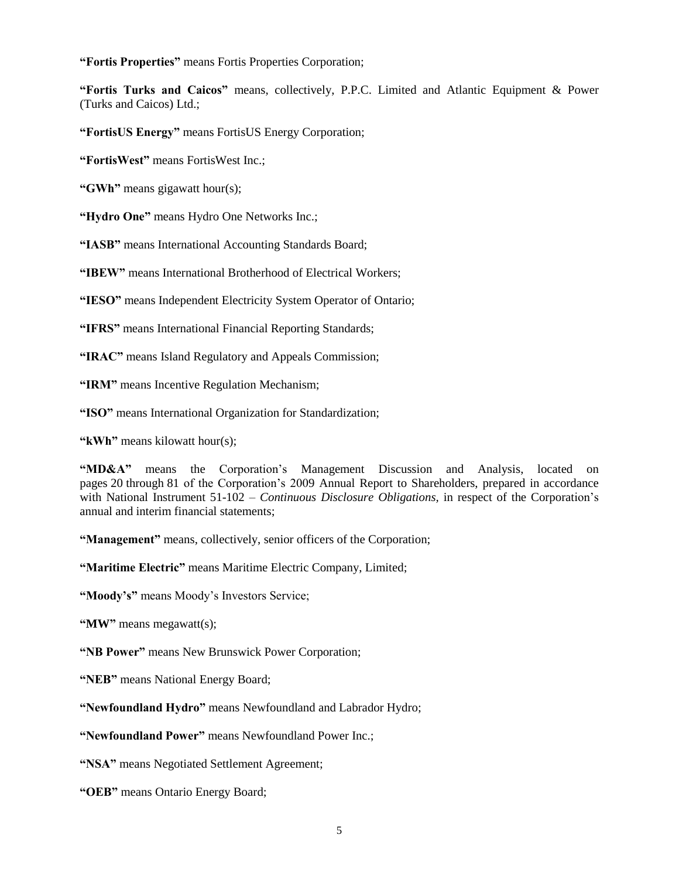**"Fortis Properties"** means Fortis Properties Corporation;

**"Fortis Turks and Caicos"** means, collectively, P.P.C. Limited and Atlantic Equipment & Power (Turks and Caicos) Ltd.;

**"FortisUS Energy"** means FortisUS Energy Corporation;

**"FortisWest"** means FortisWest Inc.;

**"GWh"** means gigawatt hour(s);

**"Hydro One"** means Hydro One Networks Inc.;

**"IASB"** means International Accounting Standards Board;

**"IBEW"** means International Brotherhood of Electrical Workers;

**"IESO"** means Independent Electricity System Operator of Ontario;

**"IFRS"** means International Financial Reporting Standards;

**"IRAC"** means Island Regulatory and Appeals Commission;

**"IRM"** means Incentive Regulation Mechanism;

**"ISO"** means International Organization for Standardization;

**"kWh"** means kilowatt hour(s);

**"MD&A"** means the Corporation"s Management Discussion and Analysis, located on pages 20 through 81 of the Corporation"s 2009 Annual Report to Shareholders, prepared in accordance with National Instrument 51-102 – *Continuous Disclosure Obligations,* in respect of the Corporation"s annual and interim financial statements;

**"Management"** means, collectively, senior officers of the Corporation;

**"Maritime Electric"** means Maritime Electric Company, Limited;

**"Moody's"** means Moody"s Investors Service;

**"MW"** means megawatt(s);

**"NB Power"** means New Brunswick Power Corporation;

**"NEB"** means National Energy Board;

**"Newfoundland Hydro"** means Newfoundland and Labrador Hydro;

**"Newfoundland Power"** means Newfoundland Power Inc.;

**"NSA"** means Negotiated Settlement Agreement;

**"OEB"** means Ontario Energy Board;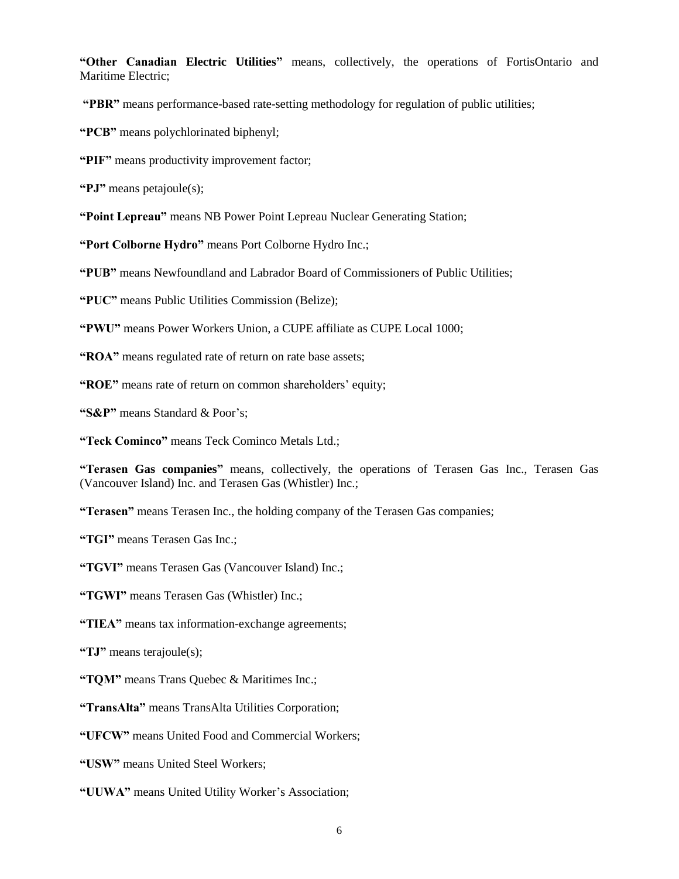**"Other Canadian Electric Utilities"** means, collectively, the operations of FortisOntario and Maritime Electric;

**"PBR"** means performance-based rate-setting methodology for regulation of public utilities;

**"PCB"** means polychlorinated biphenyl;

**"PIF"** means productivity improvement factor;

**"PJ"** means petajoule(s);

**"Point Lepreau"** means NB Power Point Lepreau Nuclear Generating Station;

**"Port Colborne Hydro"** means Port Colborne Hydro Inc.;

**"PUB"** means Newfoundland and Labrador Board of Commissioners of Public Utilities;

**"PUC"** means Public Utilities Commission (Belize);

**"PWU"** means Power Workers Union, a CUPE affiliate as CUPE Local 1000;

**"ROA"** means regulated rate of return on rate base assets;

"ROE" means rate of return on common shareholders' equity;

**"S&P"** means Standard & Poor's;

**"Teck Cominco"** means Teck Cominco Metals Ltd.;

**"Terasen Gas companies"** means, collectively, the operations of Terasen Gas Inc., Terasen Gas (Vancouver Island) Inc. and Terasen Gas (Whistler) Inc.;

**"Terasen"** means Terasen Inc., the holding company of the Terasen Gas companies;

**"TGI"** means Terasen Gas Inc.;

**"TGVI"** means Terasen Gas (Vancouver Island) Inc.;

**"TGWI"** means Terasen Gas (Whistler) Inc.;

**"TIEA"** means tax information-exchange agreements;

**"TJ"** means terajoule(s);

**"TQM"** means Trans Quebec & Maritimes Inc.;

**"TransAlta"** means TransAlta Utilities Corporation;

**"UFCW"** means United Food and Commercial Workers;

**"USW"** means United Steel Workers;

**"UUWA"** means United Utility Worker"s Association;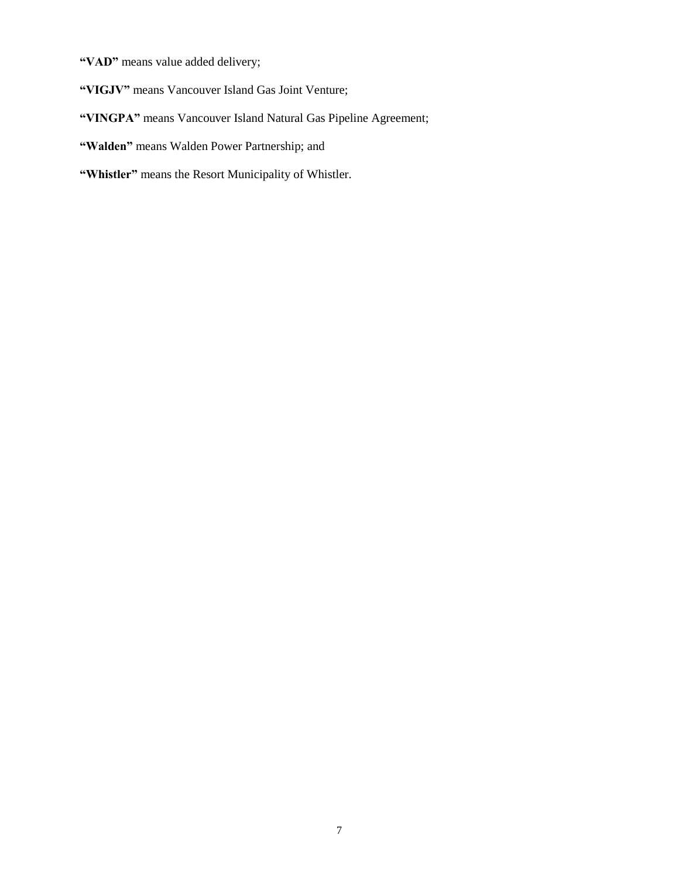**"VAD"** means value added delivery;

**"VIGJV"** means Vancouver Island Gas Joint Venture;

## **"VINGPA"** means Vancouver Island Natural Gas Pipeline Agreement;

**"Walden"** means Walden Power Partnership; and

**"Whistler"** means the Resort Municipality of Whistler.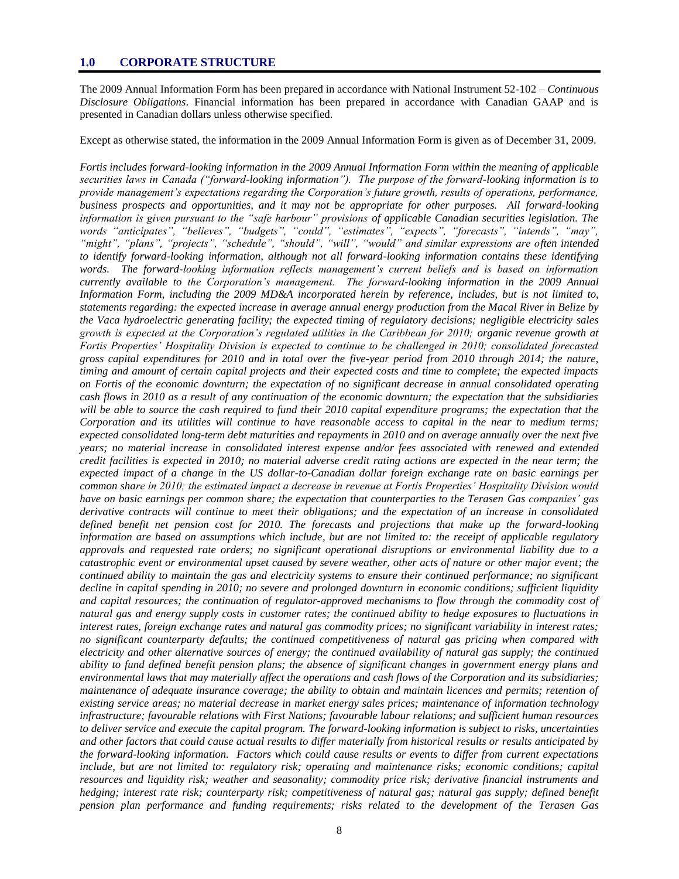The 2009 Annual Information Form has been prepared in accordance with National Instrument 52-102 – *Continuous Disclosure Obligations*. Financial information has been prepared in accordance with Canadian GAAP and is presented in Canadian dollars unless otherwise specified.

Except as otherwise stated, the information in the 2009 Annual Information Form is given as of December 31, 2009.

*Fortis includes forward-looking information in the 2009 Annual Information Form within the meaning of applicable securities laws in Canada ("forward-looking information"). The purpose of the forward-looking information is to provide management's expectations regarding the Corporation's future growth, results of operations, performance, business prospects and opportunities, and it may not be appropriate for other purposes. All forward-looking information is given pursuant to the "safe harbour" provisions of applicable Canadian securities legislation. The words "anticipates", "believes", "budgets", "could", "estimates", "expects", "forecasts", "intends", "may", "might", "plans", "projects", "schedule", "should", "will", "would" and similar expressions are often intended to identify forward-looking information, although not all forward-looking information contains these identifying words. The forward-looking information reflects management's current beliefs and is based on information currently available to the Corporation's management. The forward-looking information in the 2009 Annual Information Form, including the 2009 MD&A incorporated herein by reference, includes, but is not limited to, statements regarding: the expected increase in average annual energy production from the Macal River in Belize by the Vaca hydroelectric generating facility; the expected timing of regulatory decisions; negligible electricity sales growth is expected at the Corporation's regulated utilities in the Caribbean for 2010; organic revenue growth at Fortis Properties' Hospitality Division is expected to continue to be challenged in 2010; consolidated forecasted gross capital expenditures for 2010 and in total over the five-year period from 2010 through 2014; the nature, timing and amount of certain capital projects and their expected costs and time to complete; the expected impacts on Fortis of the economic downturn; the expectation of no significant decrease in annual consolidated operating cash flows in 2010 as a result of any continuation of the economic downturn; the expectation that the subsidiaries will be able to source the cash required to fund their 2010 capital expenditure programs; the expectation that the Corporation and its utilities will continue to have reasonable access to capital in the near to medium terms; expected consolidated long-term debt maturities and repayments in 2010 and on average annually over the next five years; no material increase in consolidated interest expense and/or fees associated with renewed and extended credit facilities is expected in 2010; no material adverse credit rating actions are expected in the near term; the expected impact of a change in the US dollar-to-Canadian dollar foreign exchange rate on basic earnings per common share in 2010; the estimated impact a decrease in revenue at Fortis Properties' Hospitality Division would have on basic earnings per common share; the expectation that counterparties to the Terasen Gas companies' gas derivative contracts will continue to meet their obligations; and the expectation of an increase in consolidated defined benefit net pension cost for 2010. The forecasts and projections that make up the forward-looking information are based on assumptions which include, but are not limited to: the receipt of applicable regulatory approvals and requested rate orders; no significant operational disruptions or environmental liability due to a catastrophic event or environmental upset caused by severe weather, other acts of nature or other major event; the continued ability to maintain the gas and electricity systems to ensure their continued performance; no significant decline in capital spending in 2010; no severe and prolonged downturn in economic conditions; sufficient liquidity*  and capital resources; the continuation of regulator-approved mechanisms to flow through the commodity cost of *natural gas and energy supply costs in customer rates; the continued ability to hedge exposures to fluctuations in interest rates, foreign exchange rates and natural gas commodity prices; no significant variability in interest rates; no significant counterparty defaults; the continued competitiveness of natural gas pricing when compared with electricity and other alternative sources of energy; the continued availability of natural gas supply; the continued ability to fund defined benefit pension plans; the absence of significant changes in government energy plans and environmental laws that may materially affect the operations and cash flows of the Corporation and its subsidiaries; maintenance of adequate insurance coverage; the ability to obtain and maintain licences and permits; retention of existing service areas; no material decrease in market energy sales prices; maintenance of information technology infrastructure; favourable relations with First Nations; favourable labour relations; and sufficient human resources to deliver service and execute the capital program. The forward-looking information is subject to risks, uncertainties and other factors that could cause actual results to differ materially from historical results or results anticipated by the forward-looking information. Factors which could cause results or events to differ from current expectations include, but are not limited to: regulatory risk; operating and maintenance risks; economic conditions; capital resources and liquidity risk; weather and seasonality; commodity price risk; derivative financial instruments and hedging; interest rate risk; counterparty risk; competitiveness of natural gas; natural gas supply; defined benefit pension plan performance and funding requirements; risks related to the development of the Terasen Gas*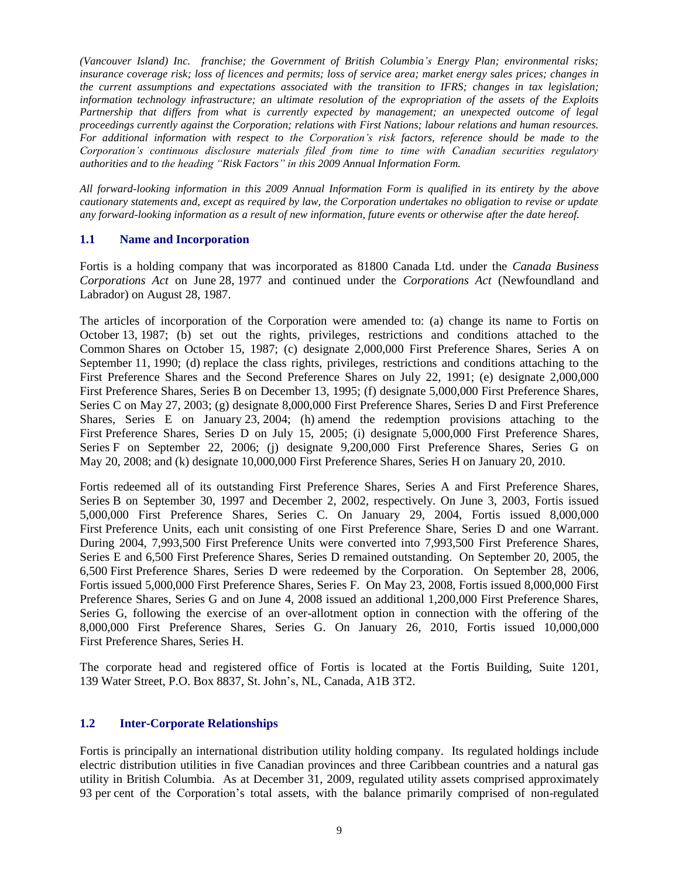*(Vancouver Island) Inc. franchise; the Government of British Columbia's Energy Plan; environmental risks; insurance coverage risk; loss of licences and permits; loss of service area; market energy sales prices; changes in the current assumptions and expectations associated with the transition to IFRS; changes in tax legislation; information technology infrastructure; an ultimate resolution of the expropriation of the assets of the Exploits Partnership that differs from what is currently expected by management; an unexpected outcome of legal proceedings currently against the Corporation; relations with First Nations; labour relations and human resources. For additional information with respect to the Corporation's risk factors, reference should be made to the Corporation's continuous disclosure materials filed from time to time with Canadian securities regulatory authorities and to the heading "Risk Factors" in this 2009 Annual Information Form.* 

*All forward-looking information in this 2009 Annual Information Form is qualified in its entirety by the above cautionary statements and, except as required by law, the Corporation undertakes no obligation to revise or update any forward-looking information as a result of new information, future events or otherwise after the date hereof.*

#### **1.1 Name and Incorporation**

Fortis is a holding company that was incorporated as 81800 Canada Ltd. under the *Canada Business Corporations Act* on June 28, 1977 and continued under the *Corporations Act* (Newfoundland and Labrador) on August 28, 1987.

The articles of incorporation of the Corporation were amended to: (a) change its name to Fortis on October 13, 1987; (b) set out the rights, privileges, restrictions and conditions attached to the Common Shares on October 15, 1987; (c) designate 2,000,000 First Preference Shares, Series A on September 11, 1990; (d) replace the class rights, privileges, restrictions and conditions attaching to the First Preference Shares and the Second Preference Shares on July 22, 1991; (e) designate 2,000,000 First Preference Shares, Series B on December 13, 1995; (f) designate 5,000,000 First Preference Shares, Series C on May 27, 2003; (g) designate 8,000,000 First Preference Shares, Series D and First Preference Shares, Series E on January 23, 2004; (h) amend the redemption provisions attaching to the First Preference Shares, Series D on July 15, 2005; (i) designate 5,000,000 First Preference Shares, Series F on September 22, 2006; (j) designate 9,200,000 First Preference Shares, Series G on May 20, 2008; and (k) designate 10,000,000 First Preference Shares, Series H on January 20, 2010.

Fortis redeemed all of its outstanding First Preference Shares, Series A and First Preference Shares, Series B on September 30, 1997 and December 2, 2002, respectively. On June 3, 2003, Fortis issued 5,000,000 First Preference Shares, Series C. On January 29, 2004, Fortis issued 8,000,000 First Preference Units, each unit consisting of one First Preference Share, Series D and one Warrant. During 2004, 7,993,500 First Preference Units were converted into 7,993,500 First Preference Shares, Series E and 6,500 First Preference Shares, Series D remained outstanding. On September 20, 2005, the 6,500 First Preference Shares, Series D were redeemed by the Corporation. On September 28, 2006, Fortis issued 5,000,000 First Preference Shares, Series F. On May 23, 2008, Fortis issued 8,000,000 First Preference Shares, Series G and on June 4, 2008 issued an additional 1,200,000 First Preference Shares, Series G, following the exercise of an over-allotment option in connection with the offering of the 8,000,000 First Preference Shares, Series G. On January 26, 2010, Fortis issued 10,000,000 First Preference Shares, Series H.

The corporate head and registered office of Fortis is located at the Fortis Building, Suite 1201, 139 Water Street, P.O. Box 8837, St. John"s, NL, Canada, A1B 3T2.

## **1.2 Inter-Corporate Relationships**

Fortis is principally an international distribution utility holding company. Its regulated holdings include electric distribution utilities in five Canadian provinces and three Caribbean countries and a natural gas utility in British Columbia. As at December 31, 2009, regulated utility assets comprised approximately 93 per cent of the Corporation"s total assets, with the balance primarily comprised of non-regulated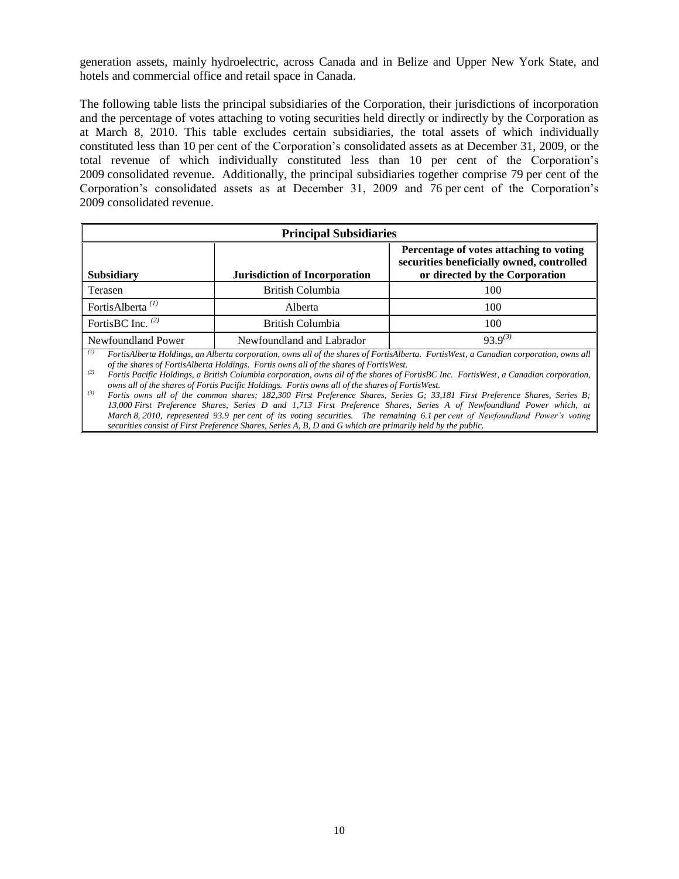generation assets, mainly hydroelectric, across Canada and in Belize and Upper New York State, and hotels and commercial office and retail space in Canada.

The following table lists the principal subsidiaries of the Corporation, their jurisdictions of incorporation and the percentage of votes attaching to voting securities held directly or indirectly by the Corporation as at March 8, 2010. This table excludes certain subsidiaries, the total assets of which individually constituted less than 10 per cent of the Corporation"s consolidated assets as at December 31, 2009, or the total revenue of which individually constituted less than 10 per cent of the Corporation"s 2009 consolidated revenue. Additionally, the principal subsidiaries together comprise 79 per cent of the Corporation"s consolidated assets as at December 31, 2009 and 76 per cent of the Corporation"s 2009 consolidated revenue.

| <b>Principal Subsidiaries</b> |                                                                                                                        |              |  |  |
|-------------------------------|------------------------------------------------------------------------------------------------------------------------|--------------|--|--|
| <b>Subsidiary</b>             | Percentage of votes attaching to voting<br>securities beneficially owned, controlled<br>or directed by the Corporation |              |  |  |
| Terasen                       | British Columbia                                                                                                       | 100          |  |  |
| FortisAlberta <sup>(1)</sup>  | Alberta                                                                                                                | 100          |  |  |
| FortisBC Inc. $(2)$           | British Columbia                                                                                                       | 100          |  |  |
| Newfoundland Power            | Newfoundland and Labrador                                                                                              | $93.9^{(3)}$ |  |  |

*(1) FortisAlberta Holdings, an Alberta corporation, owns all of the shares of FortisAlberta. FortisWest, a Canadian corporation, owns all of the shares of FortisAlberta Holdings. Fortis owns all of the shares of FortisWest.*

*(2) Fortis Pacific Holdings, a British Columbia corporation, owns all of the shares of FortisBC Inc. FortisWest, a Canadian corporation, owns all of the shares of Fortis Pacific Holdings. Fortis owns all of the shares of FortisWest.*

*(3) Fortis owns all of the common shares; 182,300 First Preference Shares, Series G; 33,181 First Preference Shares, Series B; 13,000 First Preference Shares, Series D and 1,713 First Preference Shares, Series A of Newfoundland Power which, at March 8, 2010, represented 93.9 per cent of its voting securities. The remaining 6.1 per cent of Newfoundland Power's voting securities consist of First Preference Shares, Series A, B, D and G which are primarily held by the public.*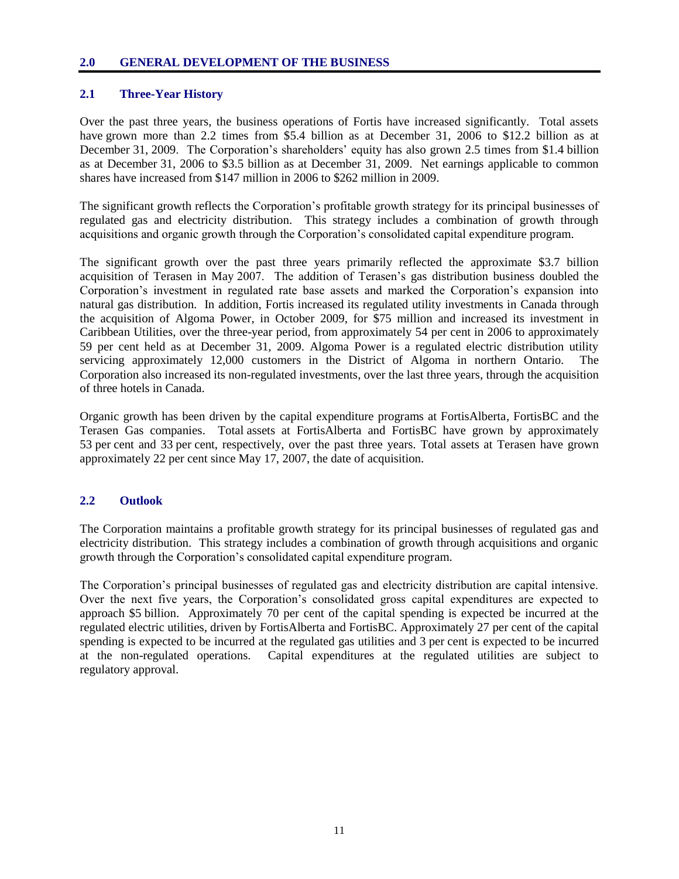#### **2.0 GENERAL DEVELOPMENT OF THE BUSINESS**

## **2.1 Three-Year History**

Over the past three years, the business operations of Fortis have increased significantly. Total assets have grown more than 2.2 times from \$5.4 billion as at December 31, 2006 to \$12.2 billion as at December 31, 2009. The Corporation's shareholders' equity has also grown 2.5 times from \$1.4 billion as at December 31, 2006 to \$3.5 billion as at December 31, 2009. Net earnings applicable to common shares have increased from \$147 million in 2006 to \$262 million in 2009.

The significant growth reflects the Corporation"s profitable growth strategy for its principal businesses of regulated gas and electricity distribution. This strategy includes a combination of growth through acquisitions and organic growth through the Corporation"s consolidated capital expenditure program.

The significant growth over the past three years primarily reflected the approximate \$3.7 billion acquisition of Terasen in May 2007. The addition of Terasen"s gas distribution business doubled the Corporation"s investment in regulated rate base assets and marked the Corporation"s expansion into natural gas distribution. In addition, Fortis increased its regulated utility investments in Canada through the acquisition of Algoma Power, in October 2009, for \$75 million and increased its investment in Caribbean Utilities, over the three-year period, from approximately 54 per cent in 2006 to approximately 59 per cent held as at December 31, 2009. Algoma Power is a regulated electric distribution utility servicing approximately 12,000 customers in the District of Algoma in northern Ontario. The Corporation also increased its non-regulated investments, over the last three years, through the acquisition of three hotels in Canada.

Organic growth has been driven by the capital expenditure programs at FortisAlberta, FortisBC and the Terasen Gas companies. Total assets at FortisAlberta and FortisBC have grown by approximately 53 per cent and 33 per cent, respectively, over the past three years. Total assets at Terasen have grown approximately 22 per cent since May 17, 2007, the date of acquisition.

## **2.2 Outlook**

The Corporation maintains a profitable growth strategy for its principal businesses of regulated gas and electricity distribution. This strategy includes a combination of growth through acquisitions and organic growth through the Corporation"s consolidated capital expenditure program.

The Corporation"s principal businesses of regulated gas and electricity distribution are capital intensive. Over the next five years, the Corporation"s consolidated gross capital expenditures are expected to approach \$5 billion. Approximately 70 per cent of the capital spending is expected be incurred at the regulated electric utilities, driven by FortisAlberta and FortisBC. Approximately 27 per cent of the capital spending is expected to be incurred at the regulated gas utilities and 3 per cent is expected to be incurred at the non-regulated operations. Capital expenditures at the regulated utilities are subject to regulatory approval.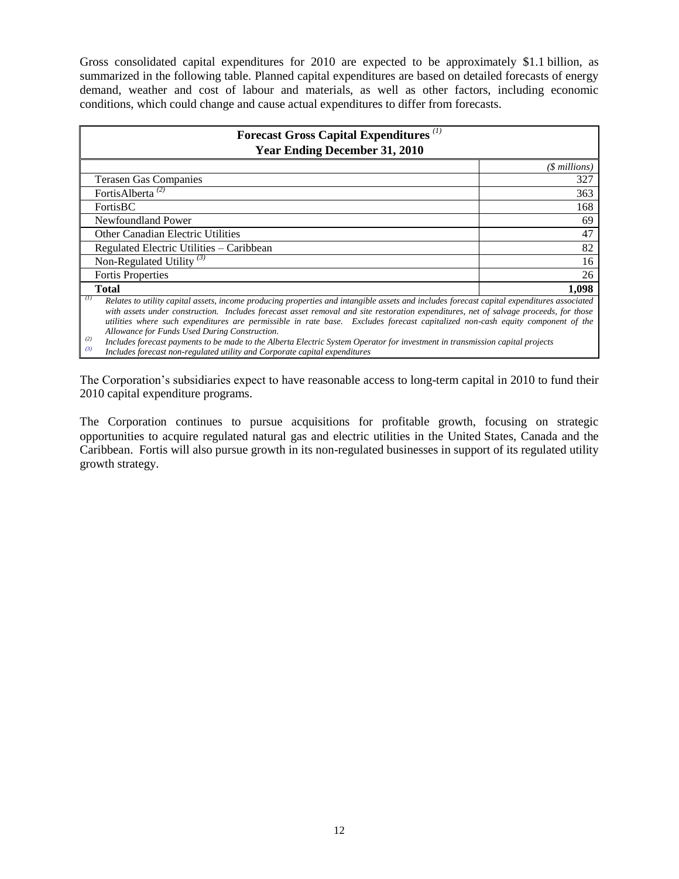Gross consolidated capital expenditures for 2010 are expected to be approximately \$1.1 billion, as summarized in the following table. Planned capital expenditures are based on detailed forecasts of energy demand, weather and cost of labour and materials, as well as other factors, including economic conditions, which could change and cause actual expenditures to differ from forecasts.

| Forecast Gross Capital Expenditures <sup>(1)</sup><br><b>Year Ending December 31, 2010</b>                                                                                                                                                                                                                                                                                                                                                                                                                                                                                                                                                                                                                 |               |  |  |  |
|------------------------------------------------------------------------------------------------------------------------------------------------------------------------------------------------------------------------------------------------------------------------------------------------------------------------------------------------------------------------------------------------------------------------------------------------------------------------------------------------------------------------------------------------------------------------------------------------------------------------------------------------------------------------------------------------------------|---------------|--|--|--|
|                                                                                                                                                                                                                                                                                                                                                                                                                                                                                                                                                                                                                                                                                                            | (\$ millions) |  |  |  |
| <b>Terasen Gas Companies</b>                                                                                                                                                                                                                                                                                                                                                                                                                                                                                                                                                                                                                                                                               | 327           |  |  |  |
| FortisAlberta <sup>(2)</sup>                                                                                                                                                                                                                                                                                                                                                                                                                                                                                                                                                                                                                                                                               | 363           |  |  |  |
| <b>FortisBC</b>                                                                                                                                                                                                                                                                                                                                                                                                                                                                                                                                                                                                                                                                                            | 168           |  |  |  |
| Newfoundland Power                                                                                                                                                                                                                                                                                                                                                                                                                                                                                                                                                                                                                                                                                         |               |  |  |  |
| <b>Other Canadian Electric Utilities</b>                                                                                                                                                                                                                                                                                                                                                                                                                                                                                                                                                                                                                                                                   |               |  |  |  |
| Regulated Electric Utilities - Caribbean                                                                                                                                                                                                                                                                                                                                                                                                                                                                                                                                                                                                                                                                   |               |  |  |  |
| Non-Regulated Utility <sup>(3)</sup>                                                                                                                                                                                                                                                                                                                                                                                                                                                                                                                                                                                                                                                                       | 16            |  |  |  |
| <b>Fortis Properties</b>                                                                                                                                                                                                                                                                                                                                                                                                                                                                                                                                                                                                                                                                                   | 26            |  |  |  |
| <b>Total</b>                                                                                                                                                                                                                                                                                                                                                                                                                                                                                                                                                                                                                                                                                               | 1,098         |  |  |  |
| (1)<br>Relates to utility capital assets, income producing properties and intangible assets and includes forecast capital expenditures associated<br>with assets under construction. Includes forecast asset removal and site restoration expenditures, net of salvage proceeds, for those<br>utilities where such expenditures are permissible in rate base. Excludes forecast capitalized non-cash equity component of the<br>Allowance for Funds Used During Construction.<br>(2)<br>Includes forecast payments to be made to the Alberta Electric System Operator for investment in transmission capital projects<br>(3)<br>Includes forecast non-regulated utility and Corporate capital expenditures |               |  |  |  |

The Corporation"s subsidiaries expect to have reasonable access to long-term capital in 2010 to fund their 2010 capital expenditure programs.

The Corporation continues to pursue acquisitions for profitable growth, focusing on strategic opportunities to acquire regulated natural gas and electric utilities in the United States, Canada and the Caribbean. Fortis will also pursue growth in its non-regulated businesses in support of its regulated utility growth strategy.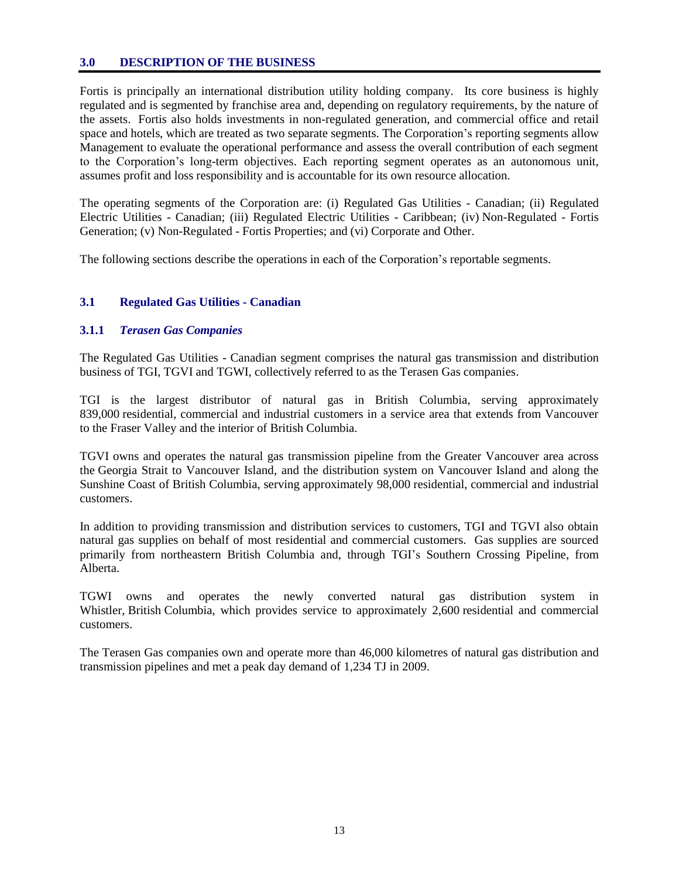#### **3.0 DESCRIPTION OF THE BUSINESS**

Fortis is principally an international distribution utility holding company. Its core business is highly regulated and is segmented by franchise area and, depending on regulatory requirements, by the nature of the assets. Fortis also holds investments in non-regulated generation, and commercial office and retail space and hotels, which are treated as two separate segments. The Corporation"s reporting segments allow Management to evaluate the operational performance and assess the overall contribution of each segment to the Corporation"s long-term objectives. Each reporting segment operates as an autonomous unit, assumes profit and loss responsibility and is accountable for its own resource allocation.

The operating segments of the Corporation are: (i) Regulated Gas Utilities - Canadian; (ii) Regulated Electric Utilities - Canadian; (iii) Regulated Electric Utilities - Caribbean; (iv) Non-Regulated - Fortis Generation; (v) Non-Regulated - Fortis Properties; and (vi) Corporate and Other.

The following sections describe the operations in each of the Corporation"s reportable segments.

#### **3.1 Regulated Gas Utilities - Canadian**

#### **3.1.1** *Terasen Gas Companies*

The Regulated Gas Utilities - Canadian segment comprises the natural gas transmission and distribution business of TGI, TGVI and TGWI, collectively referred to as the Terasen Gas companies.

TGI is the largest distributor of natural gas in British Columbia, serving approximately 839,000 residential, commercial and industrial customers in a service area that extends from Vancouver to the Fraser Valley and the interior of British Columbia.

TGVI owns and operates the natural gas transmission pipeline from the Greater Vancouver area across the Georgia Strait to Vancouver Island, and the distribution system on Vancouver Island and along the Sunshine Coast of British Columbia, serving approximately 98,000 residential, commercial and industrial customers.

In addition to providing transmission and distribution services to customers, TGI and TGVI also obtain natural gas supplies on behalf of most residential and commercial customers. Gas supplies are sourced primarily from northeastern British Columbia and, through TGI"s Southern Crossing Pipeline, from Alberta.

TGWI owns and operates the newly converted natural gas distribution system in Whistler, British Columbia, which provides service to approximately 2,600 residential and commercial customers.

The Terasen Gas companies own and operate more than 46,000 kilometres of natural gas distribution and transmission pipelines and met a peak day demand of 1,234 TJ in 2009.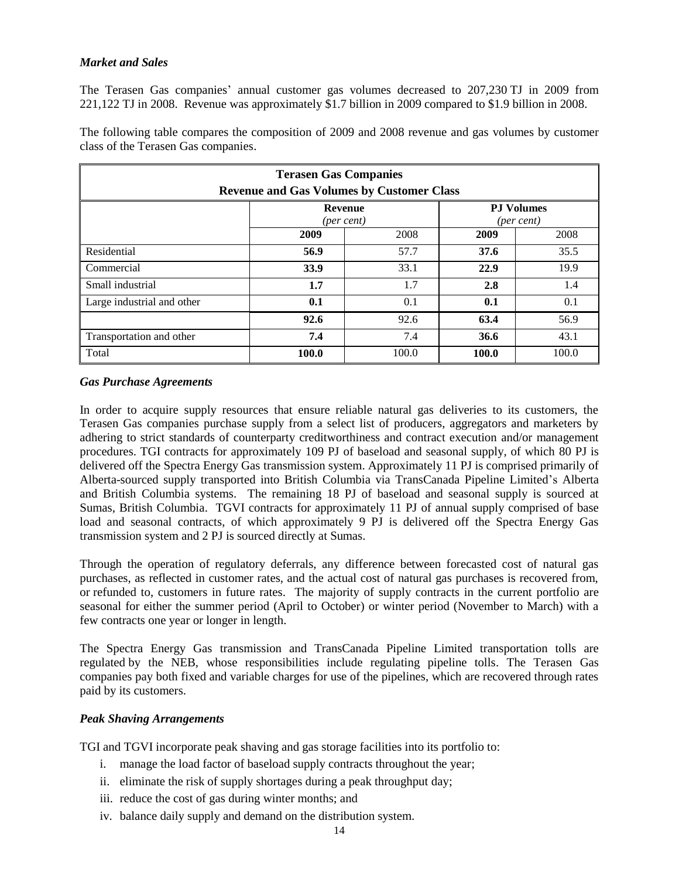#### *Market and Sales*

The Terasen Gas companies" annual customer gas volumes decreased to 207,230 TJ in 2009 from 221,122 TJ in 2008. Revenue was approximately \$1.7 billion in 2009 compared to \$1.9 billion in 2008.

The following table compares the composition of 2009 and 2008 revenue and gas volumes by customer class of the Terasen Gas companies.

| <b>Terasen Gas Companies</b><br><b>Revenue and Gas Volumes by Customer Class</b> |         |       |       |       |  |  |
|----------------------------------------------------------------------------------|---------|-------|-------|-------|--|--|
| <b>PJ Volumes</b><br><b>Revenue</b><br>(per cent)<br>(per cent)                  |         |       |       |       |  |  |
|                                                                                  | 2009    | 2008  | 2009  | 2008  |  |  |
| Residential                                                                      | 56.9    | 57.7  | 37.6  | 35.5  |  |  |
| Commercial                                                                       | 33.9    | 33.1  | 22.9  | 19.9  |  |  |
| Small industrial                                                                 | $1.7\,$ | 1.7   | 2.8   | 1.4   |  |  |
| Large industrial and other<br>0.1<br>0.1<br>0.1<br>0.1                           |         |       |       |       |  |  |
| 56.9<br>92.6<br>92.6<br>63.4                                                     |         |       |       |       |  |  |
| 7.4<br>7.4<br>36.6<br>Transportation and other                                   |         |       |       |       |  |  |
| Total                                                                            | 100.0   | 100.0 | 100.0 | 100.0 |  |  |

#### *Gas Purchase Agreements*

In order to acquire supply resources that ensure reliable natural gas deliveries to its customers, the Terasen Gas companies purchase supply from a select list of producers, aggregators and marketers by adhering to strict standards of counterparty creditworthiness and contract execution and/or management procedures. TGI contracts for approximately 109 PJ of baseload and seasonal supply, of which 80 PJ is delivered off the Spectra Energy Gas transmission system. Approximately 11 PJ is comprised primarily of Alberta-sourced supply transported into British Columbia via TransCanada Pipeline Limited"s Alberta and British Columbia systems. The remaining 18 PJ of baseload and seasonal supply is sourced at Sumas, British Columbia. TGVI contracts for approximately 11 PJ of annual supply comprised of base load and seasonal contracts, of which approximately 9 PJ is delivered off the Spectra Energy Gas transmission system and 2 PJ is sourced directly at Sumas.

Through the operation of regulatory deferrals, any difference between forecasted cost of natural gas purchases, as reflected in customer rates, and the actual cost of natural gas purchases is recovered from, or refunded to, customers in future rates. The majority of supply contracts in the current portfolio are seasonal for either the summer period (April to October) or winter period (November to March) with a few contracts one year or longer in length.

The Spectra Energy Gas transmission and TransCanada Pipeline Limited transportation tolls are regulated by the NEB, whose responsibilities include regulating pipeline tolls. The Terasen Gas companies pay both fixed and variable charges for use of the pipelines, which are recovered through rates paid by its customers.

#### *Peak Shaving Arrangements*

TGI and TGVI incorporate peak shaving and gas storage facilities into its portfolio to:

- i. manage the load factor of baseload supply contracts throughout the year;
- ii. eliminate the risk of supply shortages during a peak throughput day;
- iii. reduce the cost of gas during winter months; and
- iv. balance daily supply and demand on the distribution system.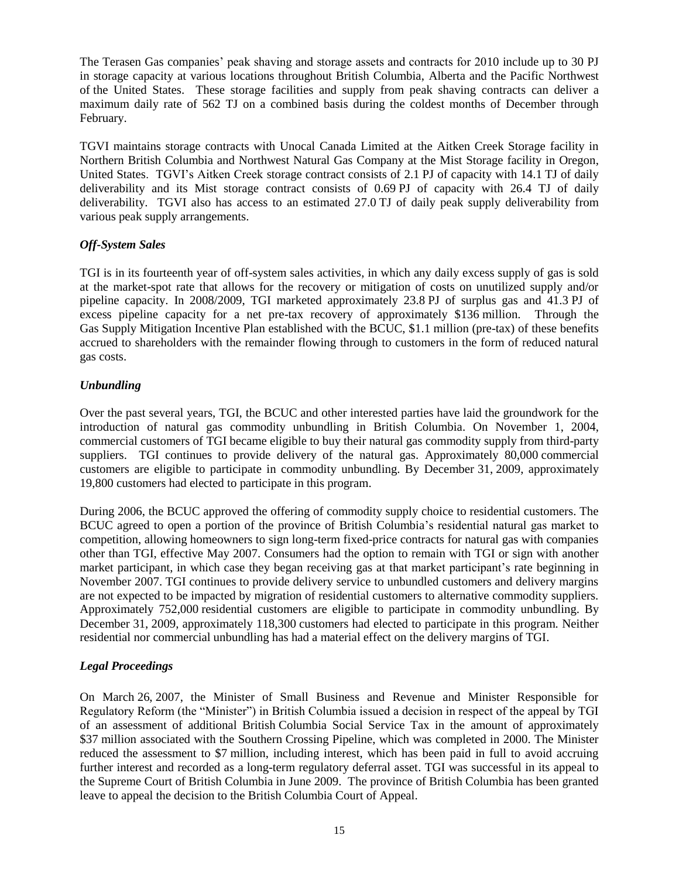The Terasen Gas companies' peak shaving and storage assets and contracts for 2010 include up to 30 PJ in storage capacity at various locations throughout British Columbia, Alberta and the Pacific Northwest of the United States. These storage facilities and supply from peak shaving contracts can deliver a maximum daily rate of 562 TJ on a combined basis during the coldest months of December through February.

TGVI maintains storage contracts with Unocal Canada Limited at the Aitken Creek Storage facility in Northern British Columbia and Northwest Natural Gas Company at the Mist Storage facility in Oregon, United States. TGVI"s Aitken Creek storage contract consists of 2.1 PJ of capacity with 14.1 TJ of daily deliverability and its Mist storage contract consists of 0.69 PJ of capacity with 26.4 TJ of daily deliverability. TGVI also has access to an estimated 27.0 TJ of daily peak supply deliverability from various peak supply arrangements.

## *Off-System Sales*

TGI is in its fourteenth year of off-system sales activities, in which any daily excess supply of gas is sold at the market-spot rate that allows for the recovery or mitigation of costs on unutilized supply and/or pipeline capacity. In 2008/2009, TGI marketed approximately 23.8 PJ of surplus gas and 41.3 PJ of excess pipeline capacity for a net pre-tax recovery of approximately \$136 million. Through the Gas Supply Mitigation Incentive Plan established with the BCUC, \$1.1 million (pre-tax) of these benefits accrued to shareholders with the remainder flowing through to customers in the form of reduced natural gas costs.

## *Unbundling*

Over the past several years, TGI, the BCUC and other interested parties have laid the groundwork for the introduction of natural gas commodity unbundling in British Columbia. On November 1, 2004, commercial customers of TGI became eligible to buy their natural gas commodity supply from third-party suppliers. TGI continues to provide delivery of the natural gas. Approximately 80,000 commercial customers are eligible to participate in commodity unbundling. By December 31, 2009, approximately 19,800 customers had elected to participate in this program.

During 2006, the BCUC approved the offering of commodity supply choice to residential customers. The BCUC agreed to open a portion of the province of British Columbia"s residential natural gas market to competition, allowing homeowners to sign long-term fixed-price contracts for natural gas with companies other than TGI, effective May 2007. Consumers had the option to remain with TGI or sign with another market participant, in which case they began receiving gas at that market participant's rate beginning in November 2007. TGI continues to provide delivery service to unbundled customers and delivery margins are not expected to be impacted by migration of residential customers to alternative commodity suppliers. Approximately 752,000 residential customers are eligible to participate in commodity unbundling. By December 31, 2009, approximately 118,300 customers had elected to participate in this program. Neither residential nor commercial unbundling has had a material effect on the delivery margins of TGI.

## *Legal Proceedings*

On March 26, 2007, the Minister of Small Business and Revenue and Minister Responsible for Regulatory Reform (the "Minister") in British Columbia issued a decision in respect of the appeal by TGI of an assessment of additional British Columbia Social Service Tax in the amount of approximately \$37 million associated with the Southern Crossing Pipeline, which was completed in 2000. The Minister reduced the assessment to \$7 million, including interest, which has been paid in full to avoid accruing further interest and recorded as a long-term regulatory deferral asset. TGI was successful in its appeal to the Supreme Court of British Columbia in June 2009. The province of British Columbia has been granted leave to appeal the decision to the British Columbia Court of Appeal.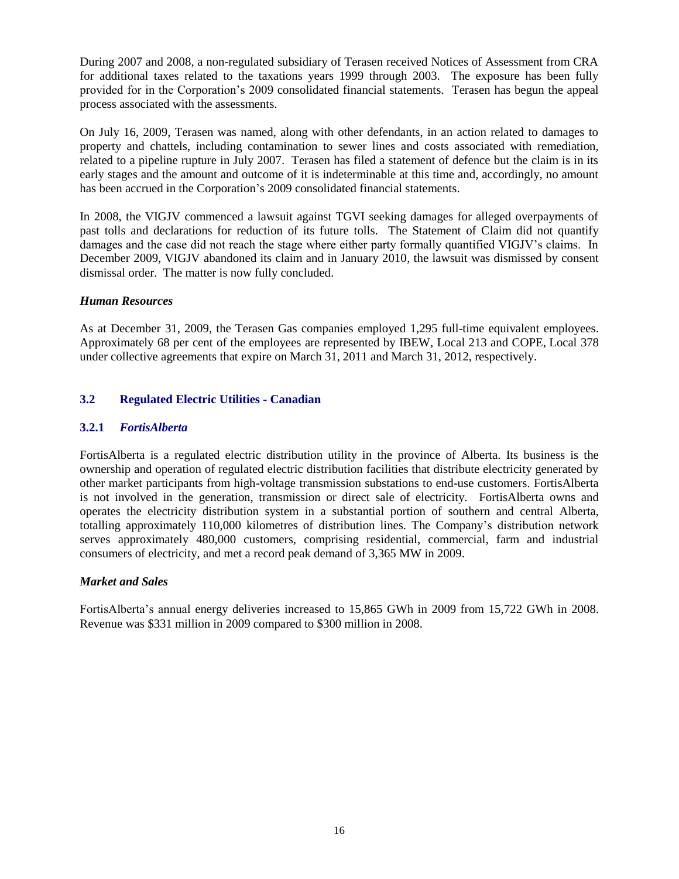During 2007 and 2008, a non-regulated subsidiary of Terasen received Notices of Assessment from CRA for additional taxes related to the taxations years 1999 through 2003. The exposure has been fully provided for in the Corporation"s 2009 consolidated financial statements. Terasen has begun the appeal process associated with the assessments.

On July 16, 2009, Terasen was named, along with other defendants, in an action related to damages to property and chattels, including contamination to sewer lines and costs associated with remediation, related to a pipeline rupture in July 2007. Terasen has filed a statement of defence but the claim is in its early stages and the amount and outcome of it is indeterminable at this time and, accordingly, no amount has been accrued in the Corporation's 2009 consolidated financial statements.

In 2008, the VIGJV commenced a lawsuit against TGVI seeking damages for alleged overpayments of past tolls and declarations for reduction of its future tolls. The Statement of Claim did not quantify damages and the case did not reach the stage where either party formally quantified VIGJV"s claims. In December 2009, VIGJV abandoned its claim and in January 2010, the lawsuit was dismissed by consent dismissal order. The matter is now fully concluded.

#### *Human Resources*

As at December 31, 2009, the Terasen Gas companies employed 1,295 full-time equivalent employees. Approximately 68 per cent of the employees are represented by IBEW, Local 213 and COPE, Local 378 under collective agreements that expire on March 31, 2011 and March 31, 2012, respectively.

## **3.2 Regulated Electric Utilities - Canadian**

## **3.2.1** *FortisAlberta*

FortisAlberta is a regulated electric distribution utility in the province of Alberta. Its business is the ownership and operation of regulated electric distribution facilities that distribute electricity generated by other market participants from high-voltage transmission substations to end-use customers. FortisAlberta is not involved in the generation, transmission or direct sale of electricity. FortisAlberta owns and operates the electricity distribution system in a substantial portion of southern and central Alberta, totalling approximately 110,000 kilometres of distribution lines. The Company"s distribution network serves approximately 480,000 customers, comprising residential, commercial, farm and industrial consumers of electricity, and met a record peak demand of 3,365 MW in 2009.

#### *Market and Sales*

FortisAlberta's annual energy deliveries increased to 15,865 GWh in 2009 from 15,722 GWh in 2008. Revenue was \$331 million in 2009 compared to \$300 million in 2008.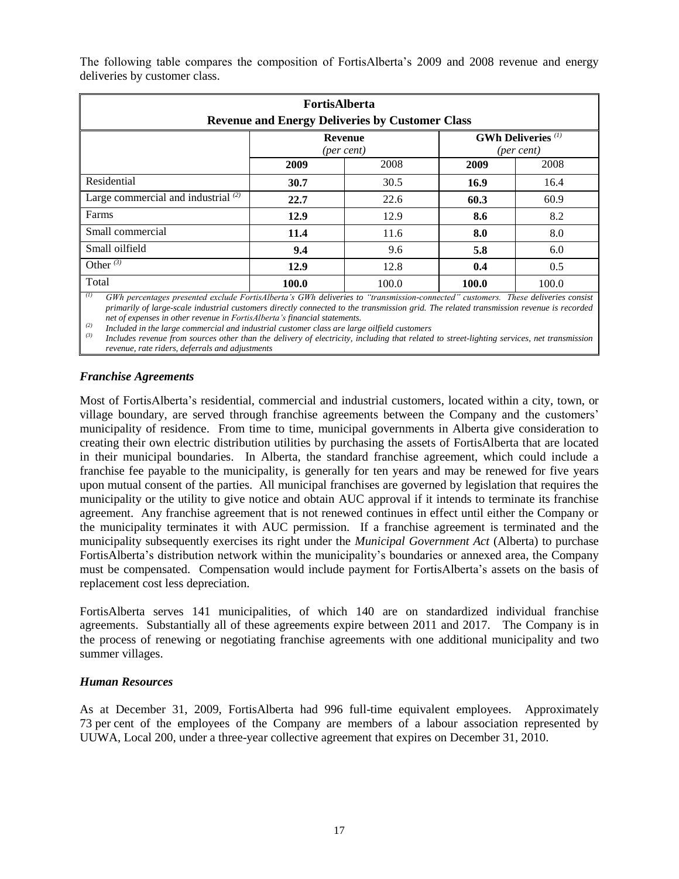The following table compares the composition of FortisAlberta"s 2009 and 2008 revenue and energy deliveries by customer class.

| <b>FortisAlberta</b><br><b>Revenue and Energy Deliveries by Customer Class</b> |                                                                                             |       |       |       |  |
|--------------------------------------------------------------------------------|---------------------------------------------------------------------------------------------|-------|-------|-------|--|
|                                                                                | <b>GWh Deliveries</b> <sup>(1)</sup><br><b>Revenue</b><br>(per cent)<br>$(\text{per cent})$ |       |       |       |  |
|                                                                                | 2009<br>2009<br>2008<br>2008                                                                |       |       |       |  |
| Residential                                                                    | 30.7                                                                                        | 30.5  | 16.9  | 16.4  |  |
| Large commercial and industrial $(2)$                                          | 22.7                                                                                        | 22.6  | 60.3  | 60.9  |  |
| Farms                                                                          | 12.9                                                                                        | 12.9  | 8.6   | 8.2   |  |
| Small commercial<br>11.6<br>11.4                                               |                                                                                             |       | 8.0   | 8.0   |  |
| Small oilfield                                                                 | 9.4                                                                                         | 9.6   | 5.8   | 6.0   |  |
| Other $\overline{\binom{3}{}}$                                                 | 12.9                                                                                        | 12.8  | 0.4   | 0.5   |  |
| Total                                                                          | 100.0                                                                                       | 100.0 | 100.0 | 100.0 |  |

*(1) GWh percentages presented exclude FortisAlberta's GWh deliveries to "transmission-connected" customers. These deliveries consist primarily of large-scale industrial customers directly connected to the transmission grid. The related transmission revenue is recorded net of expenses in other revenue in FortisAlberta's financial statements.*

*(2) Included in the large commercial and industrial customer class are large oilfield customers* 

*(3) Includes revenue from sources other than the delivery of electricity, including that related to street-lighting services, net transmission revenue, rate riders, deferrals and adjustments*

#### *Franchise Agreements*

Most of FortisAlberta"s residential, commercial and industrial customers, located within a city, town, or village boundary, are served through franchise agreements between the Company and the customers' municipality of residence. From time to time, municipal governments in Alberta give consideration to creating their own electric distribution utilities by purchasing the assets of FortisAlberta that are located in their municipal boundaries. In Alberta, the standard franchise agreement, which could include a franchise fee payable to the municipality, is generally for ten years and may be renewed for five years upon mutual consent of the parties. All municipal franchises are governed by legislation that requires the municipality or the utility to give notice and obtain AUC approval if it intends to terminate its franchise agreement. Any franchise agreement that is not renewed continues in effect until either the Company or the municipality terminates it with AUC permission. If a franchise agreement is terminated and the municipality subsequently exercises its right under the *Municipal Government Act* (Alberta) to purchase FortisAlberta's distribution network within the municipality's boundaries or annexed area, the Company must be compensated. Compensation would include payment for FortisAlberta"s assets on the basis of replacement cost less depreciation.

FortisAlberta serves 141 municipalities, of which 140 are on standardized individual franchise agreements. Substantially all of these agreements expire between 2011 and 2017. The Company is in the process of renewing or negotiating franchise agreements with one additional municipality and two summer villages.

#### *Human Resources*

As at December 31, 2009, FortisAlberta had 996 full-time equivalent employees. Approximately 73 per cent of the employees of the Company are members of a labour association represented by UUWA, Local 200, under a three-year collective agreement that expires on December 31, 2010.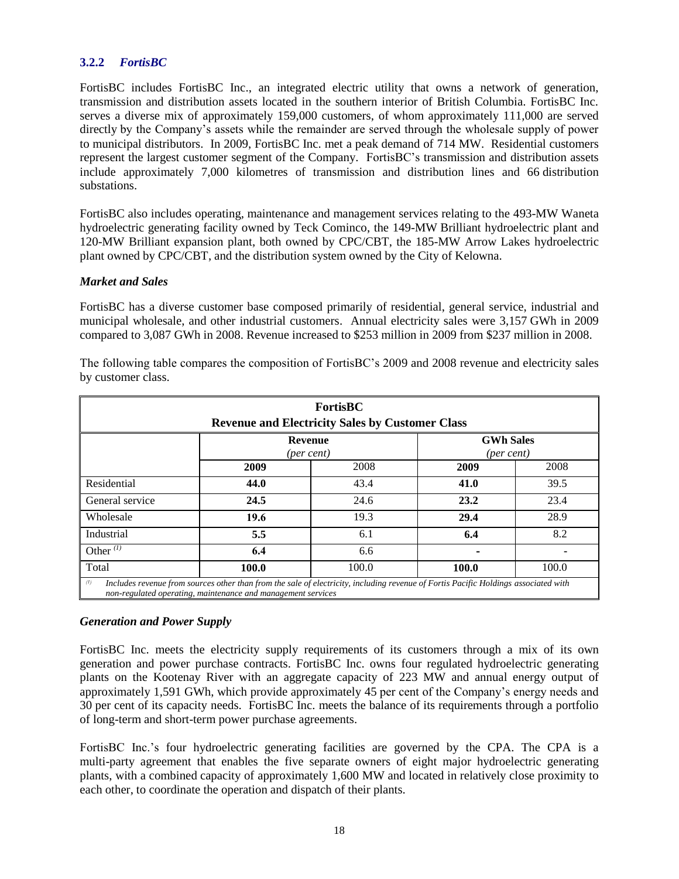## **3.2.2** *FortisBC*

FortisBC includes FortisBC Inc., an integrated electric utility that owns a network of generation, transmission and distribution assets located in the southern interior of British Columbia. FortisBC Inc. serves a diverse mix of approximately 159,000 customers, of whom approximately 111,000 are served directly by the Company"s assets while the remainder are served through the wholesale supply of power to municipal distributors. In 2009, FortisBC Inc. met a peak demand of 714 MW. Residential customers represent the largest customer segment of the Company. FortisBC"s transmission and distribution assets include approximately 7,000 kilometres of transmission and distribution lines and 66 distribution substations.

FortisBC also includes operating, maintenance and management services relating to the 493-MW Waneta hydroelectric generating facility owned by Teck Cominco, the 149-MW Brilliant hydroelectric plant and 120-MW Brilliant expansion plant, both owned by CPC/CBT, the 185-MW Arrow Lakes hydroelectric plant owned by CPC/CBT, and the distribution system owned by the City of Kelowna.

#### *Market and Sales*

FortisBC has a diverse customer base composed primarily of residential, general service, industrial and municipal wholesale, and other industrial customers. Annual electricity sales were 3,157 GWh in 2009 compared to 3,087 GWh in 2008. Revenue increased to \$253 million in 2009 from \$237 million in 2008.

| FortisBC<br><b>Revenue and Electricity Sales by Customer Class</b>                                                                                                                                         |      |      |      |      |  |
|------------------------------------------------------------------------------------------------------------------------------------------------------------------------------------------------------------|------|------|------|------|--|
| <b>GWh Sales</b><br><b>Revenue</b><br>$(\text{per cent})$<br>(per cent)                                                                                                                                    |      |      |      |      |  |
|                                                                                                                                                                                                            | 2009 | 2008 | 2009 | 2008 |  |
| Residential                                                                                                                                                                                                | 44.0 | 43.4 | 41.0 | 39.5 |  |
| General service                                                                                                                                                                                            | 24.5 | 24.6 | 23.2 | 23.4 |  |
| Wholesale                                                                                                                                                                                                  | 19.6 | 19.3 | 29.4 | 28.9 |  |
| Industrial                                                                                                                                                                                                 | 5.5  | 6.1  | 6.4  | 8.2  |  |
| Other $(1)$                                                                                                                                                                                                | 6.4  | 6.6  |      |      |  |
| Total<br>100.0<br>100.0<br>100.0<br>100.0                                                                                                                                                                  |      |      |      |      |  |
| (1)<br>Includes revenue from sources other than from the sale of electricity, including revenue of Fortis Pacific Holdings associated with<br>non-regulated operating, maintenance and management services |      |      |      |      |  |

The following table compares the composition of FortisBC"s 2009 and 2008 revenue and electricity sales by customer class.

#### *Generation and Power Supply*

FortisBC Inc. meets the electricity supply requirements of its customers through a mix of its own generation and power purchase contracts. FortisBC Inc. owns four regulated hydroelectric generating plants on the Kootenay River with an aggregate capacity of 223 MW and annual energy output of approximately 1,591 GWh, which provide approximately 45 per cent of the Company"s energy needs and 30 per cent of its capacity needs. FortisBC Inc. meets the balance of its requirements through a portfolio of long-term and short-term power purchase agreements.

FortisBC Inc.'s four hydroelectric generating facilities are governed by the CPA. The CPA is a multi-party agreement that enables the five separate owners of eight major hydroelectric generating plants, with a combined capacity of approximately 1,600 MW and located in relatively close proximity to each other, to coordinate the operation and dispatch of their plants.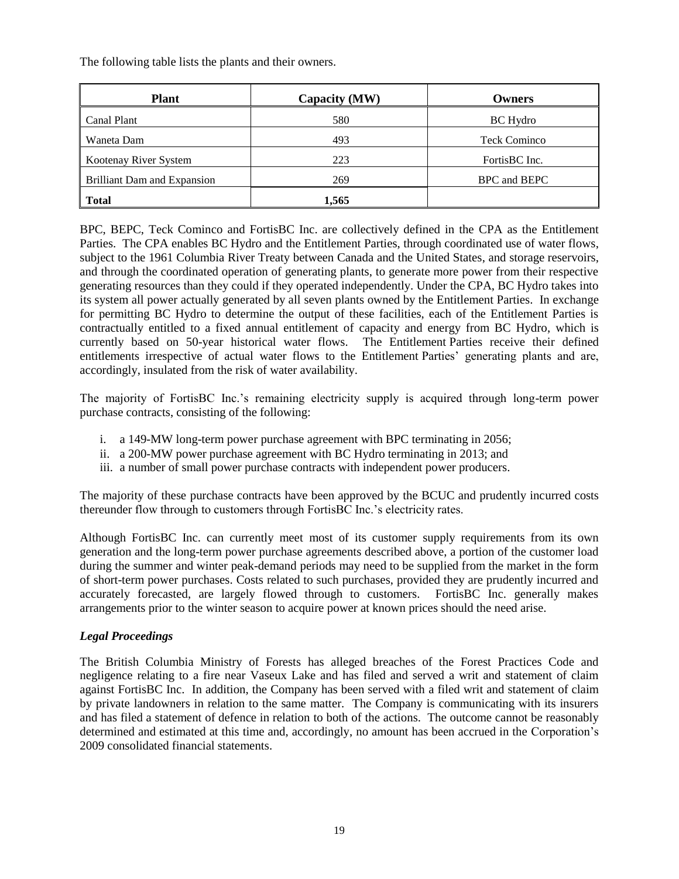The following table lists the plants and their owners.

| <b>Plant</b>                       | Capacity (MW) | Owners              |
|------------------------------------|---------------|---------------------|
| Canal Plant                        | 580           | <b>BC</b> Hydro     |
| Waneta Dam                         | 493           | <b>Teck Cominco</b> |
| Kootenay River System              | 223           | FortisBC Inc.       |
| <b>Brilliant Dam and Expansion</b> | 269           | BPC and BEPC        |
| <b>Total</b>                       | 1,565         |                     |

BPC, BEPC, Teck Cominco and FortisBC Inc. are collectively defined in the CPA as the Entitlement Parties. The CPA enables BC Hydro and the Entitlement Parties, through coordinated use of water flows, subject to the 1961 Columbia River Treaty between Canada and the United States, and storage reservoirs, and through the coordinated operation of generating plants, to generate more power from their respective generating resources than they could if they operated independently. Under the CPA, BC Hydro takes into its system all power actually generated by all seven plants owned by the Entitlement Parties. In exchange for permitting BC Hydro to determine the output of these facilities, each of the Entitlement Parties is contractually entitled to a fixed annual entitlement of capacity and energy from BC Hydro, which is currently based on 50-year historical water flows. The Entitlement Parties receive their defined entitlements irrespective of actual water flows to the Entitlement Parties' generating plants and are, accordingly, insulated from the risk of water availability.

The majority of FortisBC Inc."s remaining electricity supply is acquired through long-term power purchase contracts, consisting of the following:

- i. a 149-MW long-term power purchase agreement with BPC terminating in 2056;
- ii. a 200-MW power purchase agreement with BC Hydro terminating in 2013; and
- iii. a number of small power purchase contracts with independent power producers.

The majority of these purchase contracts have been approved by the BCUC and prudently incurred costs thereunder flow through to customers through FortisBC Inc."s electricity rates.

Although FortisBC Inc. can currently meet most of its customer supply requirements from its own generation and the long-term power purchase agreements described above, a portion of the customer load during the summer and winter peak-demand periods may need to be supplied from the market in the form of short-term power purchases. Costs related to such purchases, provided they are prudently incurred and accurately forecasted, are largely flowed through to customers. FortisBC Inc. generally makes arrangements prior to the winter season to acquire power at known prices should the need arise.

#### *Legal Proceedings*

The British Columbia Ministry of Forests has alleged breaches of the Forest Practices Code and negligence relating to a fire near Vaseux Lake and has filed and served a writ and statement of claim against FortisBC Inc. In addition, the Company has been served with a filed writ and statement of claim by private landowners in relation to the same matter. The Company is communicating with its insurers and has filed a statement of defence in relation to both of the actions. The outcome cannot be reasonably determined and estimated at this time and, accordingly, no amount has been accrued in the Corporation"s 2009 consolidated financial statements.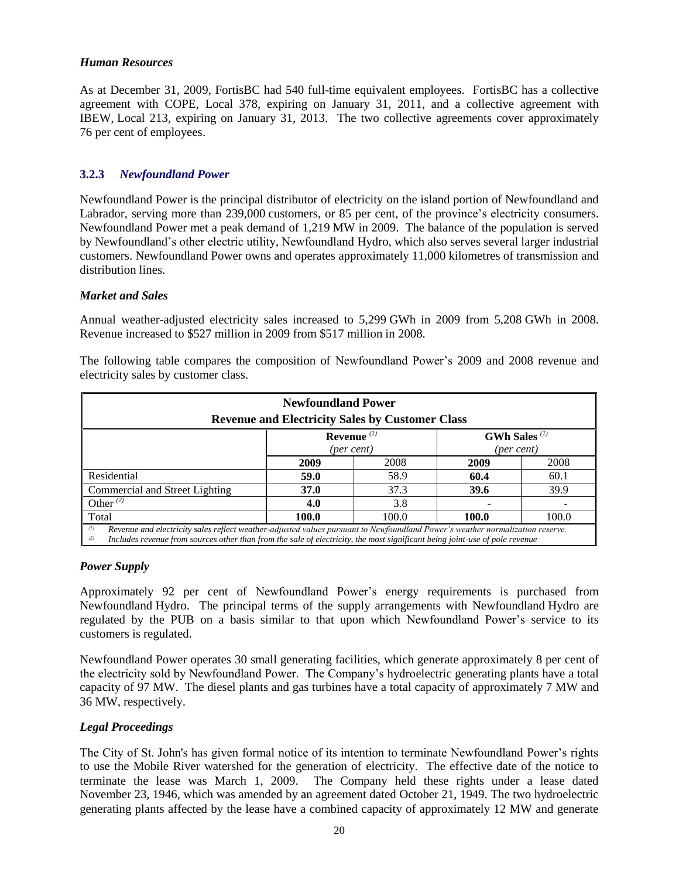#### *Human Resources*

As at December 31, 2009, FortisBC had 540 full-time equivalent employees. FortisBC has a collective agreement with COPE, Local 378, expiring on January 31, 2011, and a collective agreement with IBEW, Local 213, expiring on January 31, 2013. The two collective agreements cover approximately 76 per cent of employees.

## **3.2.3** *Newfoundland Power*

Newfoundland Power is the principal distributor of electricity on the island portion of Newfoundland and Labrador, serving more than 239,000 customers, or 85 per cent, of the province's electricity consumers. Newfoundland Power met a peak demand of 1,219 MW in 2009. The balance of the population is served by Newfoundland"s other electric utility, Newfoundland Hydro, which also serves several larger industrial customers. Newfoundland Power owns and operates approximately 11,000 kilometres of transmission and distribution lines.

#### *Market and Sales*

Annual weather-adjusted electricity sales increased to 5,299 GWh in 2009 from 5,208 GWh in 2008. Revenue increased to \$527 million in 2009 from \$517 million in 2008.

| <b>Newfoundland Power</b><br><b>Revenue and Electricity Sales by Customer Class</b>                                                                                                                                                                                        |             |      |      |      |  |
|----------------------------------------------------------------------------------------------------------------------------------------------------------------------------------------------------------------------------------------------------------------------------|-------------|------|------|------|--|
| <b>GWh Sales</b> <sup>(1)</sup><br>Revenue $(1)$<br>(per cent)<br>(per cent)                                                                                                                                                                                               |             |      |      |      |  |
|                                                                                                                                                                                                                                                                            | 2009        | 2008 | 2009 | 2008 |  |
| Residential                                                                                                                                                                                                                                                                | 59.0        | 58.9 | 60.4 | 60.1 |  |
| Commercial and Street Lighting                                                                                                                                                                                                                                             | <b>37.0</b> | 37.3 | 39.6 | 39.9 |  |
| Other $(2)$                                                                                                                                                                                                                                                                | 4.0         | 3.8  |      |      |  |
| Total<br>100.0<br>100.0<br>100.0<br>100.0                                                                                                                                                                                                                                  |             |      |      |      |  |
| (1)<br>Revenue and electricity sales reflect weather-adjusted values pursuant to Newfoundland Power's weather normalization reserve.<br>Includes revenue from sources other than from the sale of electricity, the most significant being joint-use of pole revenue<br>(2) |             |      |      |      |  |

The following table compares the composition of Newfoundland Power"s 2009 and 2008 revenue and electricity sales by customer class.

#### *Power Supply*

Approximately 92 per cent of Newfoundland Power"s energy requirements is purchased from Newfoundland Hydro. The principal terms of the supply arrangements with Newfoundland Hydro are regulated by the PUB on a basis similar to that upon which Newfoundland Power"s service to its customers is regulated.

Newfoundland Power operates 30 small generating facilities, which generate approximately 8 per cent of the electricity sold by Newfoundland Power. The Company"s hydroelectric generating plants have a total capacity of 97 MW. The diesel plants and gas turbines have a total capacity of approximately 7 MW and 36 MW, respectively.

#### *Legal Proceedings*

The City of St. John's has given formal notice of its intention to terminate Newfoundland Power"s rights to use the Mobile River watershed for the generation of electricity. The effective date of the notice to terminate the lease was March 1, 2009. The Company held these rights under a lease dated November 23, 1946, which was amended by an agreement dated October 21, 1949. The two hydroelectric generating plants affected by the lease have a combined capacity of approximately 12 MW and generate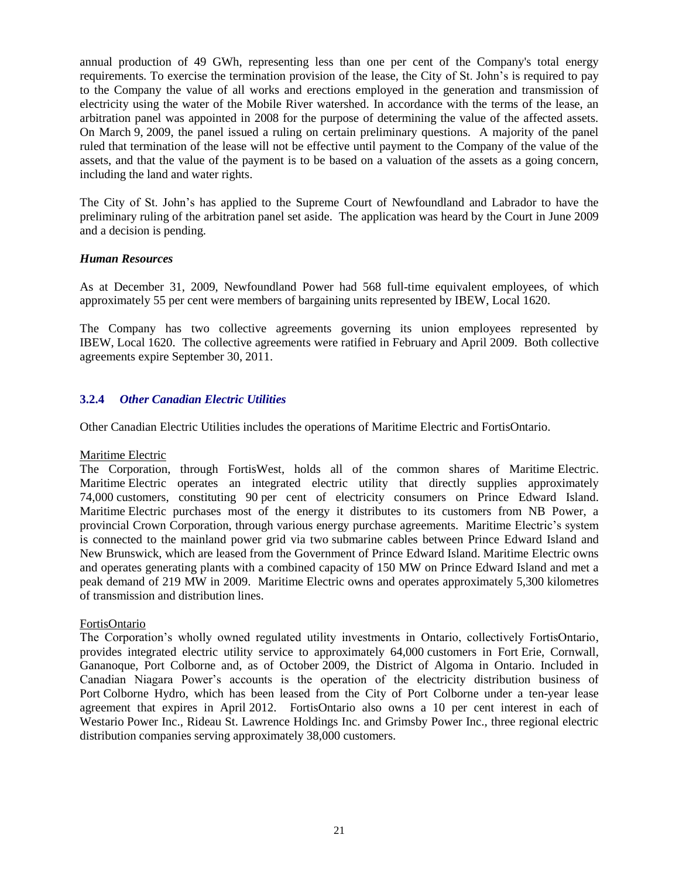annual production of 49 GWh, representing less than one per cent of the Company's total energy requirements. To exercise the termination provision of the lease, the City of St. John"s is required to pay to the Company the value of all works and erections employed in the generation and transmission of electricity using the water of the Mobile River watershed. In accordance with the terms of the lease, an arbitration panel was appointed in 2008 for the purpose of determining the value of the affected assets. On March 9, 2009, the panel issued a ruling on certain preliminary questions. A majority of the panel ruled that termination of the lease will not be effective until payment to the Company of the value of the assets, and that the value of the payment is to be based on a valuation of the assets as a going concern, including the land and water rights.

The City of St. John"s has applied to the Supreme Court of Newfoundland and Labrador to have the preliminary ruling of the arbitration panel set aside. The application was heard by the Court in June 2009 and a decision is pending.

#### *Human Resources*

As at December 31, 2009, Newfoundland Power had 568 full-time equivalent employees, of which approximately 55 per cent were members of bargaining units represented by IBEW, Local 1620.

The Company has two collective agreements governing its union employees represented by IBEW, Local 1620. The collective agreements were ratified in February and April 2009. Both collective agreements expire September 30, 2011.

## **3.2.4** *Other Canadian Electric Utilities*

Other Canadian Electric Utilities includes the operations of Maritime Electric and FortisOntario.

#### Maritime Electric

The Corporation, through FortisWest, holds all of the common shares of Maritime Electric. Maritime Electric operates an integrated electric utility that directly supplies approximately 74,000 customers, constituting 90 per cent of electricity consumers on Prince Edward Island. Maritime Electric purchases most of the energy it distributes to its customers from NB Power, a provincial Crown Corporation, through various energy purchase agreements. Maritime Electric's system is connected to the mainland power grid via two submarine cables between Prince Edward Island and New Brunswick, which are leased from the Government of Prince Edward Island. Maritime Electric owns and operates generating plants with a combined capacity of 150 MW on Prince Edward Island and met a peak demand of 219 MW in 2009. Maritime Electric owns and operates approximately 5,300 kilometres of transmission and distribution lines.

#### FortisOntario

The Corporation"s wholly owned regulated utility investments in Ontario, collectively FortisOntario, provides integrated electric utility service to approximately 64,000 customers in Fort Erie, Cornwall, Gananoque, Port Colborne and, as of October 2009, the District of Algoma in Ontario. Included in Canadian Niagara Power"s accounts is the operation of the electricity distribution business of Port Colborne Hydro, which has been leased from the City of Port Colborne under a ten-year lease agreement that expires in April 2012. FortisOntario also owns a 10 per cent interest in each of Westario Power Inc., Rideau St. Lawrence Holdings Inc. and Grimsby Power Inc., three regional electric distribution companies serving approximately 38,000 customers.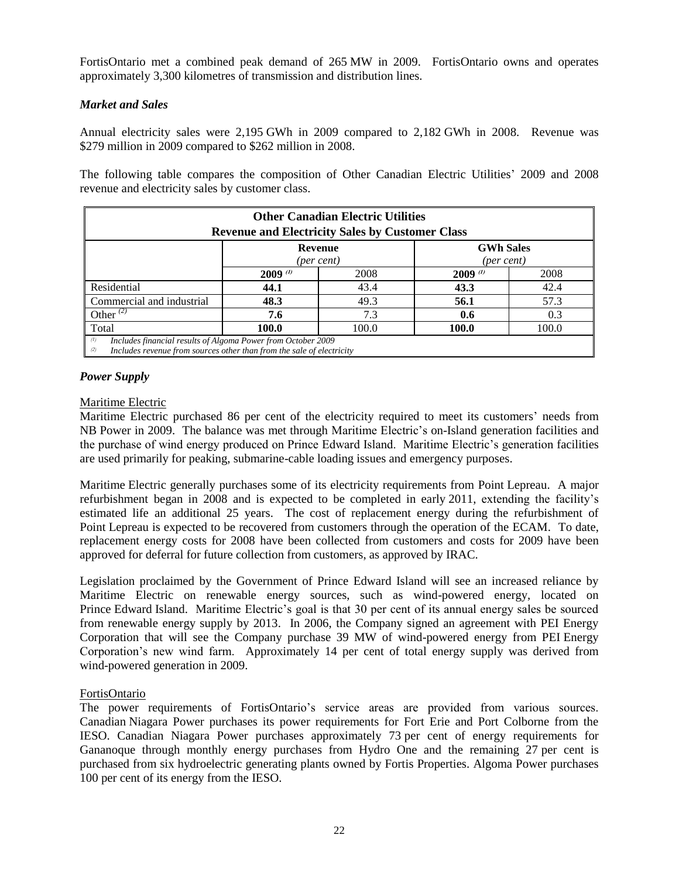FortisOntario met a combined peak demand of 265 MW in 2009. FortisOntario owns and operates approximately 3,300 kilometres of transmission and distribution lines.

## *Market and Sales*

Annual electricity sales were 2,195 GWh in 2009 compared to 2,182 GWh in 2008. Revenue was \$279 million in 2009 compared to \$262 million in 2008.

The following table compares the composition of Other Canadian Electric Utilities" 2009 and 2008 revenue and electricity sales by customer class.

| <b>Other Canadian Electric Utilities</b><br><b>Revenue and Electricity Sales by Customer Class</b>                                                  |                     |      |                 |      |  |
|-----------------------------------------------------------------------------------------------------------------------------------------------------|---------------------|------|-----------------|------|--|
| <b>GWh Sales</b><br>Revenue<br>(per cent)<br>(per cent)                                                                                             |                     |      |                 |      |  |
|                                                                                                                                                     | $2009$ ( <i>v</i> ) | 2008 | $2009$ $\omega$ | 2008 |  |
| Residential                                                                                                                                         | 44.1                | 43.4 | 43.3            | 42.4 |  |
| Commercial and industrial                                                                                                                           | 48.3                | 49.3 | 56.1            | 57.3 |  |
| Other $^{(2)}$                                                                                                                                      | 7.6                 | 7.3  | 0.6             | 0.3  |  |
| Total<br>100.0<br>100.0<br>100.0<br>100.0                                                                                                           |                     |      |                 |      |  |
| (1)<br>Includes financial results of Algoma Power from October 2009<br>Includes revenue from sources other than from the sale of electricity<br>(2) |                     |      |                 |      |  |

## *Power Supply*

#### Maritime Electric

Maritime Electric purchased 86 per cent of the electricity required to meet its customers" needs from NB Power in 2009. The balance was met through Maritime Electric"s on-Island generation facilities and the purchase of wind energy produced on Prince Edward Island. Maritime Electric"s generation facilities are used primarily for peaking, submarine-cable loading issues and emergency purposes.

Maritime Electric generally purchases some of its electricity requirements from Point Lepreau. A major refurbishment began in 2008 and is expected to be completed in early 2011, extending the facility"s estimated life an additional 25 years. The cost of replacement energy during the refurbishment of Point Lepreau is expected to be recovered from customers through the operation of the ECAM. To date, replacement energy costs for 2008 have been collected from customers and costs for 2009 have been approved for deferral for future collection from customers, as approved by IRAC.

Legislation proclaimed by the Government of Prince Edward Island will see an increased reliance by Maritime Electric on renewable energy sources, such as wind-powered energy, located on Prince Edward Island. Maritime Electric"s goal is that 30 per cent of its annual energy sales be sourced from renewable energy supply by 2013. In 2006, the Company signed an agreement with PEI Energy Corporation that will see the Company purchase 39 MW of wind-powered energy from PEI Energy Corporation"s new wind farm. Approximately 14 per cent of total energy supply was derived from wind-powered generation in 2009.

#### FortisOntario

The power requirements of FortisOntario's service areas are provided from various sources. Canadian Niagara Power purchases its power requirements for Fort Erie and Port Colborne from the IESO. Canadian Niagara Power purchases approximately 73 per cent of energy requirements for Gananoque through monthly energy purchases from Hydro One and the remaining 27 per cent is purchased from six hydroelectric generating plants owned by Fortis Properties. Algoma Power purchases 100 per cent of its energy from the IESO.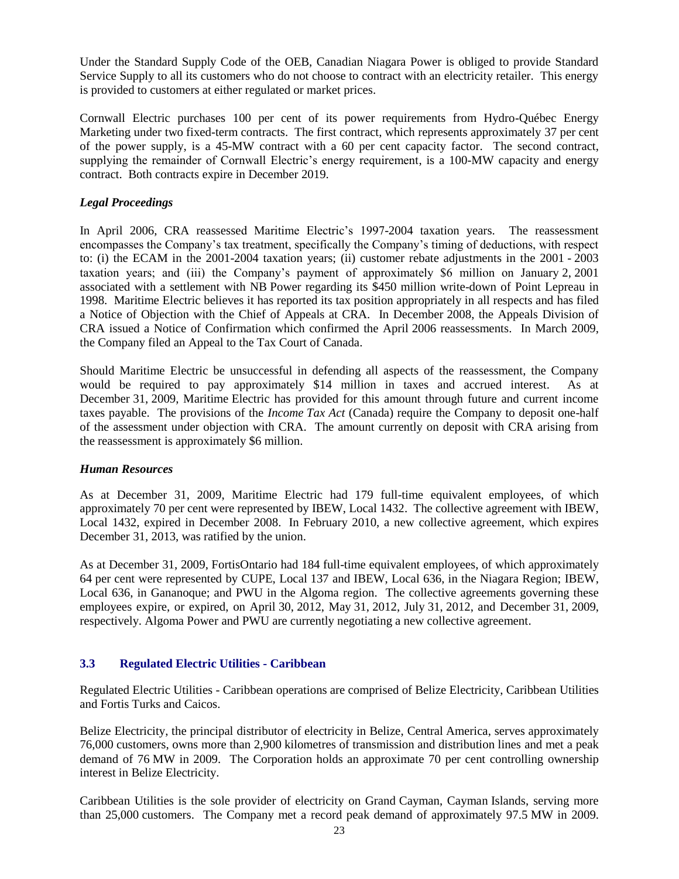Under the Standard Supply Code of the OEB, Canadian Niagara Power is obliged to provide Standard Service Supply to all its customers who do not choose to contract with an electricity retailer. This energy is provided to customers at either regulated or market prices.

Cornwall Electric purchases 100 per cent of its power requirements from Hydro-Québec Energy Marketing under two fixed-term contracts. The first contract, which represents approximately 37 per cent of the power supply, is a 45-MW contract with a 60 per cent capacity factor. The second contract, supplying the remainder of Cornwall Electric's energy requirement, is a 100-MW capacity and energy contract. Both contracts expire in December 2019.

## *Legal Proceedings*

In April 2006, CRA reassessed Maritime Electric's 1997-2004 taxation years. The reassessment encompasses the Company"s tax treatment, specifically the Company"s timing of deductions, with respect to: (i) the ECAM in the 2001-2004 taxation years; (ii) customer rebate adjustments in the 2001 - 2003 taxation years; and (iii) the Company"s payment of approximately \$6 million on January 2, 2001 associated with a settlement with NB Power regarding its \$450 million write-down of Point Lepreau in 1998. Maritime Electric believes it has reported its tax position appropriately in all respects and has filed a Notice of Objection with the Chief of Appeals at CRA. In December 2008, the Appeals Division of CRA issued a Notice of Confirmation which confirmed the April 2006 reassessments. In March 2009, the Company filed an Appeal to the Tax Court of Canada.

Should Maritime Electric be unsuccessful in defending all aspects of the reassessment, the Company would be required to pay approximately \$14 million in taxes and accrued interest. As at December 31, 2009, Maritime Electric has provided for this amount through future and current income taxes payable. The provisions of the *Income Tax Act* (Canada) require the Company to deposit one-half of the assessment under objection with CRA. The amount currently on deposit with CRA arising from the reassessment is approximately \$6 million.

#### *Human Resources*

As at December 31, 2009, Maritime Electric had 179 full-time equivalent employees, of which approximately 70 per cent were represented by IBEW, Local 1432. The collective agreement with IBEW, Local 1432, expired in December 2008. In February 2010, a new collective agreement, which expires December 31, 2013, was ratified by the union.

As at December 31, 2009, FortisOntario had 184 full-time equivalent employees, of which approximately 64 per cent were represented by CUPE, Local 137 and IBEW, Local 636, in the Niagara Region; IBEW, Local 636, in Gananoque; and PWU in the Algoma region. The collective agreements governing these employees expire, or expired, on April 30, 2012, May 31, 2012, July 31, 2012, and December 31, 2009, respectively. Algoma Power and PWU are currently negotiating a new collective agreement.

#### **3.3 Regulated Electric Utilities - Caribbean**

Regulated Electric Utilities - Caribbean operations are comprised of Belize Electricity, Caribbean Utilities and Fortis Turks and Caicos.

Belize Electricity, the principal distributor of electricity in Belize, Central America, serves approximately 76,000 customers, owns more than 2,900 kilometres of transmission and distribution lines and met a peak demand of 76 MW in 2009. The Corporation holds an approximate 70 per cent controlling ownership interest in Belize Electricity.

Caribbean Utilities is the sole provider of electricity on Grand Cayman, Cayman Islands, serving more than 25,000 customers. The Company met a record peak demand of approximately 97.5 MW in 2009.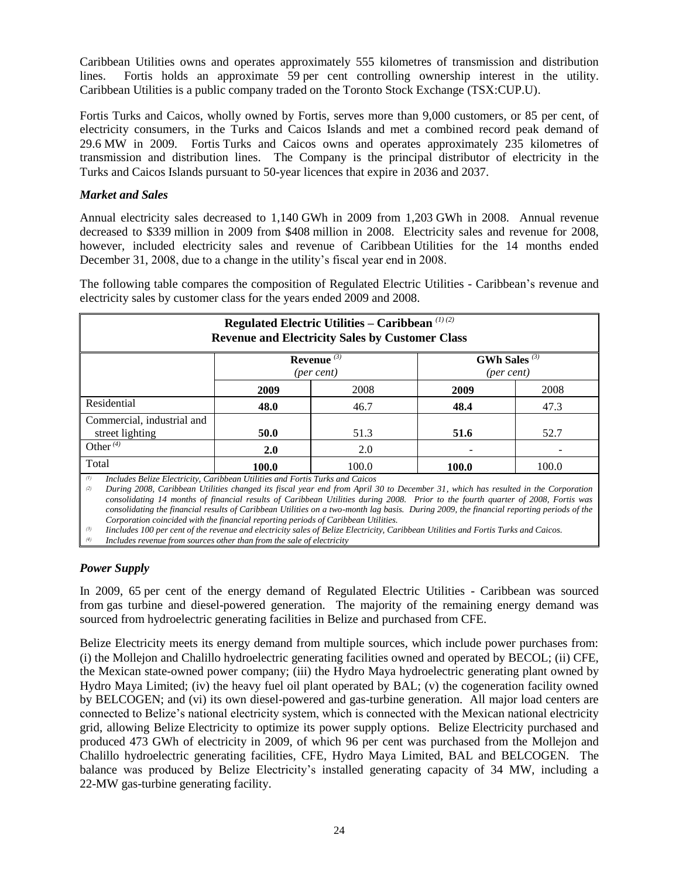Caribbean Utilities owns and operates approximately 555 kilometres of transmission and distribution lines. Fortis holds an approximate 59 per cent controlling ownership interest in the utility. Caribbean Utilities is a public company traded on the Toronto Stock Exchange (TSX:CUP.U).

Fortis Turks and Caicos, wholly owned by Fortis, serves more than 9,000 customers, or 85 per cent, of electricity consumers, in the Turks and Caicos Islands and met a combined record peak demand of 29.6 MW in 2009. Fortis Turks and Caicos owns and operates approximately 235 kilometres of transmission and distribution lines. The Company is the principal distributor of electricity in the Turks and Caicos Islands pursuant to 50-year licences that expire in 2036 and 2037.

## *Market and Sales*

Annual electricity sales decreased to 1,140 GWh in 2009 from 1,203 GWh in 2008. Annual revenue decreased to \$339 million in 2009 from \$408 million in 2008. Electricity sales and revenue for 2008, however, included electricity sales and revenue of Caribbean Utilities for the 14 months ended December 31, 2008, due to a change in the utility's fiscal year end in 2008.

The following table compares the composition of Regulated Electric Utilities - Caribbean"s revenue and electricity sales by customer class for the years ended 2009 and 2008.

| Regulated Electric Utilities – Caribbean $(1)(2)$<br><b>Revenue and Electricity Sales by Customer Class</b> |            |       |       |       |  |
|-------------------------------------------------------------------------------------------------------------|------------|-------|-------|-------|--|
| GWh Sales $(3)$<br>Revenue $(3)$<br>(per cent)<br>$(\text{per cent})$                                       |            |       |       |       |  |
|                                                                                                             | 2009       | 2008  | 2009  | 2008  |  |
| Residential                                                                                                 | 48.0       | 46.7  | 48.4  | 47.3  |  |
| Commercial, industrial and<br>street lighting                                                               | 50.0       | 51.3  | 51.6  | 52.7  |  |
| Other $\overline{4}$                                                                                        | <b>2.0</b> | 2.0   |       |       |  |
| Total                                                                                                       | 100.0      | 100.0 | 100.0 | 100.0 |  |

*(1) Includes Belize Electricity, Caribbean Utilities and Fortis Turks and Caicos*

*(2) During 2008, Caribbean Utilities changed its fiscal year end from April 30 to December 31, which has resulted in the Corporation consolidating 14 months of financial results of Caribbean Utilities during 2008. Prior to the fourth quarter of 2008, Fortis was consolidating the financial results of Caribbean Utilities on a two-month lag basis. During 2009, the financial reporting periods of the Corporation coincided with the financial reporting periods of Caribbean Utilities.* 

*(3) Iincludes 100 per cent of the revenue and electricity sales of Belize Electricity, Caribbean Utilities and Fortis Turks and Caicos.*

*(4) Includes revenue from sources other than from the sale of electricity*

## *Power Supply*

In 2009, 65 per cent of the energy demand of Regulated Electric Utilities - Caribbean was sourced from gas turbine and diesel-powered generation. The majority of the remaining energy demand was sourced from hydroelectric generating facilities in Belize and purchased from CFE.

Belize Electricity meets its energy demand from multiple sources, which include power purchases from: (i) the Mollejon and Chalillo hydroelectric generating facilities owned and operated by BECOL; (ii) CFE, the Mexican state-owned power company; (iii) the Hydro Maya hydroelectric generating plant owned by Hydro Maya Limited; (iv) the heavy fuel oil plant operated by BAL; (v) the cogeneration facility owned by BELCOGEN; and (vi) its own diesel-powered and gas-turbine generation. All major load centers are connected to Belize"s national electricity system, which is connected with the Mexican national electricity grid, allowing Belize Electricity to optimize its power supply options. Belize Electricity purchased and produced 473 GWh of electricity in 2009, of which 96 per cent was purchased from the Mollejon and Chalillo hydroelectric generating facilities, CFE, Hydro Maya Limited, BAL and BELCOGEN. The balance was produced by Belize Electricity's installed generating capacity of 34 MW, including a 22-MW gas-turbine generating facility.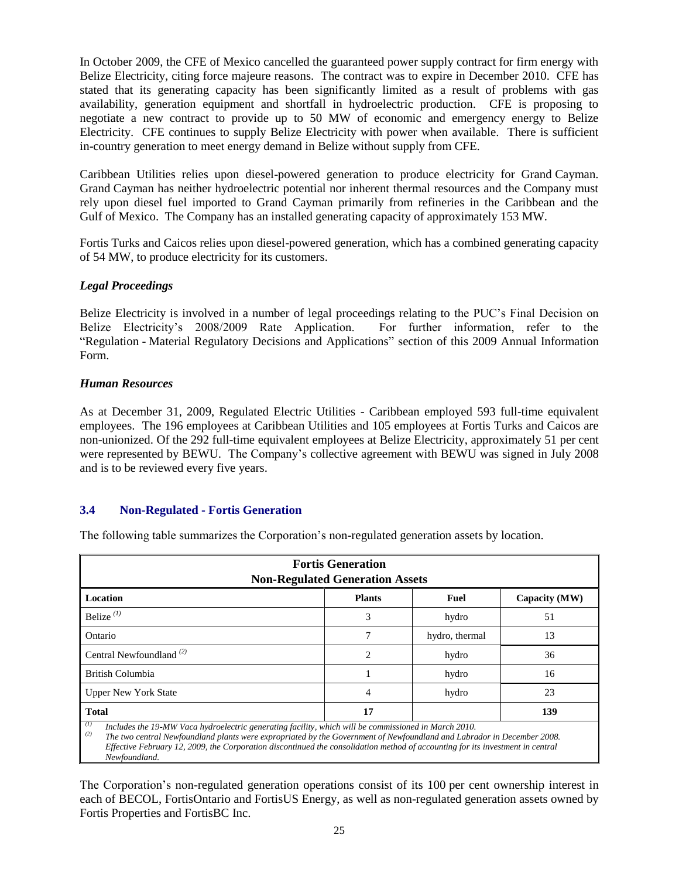In October 2009, the CFE of Mexico cancelled the guaranteed power supply contract for firm energy with Belize Electricity, citing force majeure reasons. The contract was to expire in December 2010. CFE has stated that its generating capacity has been significantly limited as a result of problems with gas availability, generation equipment and shortfall in hydroelectric production. CFE is proposing to negotiate a new contract to provide up to 50 MW of economic and emergency energy to Belize Electricity. CFE continues to supply Belize Electricity with power when available. There is sufficient in-country generation to meet energy demand in Belize without supply from CFE.

Caribbean Utilities relies upon diesel-powered generation to produce electricity for Grand Cayman. Grand Cayman has neither hydroelectric potential nor inherent thermal resources and the Company must rely upon diesel fuel imported to Grand Cayman primarily from refineries in the Caribbean and the Gulf of Mexico. The Company has an installed generating capacity of approximately 153 MW.

Fortis Turks and Caicos relies upon diesel-powered generation, which has a combined generating capacity of 54 MW, to produce electricity for its customers.

#### *Legal Proceedings*

Belize Electricity is involved in a number of legal proceedings relating to the PUC"s Final Decision on Belize Electricity's 2008/2009 Rate Application. For further information, refer to the "Regulation - Material Regulatory Decisions and Applications" section of this 2009 Annual Information Form.

#### *Human Resources*

As at December 31, 2009, Regulated Electric Utilities - Caribbean employed 593 full-time equivalent employees. The 196 employees at Caribbean Utilities and 105 employees at Fortis Turks and Caicos are non-unionized. Of the 292 full-time equivalent employees at Belize Electricity, approximately 51 per cent were represented by BEWU. The Company"s collective agreement with BEWU was signed in July 2008 and is to be reviewed every five years.

#### **3.4 Non-Regulated - Fortis Generation**

The following table summarizes the Corporation"s non-regulated generation assets by location.

| <b>Fortis Generation</b><br><b>Non-Regulated Generation Assets</b>                                                                                                                                                                           |                                        |                |    |  |  |  |
|----------------------------------------------------------------------------------------------------------------------------------------------------------------------------------------------------------------------------------------------|----------------------------------------|----------------|----|--|--|--|
| Location                                                                                                                                                                                                                                     | <b>Plants</b><br>Fuel<br>Capacity (MW) |                |    |  |  |  |
| Belize $(1)$                                                                                                                                                                                                                                 | 3                                      | hydro          | 51 |  |  |  |
| Ontario                                                                                                                                                                                                                                      |                                        | hydro, thermal | 13 |  |  |  |
| Central Newfoundland $(2)$                                                                                                                                                                                                                   | 2                                      | hydro          | 36 |  |  |  |
| British Columbia                                                                                                                                                                                                                             |                                        | hydro          | 16 |  |  |  |
| hydro<br><b>Upper New York State</b><br>4                                                                                                                                                                                                    |                                        |                | 23 |  |  |  |
| <b>Total</b><br>17<br>139                                                                                                                                                                                                                    |                                        |                |    |  |  |  |
| (1)<br>Includes the 19-MW Vaca hydroelectric generating facility, which will be commissioned in March 2010.<br>(2)<br>The two central Newfoundland plants were expropriated by the Government of Newfoundland and Labrador in December 2008. |                                        |                |    |  |  |  |

*Effective February 12, 2009, the Corporation discontinued the consolidation method of accounting for its investment in central Newfoundland.*

The Corporation"s non-regulated generation operations consist of its 100 per cent ownership interest in each of BECOL, FortisOntario and FortisUS Energy, as well as non-regulated generation assets owned by Fortis Properties and FortisBC Inc.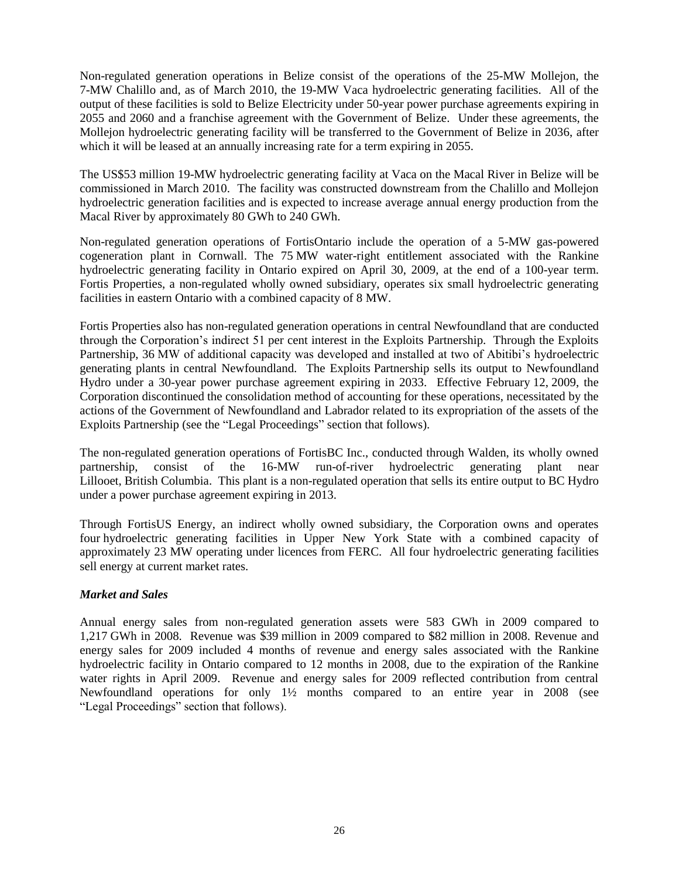Non-regulated generation operations in Belize consist of the operations of the 25-MW Mollejon, the 7-MW Chalillo and, as of March 2010, the 19-MW Vaca hydroelectric generating facilities. All of the output of these facilities is sold to Belize Electricity under 50-year power purchase agreements expiring in 2055 and 2060 and a franchise agreement with the Government of Belize. Under these agreements, the Mollejon hydroelectric generating facility will be transferred to the Government of Belize in 2036, after which it will be leased at an annually increasing rate for a term expiring in 2055.

The US\$53 million 19-MW hydroelectric generating facility at Vaca on the Macal River in Belize will be commissioned in March 2010. The facility was constructed downstream from the Chalillo and Mollejon hydroelectric generation facilities and is expected to increase average annual energy production from the Macal River by approximately 80 GWh to 240 GWh.

Non-regulated generation operations of FortisOntario include the operation of a 5-MW gas-powered cogeneration plant in Cornwall. The 75 MW water-right entitlement associated with the Rankine hydroelectric generating facility in Ontario expired on April 30, 2009, at the end of a 100-year term. Fortis Properties, a non-regulated wholly owned subsidiary, operates six small hydroelectric generating facilities in eastern Ontario with a combined capacity of 8 MW.

Fortis Properties also has non-regulated generation operations in central Newfoundland that are conducted through the Corporation"s indirect 51 per cent interest in the Exploits Partnership. Through the Exploits Partnership, 36 MW of additional capacity was developed and installed at two of Abitibi's hydroelectric generating plants in central Newfoundland. The Exploits Partnership sells its output to Newfoundland Hydro under a 30-year power purchase agreement expiring in 2033. Effective February 12, 2009, the Corporation discontinued the consolidation method of accounting for these operations, necessitated by the actions of the Government of Newfoundland and Labrador related to its expropriation of the assets of the Exploits Partnership (see the "Legal Proceedings" section that follows).

The non-regulated generation operations of FortisBC Inc., conducted through Walden, its wholly owned partnership, consist of the 16-MW run-of-river hydroelectric generating plant near Lillooet, British Columbia. This plant is a non-regulated operation that sells its entire output to BC Hydro under a power purchase agreement expiring in 2013.

Through FortisUS Energy, an indirect wholly owned subsidiary, the Corporation owns and operates four hydroelectric generating facilities in Upper New York State with a combined capacity of approximately 23 MW operating under licences from FERC. All four hydroelectric generating facilities sell energy at current market rates.

## *Market and Sales*

Annual energy sales from non-regulated generation assets were 583 GWh in 2009 compared to 1,217 GWh in 2008. Revenue was \$39 million in 2009 compared to \$82 million in 2008. Revenue and energy sales for 2009 included 4 months of revenue and energy sales associated with the Rankine hydroelectric facility in Ontario compared to 12 months in 2008, due to the expiration of the Rankine water rights in April 2009. Revenue and energy sales for 2009 reflected contribution from central Newfoundland operations for only 1½ months compared to an entire year in 2008 (see "Legal Proceedings" section that follows).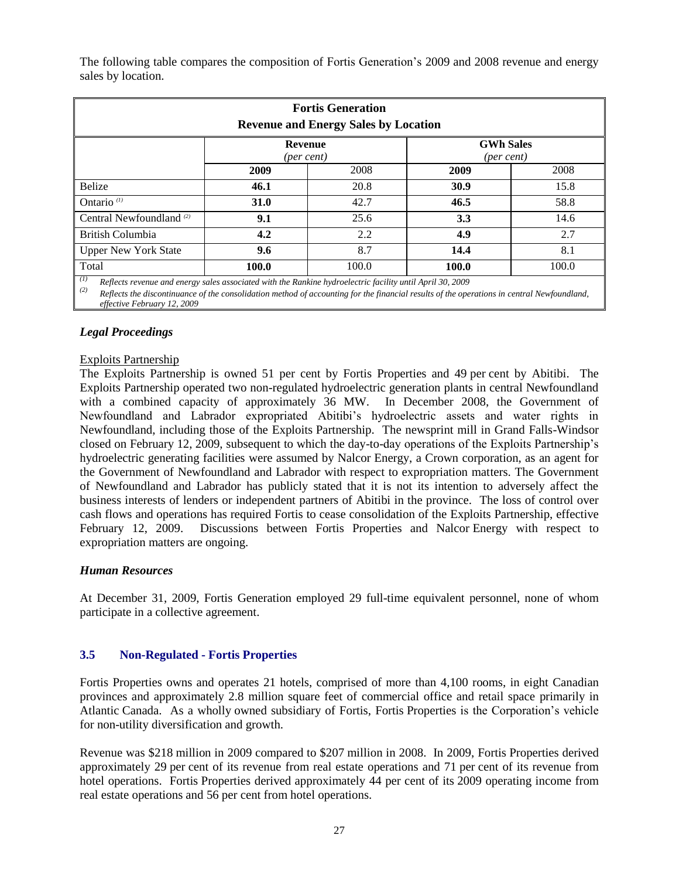The following table compares the composition of Fortis Generation"s 2009 and 2008 revenue and energy sales by location.

| <b>Fortis Generation</b><br><b>Revenue and Energy Sales by Location</b>                                                                                                                                                                                               |      |      |      |      |  |
|-----------------------------------------------------------------------------------------------------------------------------------------------------------------------------------------------------------------------------------------------------------------------|------|------|------|------|--|
| <b>GWh Sales</b><br><b>Revenue</b><br>$(\text{per cent})$<br>$(\text{per cent})$                                                                                                                                                                                      |      |      |      |      |  |
|                                                                                                                                                                                                                                                                       | 2009 | 2008 | 2009 | 2008 |  |
| <b>Belize</b>                                                                                                                                                                                                                                                         | 46.1 | 20.8 | 30.9 | 15.8 |  |
| Ontario $(1)$                                                                                                                                                                                                                                                         | 31.0 | 42.7 | 46.5 | 58.8 |  |
| Central Newfoundland <sup>(2)</sup>                                                                                                                                                                                                                                   | 9.1  | 25.6 | 3.3  | 14.6 |  |
| British Columbia                                                                                                                                                                                                                                                      | 4.2  | 2.2  | 4.9  | 2.7  |  |
| <b>Upper New York State</b>                                                                                                                                                                                                                                           | 9.6  | 8.7  | 14.4 | 8.1  |  |
| Total<br>100.0<br>100.0<br>100.0<br>100.0                                                                                                                                                                                                                             |      |      |      |      |  |
| (I)<br>Reflects revenue and energy sales associated with the Rankine hydroelectric facility until April 30, 2009<br>(2)<br>Reflects the discontinuance of the consolidation method of accounting for the financial results of the operations in central Newfoundland, |      |      |      |      |  |

*effective February 12, 2009*

## *Legal Proceedings*

#### Exploits Partnership

The Exploits Partnership is owned 51 per cent by Fortis Properties and 49 per cent by Abitibi. The Exploits Partnership operated two non-regulated hydroelectric generation plants in central Newfoundland with a combined capacity of approximately 36 MW. In December 2008, the Government of Newfoundland and Labrador expropriated Abitibi"s hydroelectric assets and water rights in Newfoundland, including those of the Exploits Partnership. The newsprint mill in Grand Falls-Windsor closed on February 12, 2009, subsequent to which the day-to-day operations of the Exploits Partnership"s hydroelectric generating facilities were assumed by Nalcor Energy, a Crown corporation, as an agent for the Government of Newfoundland and Labrador with respect to expropriation matters. The Government of Newfoundland and Labrador has publicly stated that it is not its intention to adversely affect the business interests of lenders or independent partners of Abitibi in the province. The loss of control over cash flows and operations has required Fortis to cease consolidation of the Exploits Partnership, effective February 12, 2009. Discussions between Fortis Properties and Nalcor Energy with respect to expropriation matters are ongoing.

#### *Human Resources*

At December 31, 2009, Fortis Generation employed 29 full-time equivalent personnel, none of whom participate in a collective agreement.

### **3.5 Non-Regulated - Fortis Properties**

Fortis Properties owns and operates 21 hotels, comprised of more than 4,100 rooms, in eight Canadian provinces and approximately 2.8 million square feet of commercial office and retail space primarily in Atlantic Canada. As a wholly owned subsidiary of Fortis, Fortis Properties is the Corporation"s vehicle for non-utility diversification and growth.

Revenue was \$218 million in 2009 compared to \$207 million in 2008. In 2009, Fortis Properties derived approximately 29 per cent of its revenue from real estate operations and 71 per cent of its revenue from hotel operations. Fortis Properties derived approximately 44 per cent of its 2009 operating income from real estate operations and 56 per cent from hotel operations.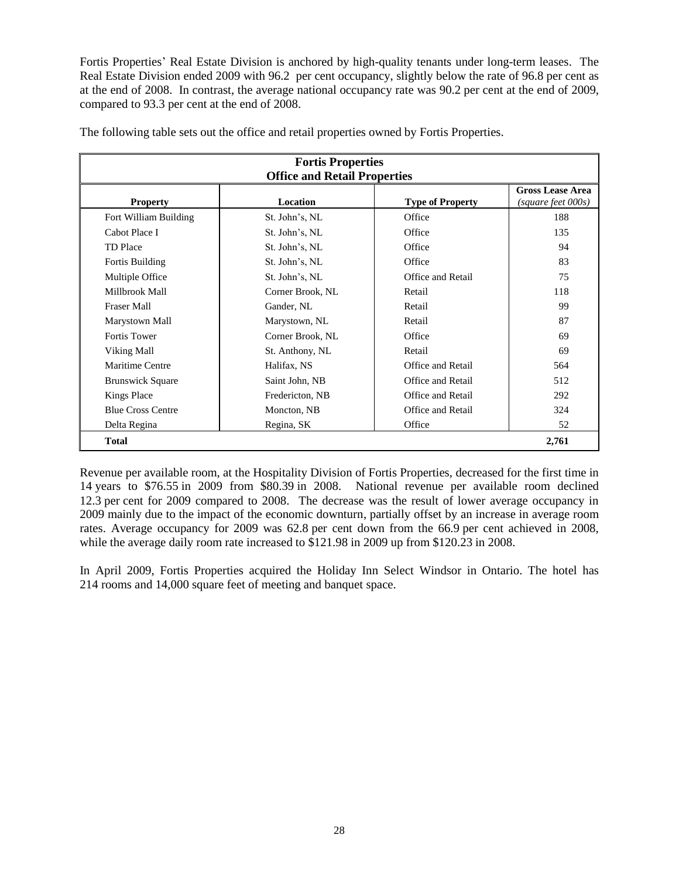Fortis Properties" Real Estate Division is anchored by high-quality tenants under long-term leases. The Real Estate Division ended 2009 with 96.2 per cent occupancy, slightly below the rate of 96.8 per cent as at the end of 2008. In contrast, the average national occupancy rate was 90.2 per cent at the end of 2009, compared to 93.3 per cent at the end of 2008.

|                          | <b>Fortis Properties</b>            |                         |                                               |  |  |
|--------------------------|-------------------------------------|-------------------------|-----------------------------------------------|--|--|
|                          | <b>Office and Retail Properties</b> |                         |                                               |  |  |
| <b>Property</b>          | Location                            | <b>Type of Property</b> | <b>Gross Lease Area</b><br>(square feet 000s) |  |  |
| Fort William Building    | St. John's, NL                      | Office                  | 188                                           |  |  |
| Cabot Place I            | St. John's, NL                      | Office                  | 135                                           |  |  |
| TD Place                 | St. John's, NL                      | Office                  | 94                                            |  |  |
| Fortis Building          | St. John's, NL                      | Office                  | 83                                            |  |  |
| Multiple Office          | St. John's, NL                      | Office and Retail       | 75                                            |  |  |
| Millbrook Mall           | Corner Brook, NL                    | Retail                  | 118                                           |  |  |
| <b>Fraser Mall</b>       | Gander, NL                          | Retail                  | 99                                            |  |  |
| Marystown Mall           | Marystown, NL                       | Retail                  | 87                                            |  |  |
| <b>Fortis Tower</b>      | Corner Brook, NL                    | Office                  | 69                                            |  |  |
| Viking Mall              | St. Anthony, NL                     | Retail                  | 69                                            |  |  |
| Maritime Centre          | Halifax, NS                         | Office and Retail       | 564                                           |  |  |
| <b>Brunswick Square</b>  | Saint John, NB                      | Office and Retail       | 512                                           |  |  |
| <b>Kings Place</b>       | Fredericton, NB                     | Office and Retail       | 292                                           |  |  |
| <b>Blue Cross Centre</b> | Moncton, NB                         | Office and Retail       | 324                                           |  |  |
| Delta Regina             | Regina, SK                          | Office                  | 52                                            |  |  |
| <b>Total</b>             |                                     |                         | 2,761                                         |  |  |

The following table sets out the office and retail properties owned by Fortis Properties.

Revenue per available room, at the Hospitality Division of Fortis Properties, decreased for the first time in 14 years to \$76.55 in 2009 from \$80.39 in 2008. National revenue per available room declined 12.3 per cent for 2009 compared to 2008. The decrease was the result of lower average occupancy in 2009 mainly due to the impact of the economic downturn, partially offset by an increase in average room rates. Average occupancy for 2009 was 62.8 per cent down from the 66.9 per cent achieved in 2008, while the average daily room rate increased to \$121.98 in 2009 up from \$120.23 in 2008.

In April 2009, Fortis Properties acquired the Holiday Inn Select Windsor in Ontario. The hotel has 214 rooms and 14,000 square feet of meeting and banquet space.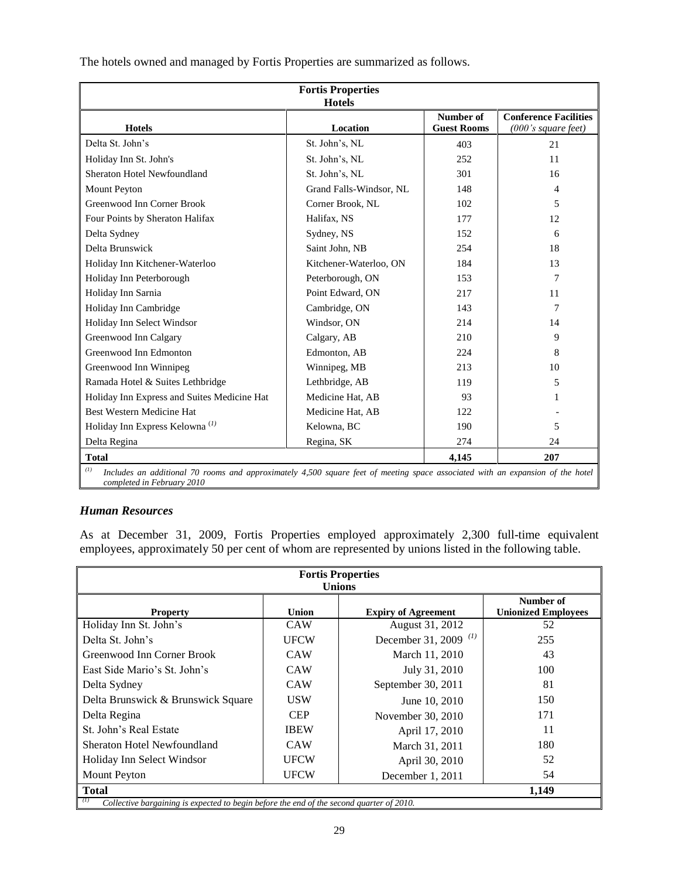| <b>Fortis Properties</b><br><b>Hotels</b>                                                                                                                           |                         |                                 |                                                     |  |
|---------------------------------------------------------------------------------------------------------------------------------------------------------------------|-------------------------|---------------------------------|-----------------------------------------------------|--|
| <b>Hotels</b>                                                                                                                                                       | Location                | Number of<br><b>Guest Rooms</b> | <b>Conference Facilities</b><br>(000's square feet) |  |
| Delta St. John's                                                                                                                                                    | St. John's, NL          | 403                             | 21                                                  |  |
| Holiday Inn St. John's                                                                                                                                              | St. John's, NL          | 252                             | 11                                                  |  |
| Sheraton Hotel Newfoundland                                                                                                                                         | St. John's, NL          | 301                             | 16                                                  |  |
| <b>Mount Peyton</b>                                                                                                                                                 | Grand Falls-Windsor, NL | 148                             | 4                                                   |  |
| Greenwood Inn Corner Brook                                                                                                                                          | Corner Brook, NL        | 102                             | 5                                                   |  |
| Four Points by Sheraton Halifax                                                                                                                                     | Halifax, NS             | 177                             | 12                                                  |  |
| Delta Sydney                                                                                                                                                        | Sydney, NS              | 152                             | 6                                                   |  |
| Delta Brunswick                                                                                                                                                     | Saint John, NB          | 254                             | 18                                                  |  |
| Holiday Inn Kitchener-Waterloo                                                                                                                                      | Kitchener-Waterloo, ON  | 184                             | 13                                                  |  |
| Holiday Inn Peterborough                                                                                                                                            | Peterborough, ON        | 153                             | 7                                                   |  |
| Holiday Inn Sarnia                                                                                                                                                  | Point Edward, ON        | 217                             | 11                                                  |  |
| Holiday Inn Cambridge                                                                                                                                               | Cambridge, ON           | 143                             | 7                                                   |  |
| Holiday Inn Select Windsor                                                                                                                                          | Windsor, ON             | 214                             | 14                                                  |  |
| Greenwood Inn Calgary                                                                                                                                               | Calgary, AB             | 210                             | 9                                                   |  |
| Greenwood Inn Edmonton                                                                                                                                              | Edmonton, AB            | 224                             | 8                                                   |  |
| Greenwood Inn Winnipeg                                                                                                                                              | Winnipeg, MB            | 213                             | 10                                                  |  |
| Ramada Hotel & Suites Lethbridge                                                                                                                                    | Lethbridge, AB          | 119                             | 5                                                   |  |
| Holiday Inn Express and Suites Medicine Hat                                                                                                                         | Medicine Hat, AB        | 93                              |                                                     |  |
| Best Western Medicine Hat                                                                                                                                           | Medicine Hat, AB        | 122                             |                                                     |  |
| Holiday Inn Express Kelowna <sup>(1)</sup>                                                                                                                          | Kelowna, BC             | 190                             | 5                                                   |  |
| Delta Regina                                                                                                                                                        | Regina, SK              | 274                             | 24                                                  |  |
| <b>Total</b><br>207<br>4,145                                                                                                                                        |                         |                                 |                                                     |  |
| (1)<br>Includes an additional 70 rooms and approximately 4,500 square feet of meeting space associated with an expansion of the hotel<br>completed in February 2010 |                         |                                 |                                                     |  |

The hotels owned and managed by Fortis Properties are summarized as follows.

## *Human Resources*

As at December 31, 2009, Fortis Properties employed approximately 2,300 full-time equivalent employees, approximately 50 per cent of whom are represented by unions listed in the following table.

| <b>Fortis Properties</b><br><b>Unions</b>                                                                |             |                                                                                          |     |  |  |  |
|----------------------------------------------------------------------------------------------------------|-------------|------------------------------------------------------------------------------------------|-----|--|--|--|
| Number of<br><b>Union</b><br><b>Unionized Employees</b><br><b>Expiry of Agreement</b><br><b>Property</b> |             |                                                                                          |     |  |  |  |
| Holiday Inn St. John's                                                                                   | <b>CAW</b>  | August 31, 2012                                                                          | 52  |  |  |  |
| Delta St. John's                                                                                         | <b>UFCW</b> | December 31, 2009 <sup>(1)</sup>                                                         | 255 |  |  |  |
| Greenwood Inn Corner Brook                                                                               | <b>CAW</b>  | March 11, 2010                                                                           | 43  |  |  |  |
| East Side Mario's St. John's                                                                             | <b>CAW</b>  | July 31, 2010                                                                            | 100 |  |  |  |
| Delta Sydney                                                                                             | <b>CAW</b>  | September 30, 2011                                                                       | 81  |  |  |  |
| Delta Brunswick & Brunswick Square                                                                       | <b>USW</b>  | June 10, 2010                                                                            | 150 |  |  |  |
| Delta Regina                                                                                             | <b>CEP</b>  | November 30, 2010                                                                        | 171 |  |  |  |
| St. John's Real Estate                                                                                   | <b>IBEW</b> | April 17, 2010                                                                           | 11  |  |  |  |
| <b>Sheraton Hotel Newfoundland</b>                                                                       | <b>CAW</b>  | March 31, 2011                                                                           | 180 |  |  |  |
| Holiday Inn Select Windsor                                                                               | <b>UFCW</b> | April 30, 2010                                                                           | 52  |  |  |  |
| Mount Peyton                                                                                             | <b>UFCW</b> | December 1, 2011                                                                         | 54  |  |  |  |
| <b>Total</b><br>1,149                                                                                    |             |                                                                                          |     |  |  |  |
|                                                                                                          |             | Collective bargaining is expected to begin before the end of the second quarter of 2010. |     |  |  |  |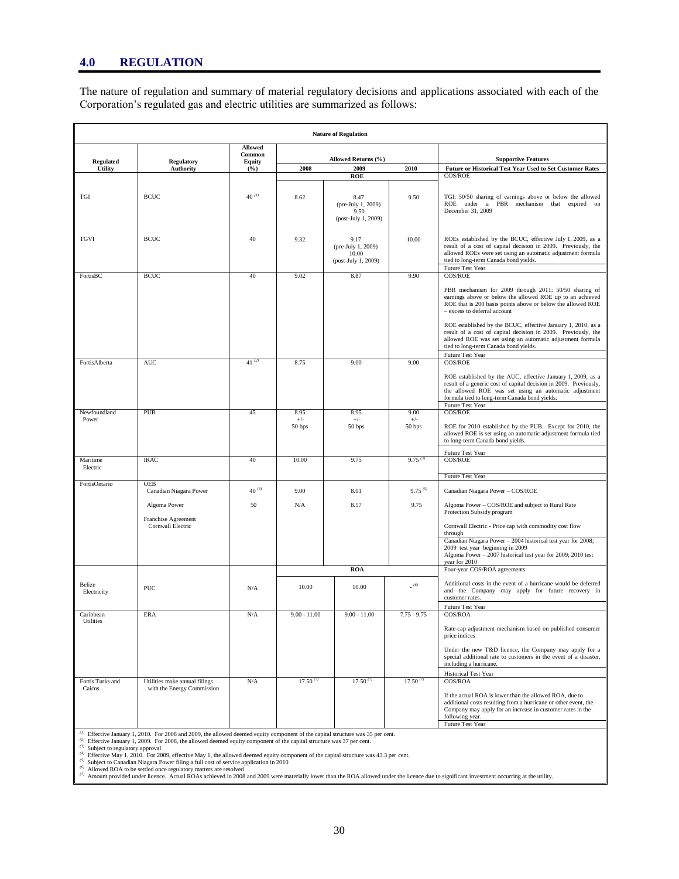The nature of regulation and summary of material regulatory decisions and applications associated with each of the Corporation"s regulated gas and electric utilities are summarized as follows:

| <b>Nature of Regulation</b> |                                     |                                           |                 |                                                            |                 |                                                                                                                                                                                                                                                                                                                                                                                                                                                                              |
|-----------------------------|-------------------------------------|-------------------------------------------|-----------------|------------------------------------------------------------|-----------------|------------------------------------------------------------------------------------------------------------------------------------------------------------------------------------------------------------------------------------------------------------------------------------------------------------------------------------------------------------------------------------------------------------------------------------------------------------------------------|
| <b>Regulated</b>            | <b>Regulatory</b>                   | <b>Allowed</b><br>Common<br><b>Equity</b> |                 | Allowed Returns (%)                                        |                 | <b>Supportive Features</b>                                                                                                                                                                                                                                                                                                                                                                                                                                                   |
| Utility                     | <b>Authority</b>                    | (%)                                       | 2008            | 2009                                                       | 2010            | Future or Historical Test Year Used to Set Customer Rates                                                                                                                                                                                                                                                                                                                                                                                                                    |
|                             |                                     |                                           |                 | <b>ROE</b>                                                 |                 | COS/ROE                                                                                                                                                                                                                                                                                                                                                                                                                                                                      |
| $_{\rm TGI}$                | <b>BCUC</b>                         | $40^{(1)}$                                | 8.62            | 8.47<br>(pre-July 1, 2009)<br>9.50<br>(post-July 1, 2009)  | 9.50            | TGI: 50/50 sharing of earnings above or below the allowed<br>ROE under a PBR mechanism that expired on<br>December 31, 2009                                                                                                                                                                                                                                                                                                                                                  |
| <b>TGVI</b>                 | <b>BCUC</b>                         | 40                                        | 9.32            | 9.17<br>(pre-July 1, 2009)<br>10.00<br>(post-July 1, 2009) | 10.00           | ROEs established by the BCUC, effective July 1, 2009, as a<br>result of a cost of capital decision in 2009. Previously, the<br>allowed ROEs were set using an automatic adjustment formula<br>tied to long-term Canada bond yields.                                                                                                                                                                                                                                          |
| FortisBC                    | <b>BCUC</b>                         | 40                                        | 9.02            | 8.87                                                       | 9.90            | Future Test Year<br>COS/ROE                                                                                                                                                                                                                                                                                                                                                                                                                                                  |
|                             |                                     |                                           |                 |                                                            |                 | PBR mechanism for 2009 through 2011: 50/50 sharing of<br>earnings above or below the allowed ROE up to an achieved<br>ROE that is 200 basis points above or below the allowed ROE<br>- excess to deferral account<br>ROE established by the BCUC, effective January 1, 2010, as a<br>result of a cost of capital decision in 2009. Previously, the<br>allowed ROE was set using an automatic adjustment formula<br>tied to long-term Canada bond yields.<br>Future Test Year |
| FortisAlberta               | <b>AUC</b>                          | $41^{(2)}$                                | 8.75            | 9.00                                                       | 9.00            | COS/ROE                                                                                                                                                                                                                                                                                                                                                                                                                                                                      |
|                             |                                     |                                           |                 |                                                            |                 | ROE established by the AUC, effective January 1, 2009, as a<br>result of a generic cost of capital decision in 2009. Previously,<br>the allowed ROE was set using an automatic adjustment<br>formula tied to long-term Canada bond yields.<br>Future Test Year                                                                                                                                                                                                               |
| Newfoundland                | PUB                                 | 45                                        | 8.95            | 8.95                                                       | 9.00            | COS/ROE                                                                                                                                                                                                                                                                                                                                                                                                                                                                      |
| Power                       |                                     |                                           | $+/-$<br>50 bps | $+/-$<br>50 bps                                            | $+/-$<br>50 bps | ROE for 2010 established by the PUB. Except for 2010, the<br>allowed ROE is set using an automatic adjustment formula tied<br>to long-term Canada bond yields.                                                                                                                                                                                                                                                                                                               |
|                             |                                     |                                           |                 |                                                            |                 | Future Test Year                                                                                                                                                                                                                                                                                                                                                                                                                                                             |
| Maritime<br>Electric        | <b>IRAC</b>                         | 40                                        | 10.00           | 9.75                                                       | $9.75^{(3)}$    | COS/ROE                                                                                                                                                                                                                                                                                                                                                                                                                                                                      |
| FortisOntario               | <b>OEB</b>                          |                                           |                 |                                                            |                 | Future Test Year                                                                                                                                                                                                                                                                                                                                                                                                                                                             |
|                             | Canadian Niagara Power              | $40\ ^{\,(4)}$                            | 9.00            | 8.01                                                       | $9.75^{(5)}$    | Canadian Niagara Power - COS/ROE                                                                                                                                                                                                                                                                                                                                                                                                                                             |
|                             | Algoma Power<br>Franchise Agreement | 50                                        | N/A             | 8.57                                                       | 9.75            | Algoma Power - COS/ROE and subject to Rural Rate<br>Protection Subsidy program                                                                                                                                                                                                                                                                                                                                                                                               |
|                             | Cornwall Electric                   |                                           |                 |                                                            |                 | Cornwall Electric - Price cap with commodity cost flow<br>through<br>Canadian Niagara Power - 2004 historical test year for 2008;                                                                                                                                                                                                                                                                                                                                            |
|                             |                                     |                                           |                 |                                                            |                 | 2009 test year beginning in 2009<br>Algoma Power - 2007 historical test year for 2009; 2010 test<br>year for 2010                                                                                                                                                                                                                                                                                                                                                            |
|                             |                                     |                                           |                 | <b>ROA</b>                                                 |                 | Four-year COS/ROA agreements                                                                                                                                                                                                                                                                                                                                                                                                                                                 |
| Belize<br>Electricity       | <b>PUC</b>                          | N/A                                       | 10.00           | 10.00                                                      | (6)             | Additional costs in the event of a hurricane would be deferred<br>and the Company may apply for future recovery in<br>customer rates.                                                                                                                                                                                                                                                                                                                                        |
|                             |                                     |                                           |                 |                                                            |                 | Future Test Year                                                                                                                                                                                                                                                                                                                                                                                                                                                             |
| Caribbean<br>Utilities      | <b>ERA</b>                          | N/A                                       | $9.00 - 11.00$  | $9.00 - 11.00$                                             | $7.75 - 9.75$   | COS/ROA<br>Rate-cap adjustment mechanism based on published consumer<br>price indices<br>Under the new T&D licence, the Company may apply for a<br>special additional rate to customers in the event of a disaster,<br>including a hurricane.                                                                                                                                                                                                                                |
| Fortis Turks and            | Utilities make annual filings       | N/A                                       | $17.50^{(7)}$   | $17.50^{(7)}$                                              | $17.50^{(7)}$   | <b>Historical Test Year</b><br>COS/ROA                                                                                                                                                                                                                                                                                                                                                                                                                                       |
| Caicos                      | with the Energy Commission          |                                           |                 |                                                            |                 | If the actual ROA is lower than the allowed ROA, due to<br>additional costs resulting from a hurricane or other event, the<br>Company may apply for an increase in customer rates in the<br>following year.<br>Future Test Year                                                                                                                                                                                                                                              |

(*i*) Effective January 1, 2010. For 2008 and 2009, the allowed deemed equity component of the capital structure was 35 per cent.<br>( $a$ ) Effective January 1, 2009. For 2008, the allowed deemed equity component of the capit

*(2)*

(3) Subject to regulatory approval<br>
(4) Effective May 1, 2010. For 2009, effective May 1, the allowed deemed equity component of the capital structure was 43.3 per cent.<br>
(5) Subject to Canadian Niagara Power filing a ful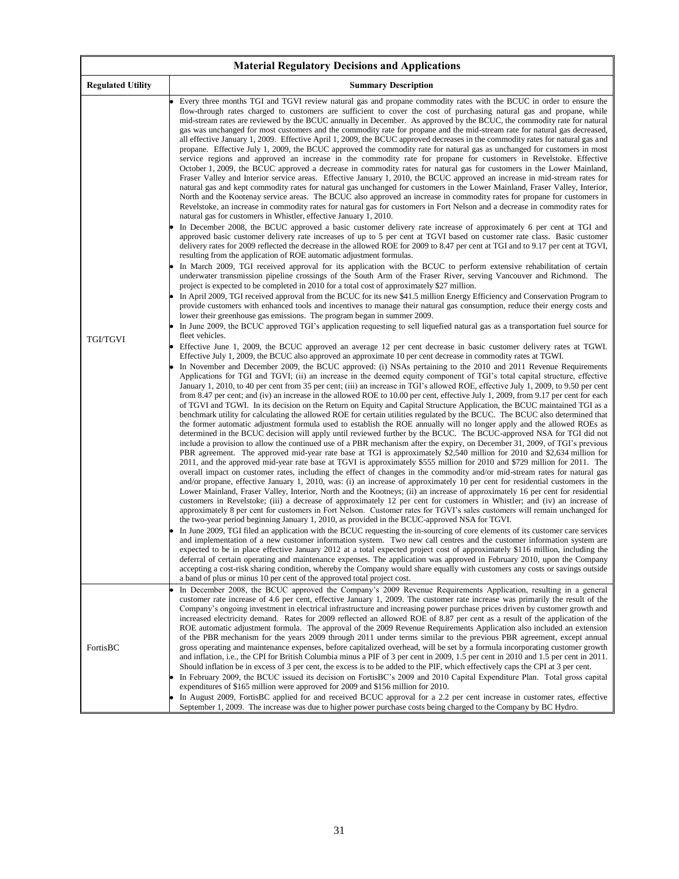| <b>Material Regulatory Decisions and Applications</b> |                                                                                                                                                                                                                                                                                                                                                                                                                                                                                                                                                                                                                                                                                                                                                                                                                                                                                                                                                                                                                                                                                                                                                                                                                                                                                                                                                                                                                                                                                                                                                                                                                                                                                                                                                                                                                                                                                                                                                                                                                                                                                                                                                                                                                                                                                                                                                                                                                                                                                                                                                                                                                                                                                                                                                                                                                                                                                                                                                                                                                                                                                                                                                                                                                                                                                                                                                                                                                                                                                                                                                                                                                                                                                                                                                                                                                                                                                                                                                                                                                                                                                                                                                                                                                                                                                                                                                                                                                                                                                                                                                                                                                                                                                                                                                                                                                                                                                                                                                                                                                                                                                                                                                                                                                                                                                                                                                                                                                                                                                                                                                                                                                                                                                                                                                                                                                                                                                                                                                                                                                                                                                                           |  |  |  |
|-------------------------------------------------------|-----------------------------------------------------------------------------------------------------------------------------------------------------------------------------------------------------------------------------------------------------------------------------------------------------------------------------------------------------------------------------------------------------------------------------------------------------------------------------------------------------------------------------------------------------------------------------------------------------------------------------------------------------------------------------------------------------------------------------------------------------------------------------------------------------------------------------------------------------------------------------------------------------------------------------------------------------------------------------------------------------------------------------------------------------------------------------------------------------------------------------------------------------------------------------------------------------------------------------------------------------------------------------------------------------------------------------------------------------------------------------------------------------------------------------------------------------------------------------------------------------------------------------------------------------------------------------------------------------------------------------------------------------------------------------------------------------------------------------------------------------------------------------------------------------------------------------------------------------------------------------------------------------------------------------------------------------------------------------------------------------------------------------------------------------------------------------------------------------------------------------------------------------------------------------------------------------------------------------------------------------------------------------------------------------------------------------------------------------------------------------------------------------------------------------------------------------------------------------------------------------------------------------------------------------------------------------------------------------------------------------------------------------------------------------------------------------------------------------------------------------------------------------------------------------------------------------------------------------------------------------------------------------------------------------------------------------------------------------------------------------------------------------------------------------------------------------------------------------------------------------------------------------------------------------------------------------------------------------------------------------------------------------------------------------------------------------------------------------------------------------------------------------------------------------------------------------------------------------------------------------------------------------------------------------------------------------------------------------------------------------------------------------------------------------------------------------------------------------------------------------------------------------------------------------------------------------------------------------------------------------------------------------------------------------------------------------------------------------------------------------------------------------------------------------------------------------------------------------------------------------------------------------------------------------------------------------------------------------------------------------------------------------------------------------------------------------------------------------------------------------------------------------------------------------------------------------------------------------------------------------------------------------------------------------------------------------------------------------------------------------------------------------------------------------------------------------------------------------------------------------------------------------------------------------------------------------------------------------------------------------------------------------------------------------------------------------------------------------------------------------------------------------------------------------------------------------------------------------------------------------------------------------------------------------------------------------------------------------------------------------------------------------------------------------------------------------------------------------------------------------------------------------------------------------------------------------------------------------------------------------------------------------------------------------------------------------------------------------------------------------------------------------------------------------------------------------------------------------------------------------------------------------------------------------------------------------------------------------------------------------------------------------------------------------------------------------------------------------------------------------------------------------------------------------------------------------------------------------------|--|--|--|
| <b>Regulated Utility</b>                              | <b>Summary Description</b>                                                                                                                                                                                                                                                                                                                                                                                                                                                                                                                                                                                                                                                                                                                                                                                                                                                                                                                                                                                                                                                                                                                                                                                                                                                                                                                                                                                                                                                                                                                                                                                                                                                                                                                                                                                                                                                                                                                                                                                                                                                                                                                                                                                                                                                                                                                                                                                                                                                                                                                                                                                                                                                                                                                                                                                                                                                                                                                                                                                                                                                                                                                                                                                                                                                                                                                                                                                                                                                                                                                                                                                                                                                                                                                                                                                                                                                                                                                                                                                                                                                                                                                                                                                                                                                                                                                                                                                                                                                                                                                                                                                                                                                                                                                                                                                                                                                                                                                                                                                                                                                                                                                                                                                                                                                                                                                                                                                                                                                                                                                                                                                                                                                                                                                                                                                                                                                                                                                                                                                                                                                                                |  |  |  |
| TGI/TGVI                                              | Every three months TGI and TGVI review natural gas and propane commodity rates with the BCUC in order to ensure the<br>flow-through rates charged to customers are sufficient to cover the cost of purchasing natural gas and propane, while<br>mid-stream rates are reviewed by the BCUC annually in December. As approved by the BCUC, the commodity rate for natural<br>gas was unchanged for most customers and the commodity rate for propane and the mid-stream rate for natural gas decreased,<br>all effective January 1, 2009. Effective April 1, 2009, the BCUC approved decreases in the commodity rates for natural gas and<br>propane. Effective July 1, 2009, the BCUC approved the commodity rate for natural gas as unchanged for customers in most<br>service regions and approved an increase in the commodity rate for propane for customers in Revelstoke. Effective<br>October 1, 2009, the BCUC approved a decrease in commodity rates for natural gas for customers in the Lower Mainland,<br>Fraser Valley and Interior service areas. Effective January 1, 2010, the BCUC approved an increase in mid-stream rates for<br>natural gas and kept commodity rates for natural gas unchanged for customers in the Lower Mainland, Fraser Valley, Interior,<br>North and the Kootenay service areas. The BCUC also approved an increase in commodity rates for propane for customers in<br>Revelstoke, an increase in commodity rates for natural gas for customers in Fort Nelson and a decrease in commodity rates for<br>natural gas for customers in Whistler, effective January 1, 2010.<br>In December 2008, the BCUC approved a basic customer delivery rate increase of approximately 6 per cent at TGI and<br>approved basic customer delivery rate increases of up to 5 per cent at TGVI based on customer rate class. Basic customer<br>delivery rates for 2009 reflected the decrease in the allowed ROE for 2009 to 8.47 per cent at TGI and to 9.17 per cent at TGVI,<br>resulting from the application of ROE automatic adjustment formulas.<br>In March 2009, TGI received approval for its application with the BCUC to perform extensive rehabilitation of certain<br>underwater transmission pipeline crossings of the South Arm of the Fraser River, serving Vancouver and Richmond. The<br>project is expected to be completed in 2010 for a total cost of approximately \$27 million.<br>In April 2009, TGI received approval from the BCUC for its new \$41.5 million Energy Efficiency and Conservation Program to<br>provide customers with enhanced tools and incentives to manage their natural gas consumption, reduce their energy costs and<br>lower their greenhouse gas emissions. The program began in summer 2009.<br>In June 2009, the BCUC approved TGI's application requesting to sell liquefied natural gas as a transportation fuel source for<br>fleet vehicles.<br>Effective June 1, 2009, the BCUC approved an average 12 per cent decrease in basic customer delivery rates at TGWI.<br>Effective July 1, 2009, the BCUC also approved an approximate 10 per cent decrease in commodity rates at TGWI.<br>In November and December 2009, the BCUC approved: (i) NSAs pertaining to the 2010 and 2011 Revenue Requirements<br>Applications for TGI and TGVI; (ii) an increase in the deemed equity component of TGI's total capital structure, effective<br>January 1, 2010, to 40 per cent from 35 per cent; (iii) an increase in TGI's allowed ROE, effective July 1, 2009, to 9.50 per cent<br>from 8.47 per cent; and (iv) an increase in the allowed ROE to 10.00 per cent, effective July 1, 2009, from 9.17 per cent for each<br>of TGVI and TGWI. In its decision on the Return on Equity and Capital Structure Application, the BCUC maintained TGI as a<br>benchmark utility for calculating the allowed ROE for certain utilities regulated by the BCUC. The BCUC also determined that<br>the former automatic adjustment formula used to establish the ROE annually will no longer apply and the allowed ROEs as<br>determined in the BCUC decision will apply until reviewed further by the BCUC. The BCUC-approved NSA for TGI did not<br>include a provision to allow the continued use of a PBR mechanism after the expiry, on December 31, 2009, of TGI's previous<br>PBR agreement. The approved mid-year rate base at TGI is approximately \$2,540 million for 2010 and \$2,634 million for<br>2011, and the approved mid-year rate base at TGVI is approximately \$555 million for 2010 and \$729 million for 2011. The<br>overall impact on customer rates, including the effect of changes in the commodity and/or mid-stream rates for natural gas<br>and/or propane, effective January 1, 2010, was: (i) an increase of approximately 10 per cent for residential customers in the<br>Lower Mainland, Fraser Valley, Interior, North and the Kootneys; (ii) an increase of approximately 16 per cent for residential<br>customers in Revelstoke; (iii) a decrease of approximately 12 per cent for customers in Whistler; and (iv) an increase of<br>approximately 8 per cent for customers in Fort Nelson. Customer rates for TGVI's sales customers will remain unchanged for<br>the two-year period beginning January 1, 2010, as provided in the BCUC-approved NSA for TGVI.<br>In June 2009, TGI filed an application with the BCUC requesting the in-sourcing of core elements of its customer care services<br>and implementation of a new customer information system. Two new call centres and the customer information system are<br>expected to be in place effective January 2012 at a total expected project cost of approximately \$116 million, including the<br>deferral of certain operating and maintenance expenses. The application was approved in February 2010, upon the Company<br>accepting a cost-risk sharing condition, whereby the Company would share equally with customers any costs or savings outside<br>a band of plus or minus 10 per cent of the approved total project cost. |  |  |  |
| FortisBC                                              | In December 2008, the BCUC approved the Company's 2009 Revenue Requirements Application, resulting in a general<br>customer rate increase of 4.6 per cent, effective January 1, 2009. The customer rate increase was primarily the result of the<br>Company's ongoing investment in electrical infrastructure and increasing power purchase prices driven by customer growth and<br>increased electricity demand. Rates for 2009 reflected an allowed ROE of 8.87 per cent as a result of the application of the<br>ROE automatic adjustment formula. The approval of the 2009 Revenue Requirements Application also included an extension<br>of the PBR mechanism for the years 2009 through 2011 under terms similar to the previous PBR agreement, except annual<br>gross operating and maintenance expenses, before capitalized overhead, will be set by a formula incorporating customer growth<br>and inflation, i.e., the CPI for British Columbia minus a PIF of 3 per cent in 2009, 1.5 per cent in 2010 and 1.5 per cent in 2011.<br>Should inflation be in excess of 3 per cent, the excess is to be added to the PIF, which effectively caps the CPI at 3 per cent.<br>In February 2009, the BCUC issued its decision on FortisBC's 2009 and 2010 Capital Expenditure Plan. Total gross capital<br>expenditures of \$165 million were approved for 2009 and \$156 million for 2010.<br>In August 2009, FortisBC applied for and received BCUC approval for a 2.2 per cent increase in customer rates, effective<br>September 1, 2009. The increase was due to higher power purchase costs being charged to the Company by BC Hydro.                                                                                                                                                                                                                                                                                                                                                                                                                                                                                                                                                                                                                                                                                                                                                                                                                                                                                                                                                                                                                                                                                                                                                                                                                                                                                                                                                                                                                                                                                                                                                                                                                                                                                                                                                                                                                                                                                                                                                                                                                                                                                                                                                                                                                                                                                                                                                                                                                                                                                                                                                                                                                                                                                                                                                                                                                                                                                                                                                                                                                                                                                                                                                                                                                                                                                                                                                                                                                                                                                                                                                                                                                                                                                                                                                                                                                                                                                                                                                                                                                                                                                                                                                                                                                                                                                                                                                                                                                                                           |  |  |  |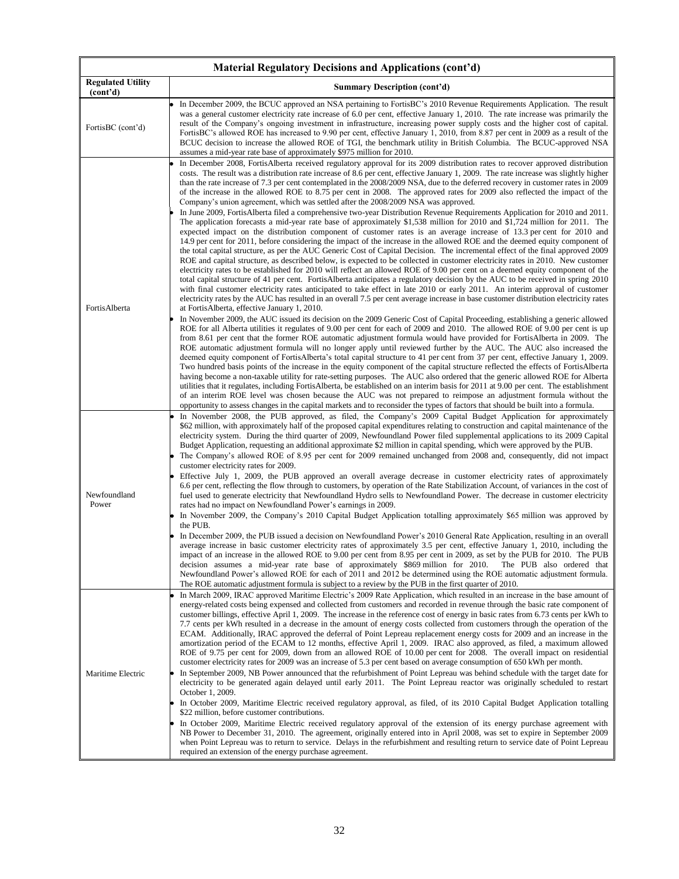| Material Regulatory Decisions and Applications (cont'd) |                                                                                                                                                                                                                                                                                                                                                                                                                                                                                                                                                                                                                                                                                                                                                                                                                                                                                                                                                                                                                                                                                                                                                                                                                                                                                                                                                                                                                                                                                                                                                                                                                                                                                                                                                                                                                                                                                                                                                                                                                                                                                                                                                                                                                                                                                                                                                                                                                                                                                                                                                                                                                                                                                                                                                                                                                                                                                                                                                                                                                                                                                                                                                                                                                                                                                                                                                |  |  |  |
|---------------------------------------------------------|------------------------------------------------------------------------------------------------------------------------------------------------------------------------------------------------------------------------------------------------------------------------------------------------------------------------------------------------------------------------------------------------------------------------------------------------------------------------------------------------------------------------------------------------------------------------------------------------------------------------------------------------------------------------------------------------------------------------------------------------------------------------------------------------------------------------------------------------------------------------------------------------------------------------------------------------------------------------------------------------------------------------------------------------------------------------------------------------------------------------------------------------------------------------------------------------------------------------------------------------------------------------------------------------------------------------------------------------------------------------------------------------------------------------------------------------------------------------------------------------------------------------------------------------------------------------------------------------------------------------------------------------------------------------------------------------------------------------------------------------------------------------------------------------------------------------------------------------------------------------------------------------------------------------------------------------------------------------------------------------------------------------------------------------------------------------------------------------------------------------------------------------------------------------------------------------------------------------------------------------------------------------------------------------------------------------------------------------------------------------------------------------------------------------------------------------------------------------------------------------------------------------------------------------------------------------------------------------------------------------------------------------------------------------------------------------------------------------------------------------------------------------------------------------------------------------------------------------------------------------------------------------------------------------------------------------------------------------------------------------------------------------------------------------------------------------------------------------------------------------------------------------------------------------------------------------------------------------------------------------------------------------------------------------------------------------------------------------|--|--|--|
| <b>Regulated Utility</b><br>(cont'd)                    | <b>Summary Description (cont'd)</b>                                                                                                                                                                                                                                                                                                                                                                                                                                                                                                                                                                                                                                                                                                                                                                                                                                                                                                                                                                                                                                                                                                                                                                                                                                                                                                                                                                                                                                                                                                                                                                                                                                                                                                                                                                                                                                                                                                                                                                                                                                                                                                                                                                                                                                                                                                                                                                                                                                                                                                                                                                                                                                                                                                                                                                                                                                                                                                                                                                                                                                                                                                                                                                                                                                                                                                            |  |  |  |
| FortisBC (cont'd)                                       | In December 2009, the BCUC approved an NSA pertaining to FortisBC's 2010 Revenue Requirements Application. The result<br>was a general customer electricity rate increase of 6.0 per cent, effective January 1, 2010. The rate increase was primarily the<br>result of the Company's ongoing investment in infrastructure, increasing power supply costs and the higher cost of capital.<br>FortisBC's allowed ROE has increased to 9.90 per cent, effective January 1, 2010, from 8.87 per cent in 2009 as a result of the<br>BCUC decision to increase the allowed ROE of TGI, the benchmark utility in British Columbia. The BCUC-approved NSA<br>assumes a mid-year rate base of approximately \$975 million for 2010.                                                                                                                                                                                                                                                                                                                                                                                                                                                                                                                                                                                                                                                                                                                                                                                                                                                                                                                                                                                                                                                                                                                                                                                                                                                                                                                                                                                                                                                                                                                                                                                                                                                                                                                                                                                                                                                                                                                                                                                                                                                                                                                                                                                                                                                                                                                                                                                                                                                                                                                                                                                                                     |  |  |  |
| FortisAlberta                                           | In December 2008, FortisAlberta received regulatory approval for its 2009 distribution rates to recover approved distribution<br>costs. The result was a distribution rate increase of 8.6 per cent, effective January 1, 2009. The rate increase was slightly higher<br>than the rate increase of 7.3 per cent contemplated in the 2008/2009 NSA, due to the deferred recovery in customer rates in 2009<br>of the increase in the allowed ROE to 8.75 per cent in 2008. The approved rates for 2009 also reflected the impact of the<br>Company's union agreement, which was settled after the 2008/2009 NSA was approved.<br>In June 2009, FortisAlberta filed a comprehensive two-year Distribution Revenue Requirements Application for 2010 and 2011.<br>The application forecasts a mid-year rate base of approximately \$1,538 million for 2010 and \$1,724 million for 2011. The<br>expected impact on the distribution component of customer rates is an average increase of 13.3 per cent for 2010 and<br>14.9 per cent for 2011, before considering the impact of the increase in the allowed ROE and the deemed equity component of<br>the total capital structure, as per the AUC Generic Cost of Capital Decision. The incremental effect of the final approved 2009<br>ROE and capital structure, as described below, is expected to be collected in customer electricity rates in 2010. New customer<br>electricity rates to be established for 2010 will reflect an allowed ROE of 9.00 per cent on a deemed equity component of the<br>total capital structure of 41 per cent. FortisAlberta anticipates a regulatory decision by the AUC to be received in spring 2010<br>with final customer electricity rates anticipated to take effect in late 2010 or early 2011. An interim approval of customer<br>electricity rates by the AUC has resulted in an overall 7.5 per cent average increase in base customer distribution electricity rates<br>at Fortis Alberta, effective January 1, 2010.<br>In November 2009, the AUC issued its decision on the 2009 Generic Cost of Capital Proceeding, establishing a generic allowed<br>ROE for all Alberta utilities it regulates of 9.00 per cent for each of 2009 and 2010. The allowed ROE of 9.00 per cent is up<br>from 8.61 per cent that the former ROE automatic adjustment formula would have provided for FortisAlberta in 2009. The<br>ROE automatic adjustment formula will no longer apply until reviewed further by the AUC. The AUC also increased the<br>deemed equity component of FortisAlberta's total capital structure to 41 per cent from 37 per cent, effective January 1, 2009.<br>Two hundred basis points of the increase in the equity component of the capital structure reflected the effects of FortisAlberta<br>having become a non-taxable utility for rate-setting purposes. The AUC also ordered that the generic allowed ROE for Alberta<br>utilities that it regulates, including FortisAlberta, be established on an interim basis for 2011 at 9.00 per cent. The establishment<br>of an interim ROE level was chosen because the AUC was not prepared to reimpose an adjustment formula without the<br>opportunity to assess changes in the capital markets and to reconsider the types of factors that should be built into a formula. |  |  |  |
| Newfoundland<br>Power                                   | In November 2008, the PUB approved, as filed, the Company's 2009 Capital Budget Application for approximately<br>\$62 million, with approximately half of the proposed capital expenditures relating to construction and capital maintenance of the<br>electricity system. During the third quarter of 2009, Newfoundland Power filed supplemental applications to its 2009 Capital<br>Budget Application, requesting an additional approximate \$2 million in capital spending, which were approved by the PUB.<br>The Company's allowed ROE of 8.95 per cent for 2009 remained unchanged from 2008 and, consequently, did not impact<br>customer electricity rates for 2009.<br>Effective July 1, 2009, the PUB approved an overall average decrease in customer electricity rates of approximately<br>6.6 per cent, reflecting the flow through to customers, by operation of the Rate Stabilization Account, of variances in the cost of<br>fuel used to generate electricity that Newfoundland Hydro sells to Newfoundland Power. The decrease in customer electricity<br>rates had no impact on Newfoundland Power's earnings in 2009.<br>In November 2009, the Company's 2010 Capital Budget Application totalling approximately \$65 million was approved by<br>the PUB.<br>In December 2009, the PUB issued a decision on Newfoundland Power's 2010 General Rate Application, resulting in an overall<br>average increase in basic customer electricity rates of approximately 3.5 per cent, effective January 1, 2010, including the<br>impact of an increase in the allowed ROE to 9.00 per cent from 8.95 per cent in 2009, as set by the PUB for 2010. The PUB<br>decision assumes a mid-year rate base of approximately \$869 million for 2010.<br>The PUB also ordered that<br>Newfoundland Power's allowed ROE for each of 2011 and 2012 be determined using the ROE automatic adjustment formula.<br>The ROE automatic adjustment formula is subject to a review by the PUB in the first quarter of 2010.                                                                                                                                                                                                                                                                                                                                                                                                                                                                                                                                                                                                                                                                                                                                                                                                                                                                                                                                                                                                                                                                                                                                                                                                                                                                                                                     |  |  |  |
| Maritime Electric                                       | In March 2009, IRAC approved Maritime Electric's 2009 Rate Application, which resulted in an increase in the base amount of<br>energy-related costs being expensed and collected from customers and recorded in revenue through the basic rate component of<br>customer billings, effective April 1, 2009. The increase in the reference cost of energy in basic rates from 6.73 cents per kWh to<br>7.7 cents per kWh resulted in a decrease in the amount of energy costs collected from customers through the operation of the<br>ECAM. Additionally, IRAC approved the deferral of Point Lepreau replacement energy costs for 2009 and an increase in the<br>amortization period of the ECAM to 12 months, effective April 1, 2009. IRAC also approved, as filed, a maximum allowed<br>ROE of 9.75 per cent for 2009, down from an allowed ROE of 10.00 per cent for 2008. The overall impact on residential<br>customer electricity rates for 2009 was an increase of 5.3 per cent based on average consumption of 650 kWh per month.<br>In September 2009, NB Power announced that the refurbishment of Point Lepreau was behind schedule with the target date for<br>electricity to be generated again delayed until early 2011. The Point Lepreau reactor was originally scheduled to restart<br>October 1, 2009.<br>In October 2009, Maritime Electric received regulatory approval, as filed, of its 2010 Capital Budget Application totalling<br>\$22 million, before customer contributions.<br>In October 2009, Maritime Electric received regulatory approval of the extension of its energy purchase agreement with<br>NB Power to December 31, 2010. The agreement, originally entered into in April 2008, was set to expire in September 2009<br>when Point Lepreau was to return to service. Delays in the refurbishment and resulting return to service date of Point Lepreau<br>required an extension of the energy purchase agreement.                                                                                                                                                                                                                                                                                                                                                                                                                                                                                                                                                                                                                                                                                                                                                                                                                                                                                                                                                                                                                                                                                                                                                                                                                                                                                                                                                                                    |  |  |  |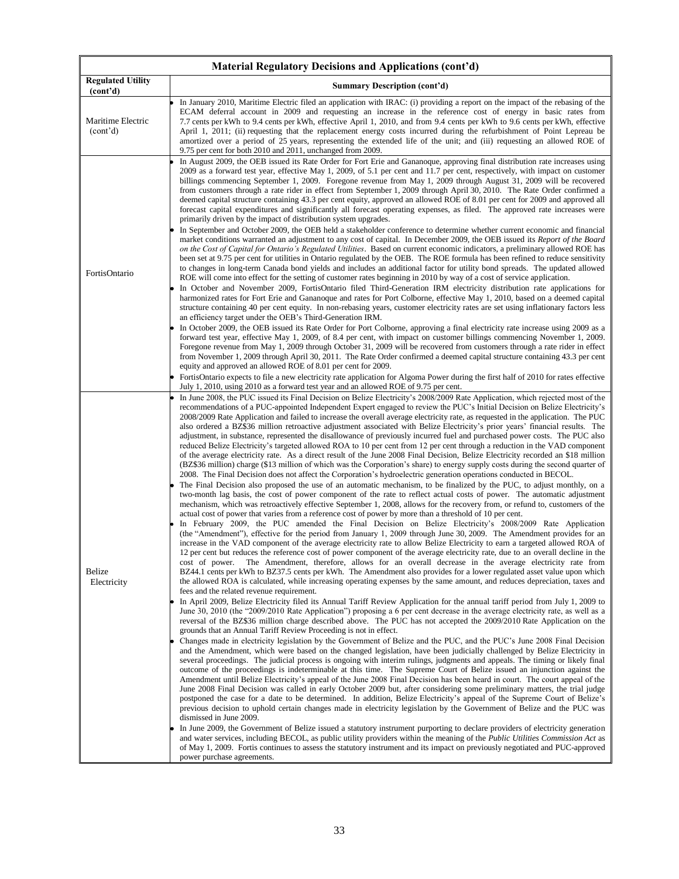|                                            | Material Regulatory Decisions and Applications (cont'd)                                                                                                                                                                                                                                                                                                                                                                                                                                                                                                                                                                                                                                                                                                                                                                                                                                                                                                                                                                                                                                                                                                                                                                                                                                                                                                                                                                                                                                                                                                                                                                                                                                                                                                                                                                                                                                                                                                                                                                                                                                                                                                                                                                                                                                                                                                                                                                                                                                                                                                                                                                                                                                                                                                                                                                                                                                                                                                                                                                                                                                                                                                                                                                                                                                                                                                                                                                                                                                                                                                                                                                                                                                                                                                                                                                                                                                                                                                                                                                                                                                                                                                                                                                                                                                                                                                                                                                                                                                                                                                                                              |
|--------------------------------------------|------------------------------------------------------------------------------------------------------------------------------------------------------------------------------------------------------------------------------------------------------------------------------------------------------------------------------------------------------------------------------------------------------------------------------------------------------------------------------------------------------------------------------------------------------------------------------------------------------------------------------------------------------------------------------------------------------------------------------------------------------------------------------------------------------------------------------------------------------------------------------------------------------------------------------------------------------------------------------------------------------------------------------------------------------------------------------------------------------------------------------------------------------------------------------------------------------------------------------------------------------------------------------------------------------------------------------------------------------------------------------------------------------------------------------------------------------------------------------------------------------------------------------------------------------------------------------------------------------------------------------------------------------------------------------------------------------------------------------------------------------------------------------------------------------------------------------------------------------------------------------------------------------------------------------------------------------------------------------------------------------------------------------------------------------------------------------------------------------------------------------------------------------------------------------------------------------------------------------------------------------------------------------------------------------------------------------------------------------------------------------------------------------------------------------------------------------------------------------------------------------------------------------------------------------------------------------------------------------------------------------------------------------------------------------------------------------------------------------------------------------------------------------------------------------------------------------------------------------------------------------------------------------------------------------------------------------------------------------------------------------------------------------------------------------------------------------------------------------------------------------------------------------------------------------------------------------------------------------------------------------------------------------------------------------------------------------------------------------------------------------------------------------------------------------------------------------------------------------------------------------------------------------------------------------------------------------------------------------------------------------------------------------------------------------------------------------------------------------------------------------------------------------------------------------------------------------------------------------------------------------------------------------------------------------------------------------------------------------------------------------------------------------------------------------------------------------------------------------------------------------------------------------------------------------------------------------------------------------------------------------------------------------------------------------------------------------------------------------------------------------------------------------------------------------------------------------------------------------------------------------------------------------------------------------------------------------------------------------|
| <b>Regulated Utility</b><br>(cont'd)       | <b>Summary Description (cont'd)</b>                                                                                                                                                                                                                                                                                                                                                                                                                                                                                                                                                                                                                                                                                                                                                                                                                                                                                                                                                                                                                                                                                                                                                                                                                                                                                                                                                                                                                                                                                                                                                                                                                                                                                                                                                                                                                                                                                                                                                                                                                                                                                                                                                                                                                                                                                                                                                                                                                                                                                                                                                                                                                                                                                                                                                                                                                                                                                                                                                                                                                                                                                                                                                                                                                                                                                                                                                                                                                                                                                                                                                                                                                                                                                                                                                                                                                                                                                                                                                                                                                                                                                                                                                                                                                                                                                                                                                                                                                                                                                                                                                                  |
| Maritime Electric<br>(cont <sup>2</sup> d) | In January 2010, Maritime Electric filed an application with IRAC: (i) providing a report on the impact of the rebasing of the<br>ECAM deferral account in 2009 and requesting an increase in the reference cost of energy in basic rates from<br>7.7 cents per kWh to 9.4 cents per kWh, effective April 1, 2010, and from 9.4 cents per kWh to 9.6 cents per kWh, effective<br>April 1, 2011; (ii) requesting that the replacement energy costs incurred during the refurbishment of Point Lepreau be<br>amortized over a period of 25 years, representing the extended life of the unit; and (iii) requesting an allowed ROE of<br>9.75 per cent for both 2010 and 2011, unchanged from 2009.                                                                                                                                                                                                                                                                                                                                                                                                                                                                                                                                                                                                                                                                                                                                                                                                                                                                                                                                                                                                                                                                                                                                                                                                                                                                                                                                                                                                                                                                                                                                                                                                                                                                                                                                                                                                                                                                                                                                                                                                                                                                                                                                                                                                                                                                                                                                                                                                                                                                                                                                                                                                                                                                                                                                                                                                                                                                                                                                                                                                                                                                                                                                                                                                                                                                                                                                                                                                                                                                                                                                                                                                                                                                                                                                                                                                                                                                                                     |
| FortisOntario                              | In August 2009, the OEB issued its Rate Order for Fort Erie and Gananoque, approving final distribution rate increases using<br>2009 as a forward test year, effective May 1, 2009, of 5.1 per cent and 11.7 per cent, respectively, with impact on customer<br>billings commencing September 1, 2009. Foregone revenue from May 1, 2009 through August 31, 2009 will be recovered<br>from customers through a rate rider in effect from September 1, 2009 through April 30, 2010. The Rate Order confirmed a<br>deemed capital structure containing 43.3 per cent equity, approved an allowed ROE of 8.01 per cent for 2009 and approved all<br>forecast capital expenditures and significantly all forecast operating expenses, as filed. The approved rate increases were<br>primarily driven by the impact of distribution system upgrades.<br>In September and October 2009, the OEB held a stakeholder conference to determine whether current economic and financial<br>market conditions warranted an adjustment to any cost of capital. In December 2009, the OEB issued its Report of the Board<br>on the Cost of Capital for Ontario's Regulated Utilities. Based on current economic indicators, a preliminary allowed ROE has<br>been set at 9.75 per cent for utilities in Ontario regulated by the OEB. The ROE formula has been refined to reduce sensitivity<br>to changes in long-term Canada bond yields and includes an additional factor for utility bond spreads. The updated allowed<br>ROE will come into effect for the setting of customer rates beginning in 2010 by way of a cost of service application.<br>In October and November 2009, FortisOntario filed Third-Generation IRM electricity distribution rate applications for<br>harmonized rates for Fort Erie and Gananoque and rates for Port Colborne, effective May 1, 2010, based on a deemed capital<br>structure containing 40 per cent equity. In non-rebasing years, customer electricity rates are set using inflationary factors less<br>an efficiency target under the OEB's Third-Generation IRM.<br>In October 2009, the OEB issued its Rate Order for Port Colborne, approving a final electricity rate increase using 2009 as a<br>forward test year, effective May 1, 2009, of 8.4 per cent, with impact on customer billings commencing November 1, 2009.<br>Foregone revenue from May 1, 2009 through October 31, 2009 will be recovered from customers through a rate rider in effect<br>from November 1, 2009 through April 30, 2011. The Rate Order confirmed a deemed capital structure containing 43.3 per cent<br>equity and approved an allowed ROE of 8.01 per cent for 2009.<br>FortisOntario expects to file a new electricity rate application for Algoma Power during the first half of 2010 for rates effective<br>July 1, 2010, using 2010 as a forward test year and an allowed ROE of 9.75 per cent.                                                                                                                                                                                                                                                                                                                                                                                                                                                                                                                                                                                                                                                                                                                                                                                                                                                                                                                                                                                                                                                                                                                                                                                                                                                                                                                                                                                                                                                                                                                                                                                                                                                                            |
| Belize<br>Electricity                      | In June 2008, the PUC issued its Final Decision on Belize Electricity's 2008/2009 Rate Application, which rejected most of the<br>recommendations of a PUC-appointed Independent Expert engaged to review the PUC's Initial Decision on Belize Electricity's<br>2008/2009 Rate Application and failed to increase the overall average electricity rate, as requested in the application. The PUC<br>also ordered a BZ\$36 million retroactive adjustment associated with Belize Electricity's prior years' financial results. The<br>adjustment, in substance, represented the disallowance of previously incurred fuel and purchased power costs. The PUC also<br>reduced Belize Electricity's targeted allowed ROA to 10 per cent from 12 per cent through a reduction in the VAD component<br>of the average electricity rate. As a direct result of the June 2008 Final Decision, Belize Electricity recorded an \$18 million<br>(BZ\$36 million) charge (\$13 million of which was the Corporation's share) to energy supply costs during the second quarter of<br>2008. The Final Decision does not affect the Corporation's hydroelectric generation operations conducted in BECOL.<br>The Final Decision also proposed the use of an automatic mechanism, to be finalized by the PUC, to adjust monthly, on a<br>two-month lag basis, the cost of power component of the rate to reflect actual costs of power. The automatic adjustment<br>mechanism, which was retroactively effective September 1, 2008, allows for the recovery from, or refund to, customers of the<br>actual cost of power that varies from a reference cost of power by more than a threshold of 10 per cent.<br>In February 2009, the PUC amended the Final Decision on Belize Electricity's 2008/2009 Rate Application<br>(the "Amendment"), effective for the period from January 1, 2009 through June 30, 2009. The Amendment provides for an<br>increase in the VAD component of the average electricity rate to allow Belize Electricity to earn a targeted allowed ROA of<br>12 per cent but reduces the reference cost of power component of the average electricity rate, due to an overall decline in the<br>cost of power. The Amendment, therefore, allows for an overall decrease in the average electricity rate from<br>BZ44.1 cents per kWh to BZ37.5 cents per kWh. The Amendment also provides for a lower regulated asset value upon which<br>the allowed ROA is calculated, while increasing operating expenses by the same amount, and reduces depreciation, taxes and<br>fees and the related revenue requirement.<br>In April 2009, Belize Electricity filed its Annual Tariff Review Application for the annual tariff period from July 1, 2009 to<br>June 30, 2010 (the "2009/2010 Rate Application") proposing a 6 per cent decrease in the average electricity rate, as well as a<br>reversal of the BZ\$36 million charge described above. The PUC has not accepted the 2009/2010 Rate Application on the<br>grounds that an Annual Tariff Review Proceeding is not in effect.<br>Changes made in electricity legislation by the Government of Belize and the PUC, and the PUC's June 2008 Final Decision<br>and the Amendment, which were based on the changed legislation, have been judicially challenged by Belize Electricity in<br>several proceedings. The judicial process is ongoing with interim rulings, judgments and appeals. The timing or likely final<br>outcome of the proceedings is indeterminable at this time. The Supreme Court of Belize issued an injunction against the<br>Amendment until Belize Electricity's appeal of the June 2008 Final Decision has been heard in court. The court appeal of the<br>June 2008 Final Decision was called in early October 2009 but, after considering some preliminary matters, the trial judge<br>postponed the case for a date to be determined. In addition, Belize Electricity's appeal of the Supreme Court of Belize's<br>previous decision to uphold certain changes made in electricity legislation by the Government of Belize and the PUC was<br>dismissed in June 2009.<br>In June 2009, the Government of Belize issued a statutory instrument purporting to declare providers of electricity generation<br>and water services, including BECOL, as public utility providers within the meaning of the <i>Public Utilities Commission Act</i> as<br>of May 1, 2009. Fortis continues to assess the statutory instrument and its impact on previously negotiated and PUC-approved<br>power purchase agreements. |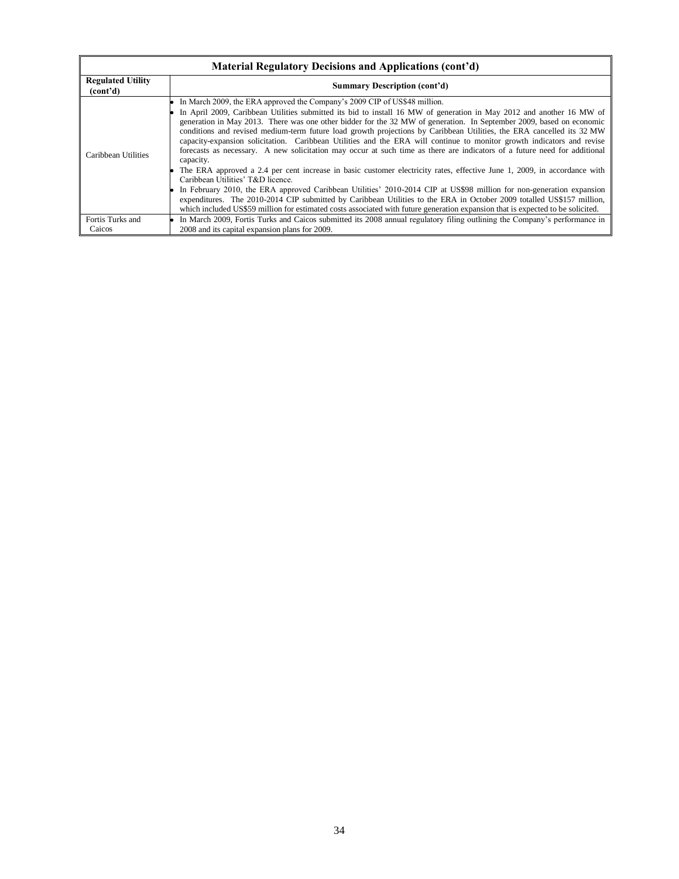| <b>Material Regulatory Decisions and Applications (cont'd)</b> |                                                                                                                                                                                                                                                                                                                                                                                                                                                                                                                                                                                                                                                                                                                                                                                                                                                                                                                                                                                                                                                                                                                                                                                                                                                                             |  |  |  |
|----------------------------------------------------------------|-----------------------------------------------------------------------------------------------------------------------------------------------------------------------------------------------------------------------------------------------------------------------------------------------------------------------------------------------------------------------------------------------------------------------------------------------------------------------------------------------------------------------------------------------------------------------------------------------------------------------------------------------------------------------------------------------------------------------------------------------------------------------------------------------------------------------------------------------------------------------------------------------------------------------------------------------------------------------------------------------------------------------------------------------------------------------------------------------------------------------------------------------------------------------------------------------------------------------------------------------------------------------------|--|--|--|
| <b>Regulated Utility</b><br>(cont <sup>2</sup> d)              | <b>Summary Description (cont'd)</b>                                                                                                                                                                                                                                                                                                                                                                                                                                                                                                                                                                                                                                                                                                                                                                                                                                                                                                                                                                                                                                                                                                                                                                                                                                         |  |  |  |
| Caribbean Utilities                                            | In March 2009, the ERA approved the Company's 2009 CIP of US\$48 million.<br>In April 2009, Caribbean Utilities submitted its bid to install 16 MW of generation in May 2012 and another 16 MW of<br>generation in May 2013. There was one other bidder for the 32 MW of generation. In September 2009, based on economic<br>conditions and revised medium-term future load growth projections by Caribbean Utilities, the ERA cancelled its 32 MW<br>capacity-expansion solicitation. Caribbean Utilities and the ERA will continue to monitor growth indicators and revise<br>forecasts as necessary. A new solicitation may occur at such time as there are indicators of a future need for additional<br>capacity.<br>The ERA approved a 2.4 per cent increase in basic customer electricity rates, effective June 1, 2009, in accordance with<br>Caribbean Utilities' T&D licence.<br>In February 2010, the ERA approved Caribbean Utilities' 2010-2014 CIP at US\$98 million for non-generation expansion<br>expenditures. The 2010-2014 CIP submitted by Caribbean Utilities to the ERA in October 2009 totalled US\$157 million,<br>which included US\$59 million for estimated costs associated with future generation expansion that is expected to be solicited. |  |  |  |
| Fortis Turks and<br>Caicos                                     | In March 2009, Fortis Turks and Caicos submitted its 2008 annual regulatory filing outlining the Company's performance in<br>2008 and its capital expansion plans for 2009.                                                                                                                                                                                                                                                                                                                                                                                                                                                                                                                                                                                                                                                                                                                                                                                                                                                                                                                                                                                                                                                                                                 |  |  |  |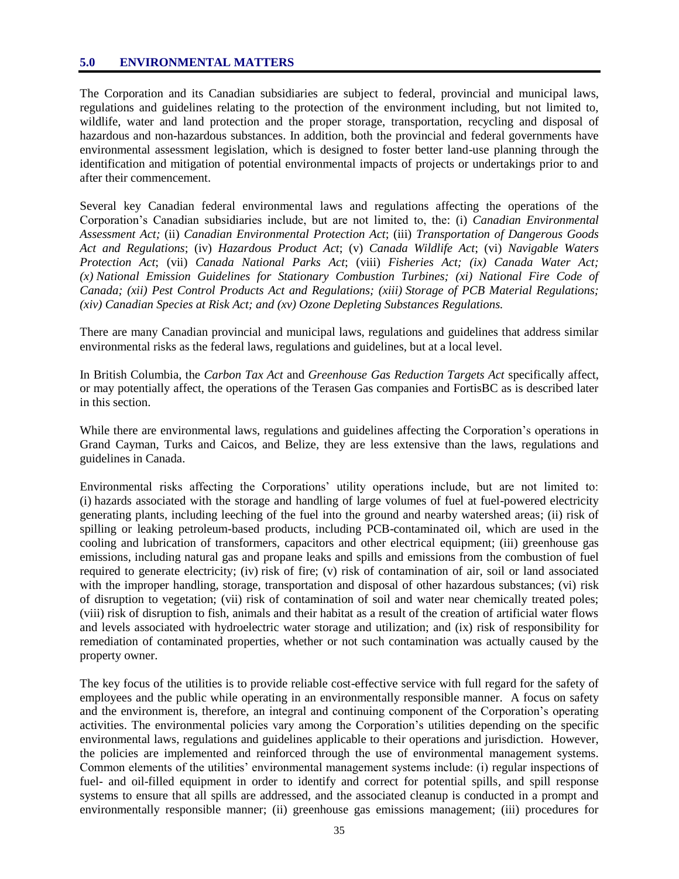#### **5.0 ENVIRONMENTAL MATTERS**

The Corporation and its Canadian subsidiaries are subject to federal, provincial and municipal laws, regulations and guidelines relating to the protection of the environment including, but not limited to, wildlife, water and land protection and the proper storage, transportation, recycling and disposal of hazardous and non-hazardous substances. In addition, both the provincial and federal governments have environmental assessment legislation, which is designed to foster better land-use planning through the identification and mitigation of potential environmental impacts of projects or undertakings prior to and after their commencement.

Several key Canadian federal environmental laws and regulations affecting the operations of the Corporation"s Canadian subsidiaries include, but are not limited to, the: (i) *Canadian Environmental Assessment Act;* (ii) *Canadian Environmental Protection Act*; (iii) *Transportation of Dangerous Goods Act and Regulations*; (iv) *Hazardous Product Act*; (v) *Canada Wildlife Act*; (vi) *Navigable Waters Protection Act*; (vii) *Canada National Parks Act*; (viii) *Fisheries Act; (ix) Canada Water Act; (x) National Emission Guidelines for Stationary Combustion Turbines; (xi) National Fire Code of Canada; (xii) Pest Control Products Act and Regulations; (xiii) Storage of PCB Material Regulations; (xiv) Canadian Species at Risk Act; and (xv) Ozone Depleting Substances Regulations.*

There are many Canadian provincial and municipal laws, regulations and guidelines that address similar environmental risks as the federal laws, regulations and guidelines, but at a local level.

In British Columbia, the *Carbon Tax Act* and *Greenhouse Gas Reduction Targets Act* specifically affect, or may potentially affect, the operations of the Terasen Gas companies and FortisBC as is described later in this section.

While there are environmental laws, regulations and guidelines affecting the Corporation's operations in Grand Cayman, Turks and Caicos, and Belize, they are less extensive than the laws, regulations and guidelines in Canada.

Environmental risks affecting the Corporations" utility operations include, but are not limited to: (i) hazards associated with the storage and handling of large volumes of fuel at fuel-powered electricity generating plants, including leeching of the fuel into the ground and nearby watershed areas; (ii) risk of spilling or leaking petroleum-based products, including PCB-contaminated oil, which are used in the cooling and lubrication of transformers, capacitors and other electrical equipment; (iii) greenhouse gas emissions, including natural gas and propane leaks and spills and emissions from the combustion of fuel required to generate electricity; (iv) risk of fire; (v) risk of contamination of air, soil or land associated with the improper handling, storage, transportation and disposal of other hazardous substances; (vi) risk of disruption to vegetation; (vii) risk of contamination of soil and water near chemically treated poles; (viii) risk of disruption to fish, animals and their habitat as a result of the creation of artificial water flows and levels associated with hydroelectric water storage and utilization; and (ix) risk of responsibility for remediation of contaminated properties, whether or not such contamination was actually caused by the property owner.

The key focus of the utilities is to provide reliable cost-effective service with full regard for the safety of employees and the public while operating in an environmentally responsible manner. A focus on safety and the environment is, therefore, an integral and continuing component of the Corporation"s operating activities. The environmental policies vary among the Corporation"s utilities depending on the specific environmental laws, regulations and guidelines applicable to their operations and jurisdiction. However, the policies are implemented and reinforced through the use of environmental management systems. Common elements of the utilities" environmental management systems include: (i) regular inspections of fuel- and oil-filled equipment in order to identify and correct for potential spills, and spill response systems to ensure that all spills are addressed, and the associated cleanup is conducted in a prompt and environmentally responsible manner; (ii) greenhouse gas emissions management; (iii) procedures for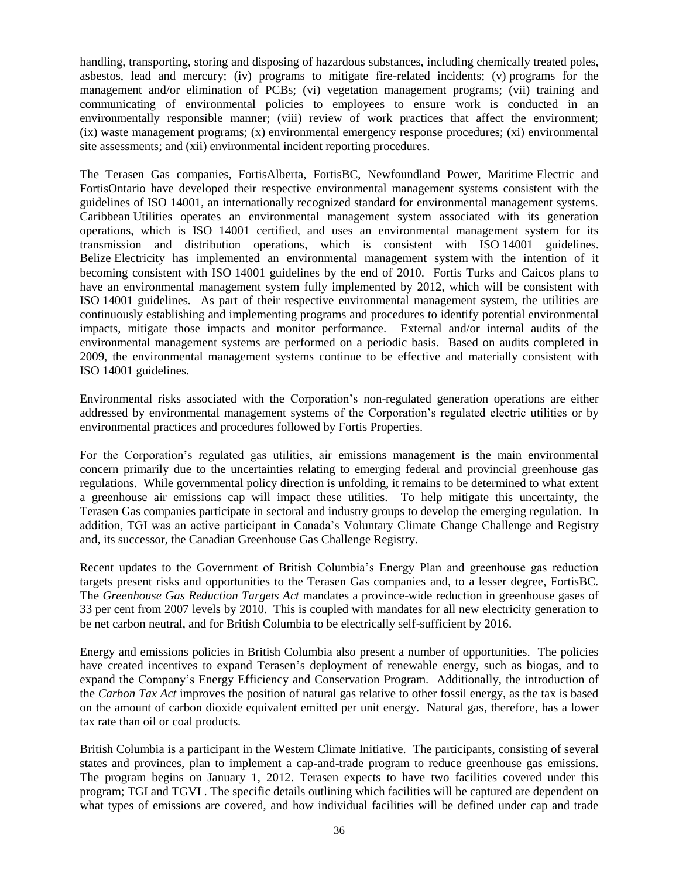handling, transporting, storing and disposing of hazardous substances, including chemically treated poles, asbestos, lead and mercury; (iv) programs to mitigate fire-related incidents; (v) programs for the management and/or elimination of PCBs; (vi) vegetation management programs; (vii) training and communicating of environmental policies to employees to ensure work is conducted in an environmentally responsible manner; (viii) review of work practices that affect the environment; (ix) waste management programs; (x) environmental emergency response procedures; (xi) environmental site assessments; and (xii) environmental incident reporting procedures.

The Terasen Gas companies, FortisAlberta, FortisBC, Newfoundland Power, Maritime Electric and FortisOntario have developed their respective environmental management systems consistent with the guidelines of ISO 14001, an internationally recognized standard for environmental management systems. Caribbean Utilities operates an environmental management system associated with its generation operations, which is ISO 14001 certified, and uses an environmental management system for its transmission and distribution operations, which is consistent with ISO 14001 guidelines. Belize Electricity has implemented an environmental management system with the intention of it becoming consistent with ISO 14001 guidelines by the end of 2010. Fortis Turks and Caicos plans to have an environmental management system fully implemented by 2012, which will be consistent with ISO 14001 guidelines*.* As part of their respective environmental management system, the utilities are continuously establishing and implementing programs and procedures to identify potential environmental impacts, mitigate those impacts and monitor performance. External and/or internal audits of the environmental management systems are performed on a periodic basis. Based on audits completed in 2009, the environmental management systems continue to be effective and materially consistent with ISO 14001 guidelines.

Environmental risks associated with the Corporation"s non-regulated generation operations are either addressed by environmental management systems of the Corporation"s regulated electric utilities or by environmental practices and procedures followed by Fortis Properties.

For the Corporation"s regulated gas utilities, air emissions management is the main environmental concern primarily due to the uncertainties relating to emerging federal and provincial greenhouse gas regulations. While governmental policy direction is unfolding, it remains to be determined to what extent a greenhouse air emissions cap will impact these utilities. To help mitigate this uncertainty, the Terasen Gas companies participate in sectoral and industry groups to develop the emerging regulation. In addition, TGI was an active participant in Canada"s Voluntary Climate Change Challenge and Registry and, its successor, the Canadian Greenhouse Gas Challenge Registry.

Recent updates to the Government of British Columbia"s Energy Plan and greenhouse gas reduction targets present risks and opportunities to the Terasen Gas companies and, to a lesser degree, FortisBC. The *Greenhouse Gas Reduction Targets Act* mandates a province-wide reduction in greenhouse gases of 33 per cent from 2007 levels by 2010. This is coupled with mandates for all new electricity generation to be net carbon neutral, and for British Columbia to be electrically self-sufficient by 2016.

Energy and emissions policies in British Columbia also present a number of opportunities. The policies have created incentives to expand Terasen"s deployment of renewable energy, such as biogas, and to expand the Company's Energy Efficiency and Conservation Program. Additionally, the introduction of the *Carbon Tax Act* improves the position of natural gas relative to other fossil energy, as the tax is based on the amount of carbon dioxide equivalent emitted per unit energy. Natural gas, therefore, has a lower tax rate than oil or coal products.

British Columbia is a participant in the Western Climate Initiative. The participants, consisting of several states and provinces, plan to implement a cap-and-trade program to reduce greenhouse gas emissions. The program begins on January 1, 2012. Terasen expects to have two facilities covered under this program; TGI and TGVI . The specific details outlining which facilities will be captured are dependent on what types of emissions are covered, and how individual facilities will be defined under cap and trade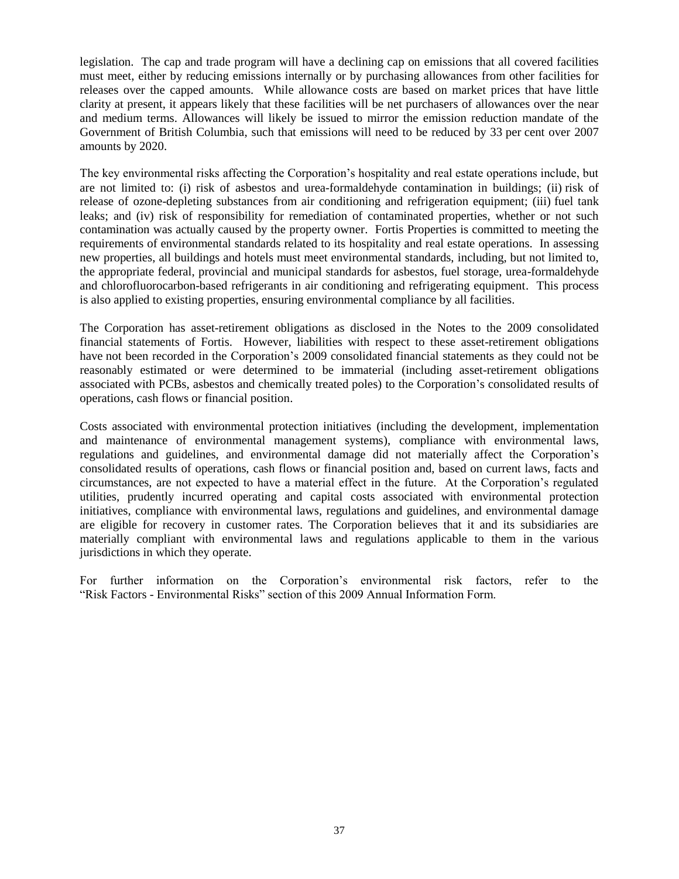legislation. The cap and trade program will have a declining cap on emissions that all covered facilities must meet, either by reducing emissions internally or by purchasing allowances from other facilities for releases over the capped amounts. While allowance costs are based on market prices that have little clarity at present, it appears likely that these facilities will be net purchasers of allowances over the near and medium terms. Allowances will likely be issued to mirror the emission reduction mandate of the Government of British Columbia, such that emissions will need to be reduced by 33 per cent over 2007 amounts by 2020.

The key environmental risks affecting the Corporation"s hospitality and real estate operations include, but are not limited to: (i) risk of asbestos and urea-formaldehyde contamination in buildings; (ii) risk of release of ozone-depleting substances from air conditioning and refrigeration equipment; (iii) fuel tank leaks; and (iv) risk of responsibility for remediation of contaminated properties, whether or not such contamination was actually caused by the property owner. Fortis Properties is committed to meeting the requirements of environmental standards related to its hospitality and real estate operations. In assessing new properties, all buildings and hotels must meet environmental standards, including, but not limited to, the appropriate federal, provincial and municipal standards for asbestos, fuel storage, urea-formaldehyde and chlorofluorocarbon-based refrigerants in air conditioning and refrigerating equipment. This process is also applied to existing properties, ensuring environmental compliance by all facilities.

The Corporation has asset-retirement obligations as disclosed in the Notes to the 2009 consolidated financial statements of Fortis. However, liabilities with respect to these asset-retirement obligations have not been recorded in the Corporation"s 2009 consolidated financial statements as they could not be reasonably estimated or were determined to be immaterial (including asset-retirement obligations associated with PCBs, asbestos and chemically treated poles) to the Corporation"s consolidated results of operations, cash flows or financial position.

Costs associated with environmental protection initiatives (including the development, implementation and maintenance of environmental management systems), compliance with environmental laws, regulations and guidelines, and environmental damage did not materially affect the Corporation"s consolidated results of operations, cash flows or financial position and, based on current laws, facts and circumstances, are not expected to have a material effect in the future. At the Corporation"s regulated utilities, prudently incurred operating and capital costs associated with environmental protection initiatives, compliance with environmental laws, regulations and guidelines, and environmental damage are eligible for recovery in customer rates. The Corporation believes that it and its subsidiaries are materially compliant with environmental laws and regulations applicable to them in the various jurisdictions in which they operate.

For further information on the Corporation"s environmental risk factors, refer to the "Risk Factors - Environmental Risks" section of this 2009 Annual Information Form.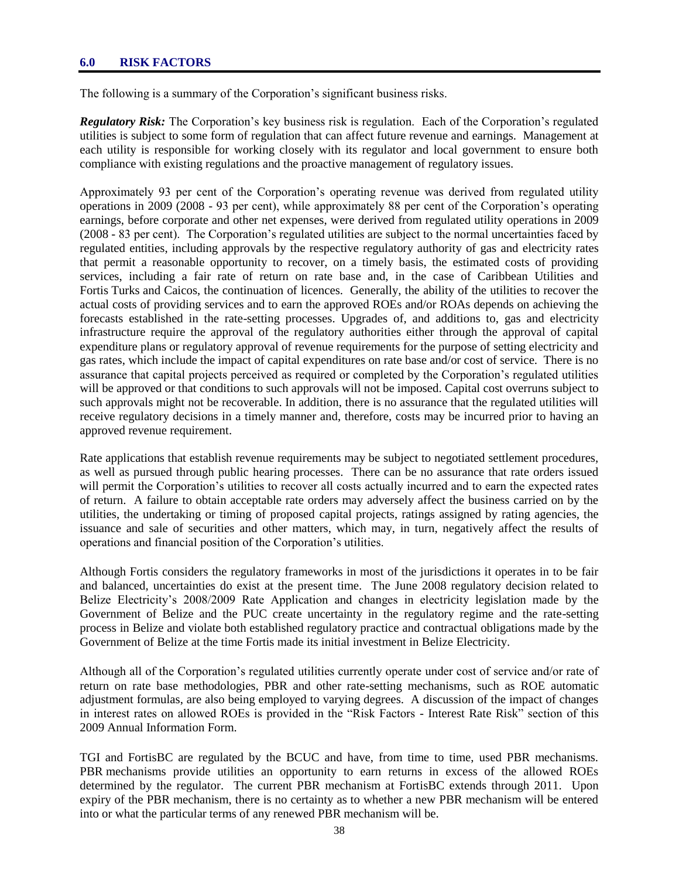#### **6.0 RISK FACTORS**

The following is a summary of the Corporation's significant business risks.

*Regulatory Risk:* The Corporation's key business risk is regulation. Each of the Corporation's regulated utilities is subject to some form of regulation that can affect future revenue and earnings. Management at each utility is responsible for working closely with its regulator and local government to ensure both compliance with existing regulations and the proactive management of regulatory issues.

Approximately 93 per cent of the Corporation"s operating revenue was derived from regulated utility operations in 2009 (2008 - 93 per cent), while approximately 88 per cent of the Corporation"s operating earnings, before corporate and other net expenses, were derived from regulated utility operations in 2009 (2008 - 83 per cent). The Corporation"s regulated utilities are subject to the normal uncertainties faced by regulated entities, including approvals by the respective regulatory authority of gas and electricity rates that permit a reasonable opportunity to recover, on a timely basis, the estimated costs of providing services, including a fair rate of return on rate base and, in the case of Caribbean Utilities and Fortis Turks and Caicos, the continuation of licences. Generally, the ability of the utilities to recover the actual costs of providing services and to earn the approved ROEs and/or ROAs depends on achieving the forecasts established in the rate-setting processes. Upgrades of, and additions to, gas and electricity infrastructure require the approval of the regulatory authorities either through the approval of capital expenditure plans or regulatory approval of revenue requirements for the purpose of setting electricity and gas rates, which include the impact of capital expenditures on rate base and/or cost of service. There is no assurance that capital projects perceived as required or completed by the Corporation's regulated utilities will be approved or that conditions to such approvals will not be imposed. Capital cost overruns subject to such approvals might not be recoverable. In addition, there is no assurance that the regulated utilities will receive regulatory decisions in a timely manner and, therefore, costs may be incurred prior to having an approved revenue requirement.

Rate applications that establish revenue requirements may be subject to negotiated settlement procedures, as well as pursued through public hearing processes. There can be no assurance that rate orders issued will permit the Corporation's utilities to recover all costs actually incurred and to earn the expected rates of return. A failure to obtain acceptable rate orders may adversely affect the business carried on by the utilities, the undertaking or timing of proposed capital projects, ratings assigned by rating agencies, the issuance and sale of securities and other matters, which may, in turn, negatively affect the results of operations and financial position of the Corporation"s utilities.

Although Fortis considers the regulatory frameworks in most of the jurisdictions it operates in to be fair and balanced, uncertainties do exist at the present time. The June 2008 regulatory decision related to Belize Electricity"s 2008/2009 Rate Application and changes in electricity legislation made by the Government of Belize and the PUC create uncertainty in the regulatory regime and the rate-setting process in Belize and violate both established regulatory practice and contractual obligations made by the Government of Belize at the time Fortis made its initial investment in Belize Electricity.

Although all of the Corporation"s regulated utilities currently operate under cost of service and/or rate of return on rate base methodologies, PBR and other rate-setting mechanisms, such as ROE automatic adjustment formulas, are also being employed to varying degrees. A discussion of the impact of changes in interest rates on allowed ROEs is provided in the "Risk Factors - Interest Rate Risk" section of this 2009 Annual Information Form.

TGI and FortisBC are regulated by the BCUC and have, from time to time, used PBR mechanisms. PBR mechanisms provide utilities an opportunity to earn returns in excess of the allowed ROEs determined by the regulator. The current PBR mechanism at FortisBC extends through 2011. Upon expiry of the PBR mechanism, there is no certainty as to whether a new PBR mechanism will be entered into or what the particular terms of any renewed PBR mechanism will be.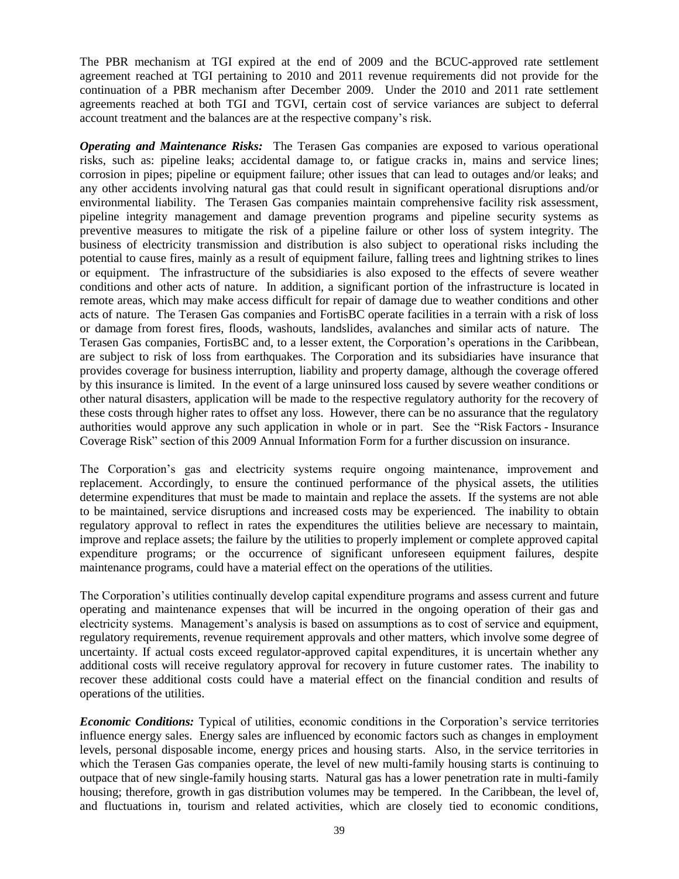The PBR mechanism at TGI expired at the end of 2009 and the BCUC-approved rate settlement agreement reached at TGI pertaining to 2010 and 2011 revenue requirements did not provide for the continuation of a PBR mechanism after December 2009. Under the 2010 and 2011 rate settlement agreements reached at both TGI and TGVI, certain cost of service variances are subject to deferral account treatment and the balances are at the respective company"s risk.

*Operating and Maintenance Risks:* The Terasen Gas companies are exposed to various operational risks, such as: pipeline leaks; accidental damage to, or fatigue cracks in, mains and service lines; corrosion in pipes; pipeline or equipment failure; other issues that can lead to outages and/or leaks; and any other accidents involving natural gas that could result in significant operational disruptions and/or environmental liability. The Terasen Gas companies maintain comprehensive facility risk assessment, pipeline integrity management and damage prevention programs and pipeline security systems as preventive measures to mitigate the risk of a pipeline failure or other loss of system integrity. The business of electricity transmission and distribution is also subject to operational risks including the potential to cause fires, mainly as a result of equipment failure, falling trees and lightning strikes to lines or equipment. The infrastructure of the subsidiaries is also exposed to the effects of severe weather conditions and other acts of nature. In addition, a significant portion of the infrastructure is located in remote areas, which may make access difficult for repair of damage due to weather conditions and other acts of nature. The Terasen Gas companies and FortisBC operate facilities in a terrain with a risk of loss or damage from forest fires, floods, washouts, landslides, avalanches and similar acts of nature. The Terasen Gas companies, FortisBC and, to a lesser extent, the Corporation"s operations in the Caribbean, are subject to risk of loss from earthquakes. The Corporation and its subsidiaries have insurance that provides coverage for business interruption, liability and property damage, although the coverage offered by this insurance is limited. In the event of a large uninsured loss caused by severe weather conditions or other natural disasters, application will be made to the respective regulatory authority for the recovery of these costs through higher rates to offset any loss. However, there can be no assurance that the regulatory authorities would approve any such application in whole or in part. See the "Risk Factors - Insurance Coverage Risk" section of this 2009 Annual Information Form for a further discussion on insurance.

The Corporation"s gas and electricity systems require ongoing maintenance, improvement and replacement. Accordingly, to ensure the continued performance of the physical assets, the utilities determine expenditures that must be made to maintain and replace the assets. If the systems are not able to be maintained, service disruptions and increased costs may be experienced. The inability to obtain regulatory approval to reflect in rates the expenditures the utilities believe are necessary to maintain, improve and replace assets; the failure by the utilities to properly implement or complete approved capital expenditure programs; or the occurrence of significant unforeseen equipment failures, despite maintenance programs, could have a material effect on the operations of the utilities.

The Corporation"s utilities continually develop capital expenditure programs and assess current and future operating and maintenance expenses that will be incurred in the ongoing operation of their gas and electricity systems. Management's analysis is based on assumptions as to cost of service and equipment, regulatory requirements, revenue requirement approvals and other matters, which involve some degree of uncertainty. If actual costs exceed regulator-approved capital expenditures, it is uncertain whether any additional costs will receive regulatory approval for recovery in future customer rates. The inability to recover these additional costs could have a material effect on the financial condition and results of operations of the utilities.

*Economic Conditions:* Typical of utilities, economic conditions in the Corporation"s service territories influence energy sales. Energy sales are influenced by economic factors such as changes in employment levels, personal disposable income, energy prices and housing starts. Also, in the service territories in which the Terasen Gas companies operate, the level of new multi-family housing starts is continuing to outpace that of new single-family housing starts. Natural gas has a lower penetration rate in multi-family housing; therefore, growth in gas distribution volumes may be tempered. In the Caribbean, the level of, and fluctuations in, tourism and related activities, which are closely tied to economic conditions,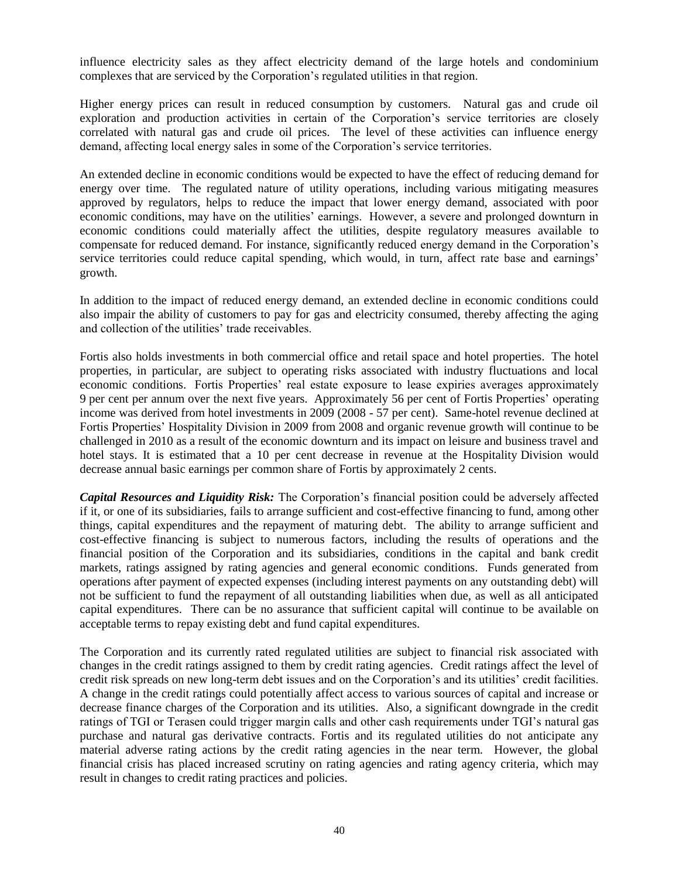influence electricity sales as they affect electricity demand of the large hotels and condominium complexes that are serviced by the Corporation"s regulated utilities in that region.

Higher energy prices can result in reduced consumption by customers. Natural gas and crude oil exploration and production activities in certain of the Corporation"s service territories are closely correlated with natural gas and crude oil prices. The level of these activities can influence energy demand, affecting local energy sales in some of the Corporation's service territories.

An extended decline in economic conditions would be expected to have the effect of reducing demand for energy over time. The regulated nature of utility operations, including various mitigating measures approved by regulators, helps to reduce the impact that lower energy demand, associated with poor economic conditions, may have on the utilities" earnings. However, a severe and prolonged downturn in economic conditions could materially affect the utilities, despite regulatory measures available to compensate for reduced demand. For instance, significantly reduced energy demand in the Corporation"s service territories could reduce capital spending, which would, in turn, affect rate base and earnings' growth.

In addition to the impact of reduced energy demand, an extended decline in economic conditions could also impair the ability of customers to pay for gas and electricity consumed, thereby affecting the aging and collection of the utilities' trade receivables.

Fortis also holds investments in both commercial office and retail space and hotel properties. The hotel properties, in particular, are subject to operating risks associated with industry fluctuations and local economic conditions. Fortis Properties' real estate exposure to lease expiries averages approximately 9 per cent per annum over the next five years. Approximately 56 per cent of Fortis Properties" operating income was derived from hotel investments in 2009 (2008 - 57 per cent). Same-hotel revenue declined at Fortis Properties" Hospitality Division in 2009 from 2008 and organic revenue growth will continue to be challenged in 2010 as a result of the economic downturn and its impact on leisure and business travel and hotel stays. It is estimated that a 10 per cent decrease in revenue at the Hospitality Division would decrease annual basic earnings per common share of Fortis by approximately 2 cents.

*Capital Resources and Liquidity Risk:* The Corporation"s financial position could be adversely affected if it, or one of its subsidiaries, fails to arrange sufficient and cost-effective financing to fund, among other things, capital expenditures and the repayment of maturing debt. The ability to arrange sufficient and cost-effective financing is subject to numerous factors, including the results of operations and the financial position of the Corporation and its subsidiaries, conditions in the capital and bank credit markets, ratings assigned by rating agencies and general economic conditions. Funds generated from operations after payment of expected expenses (including interest payments on any outstanding debt) will not be sufficient to fund the repayment of all outstanding liabilities when due, as well as all anticipated capital expenditures. There can be no assurance that sufficient capital will continue to be available on acceptable terms to repay existing debt and fund capital expenditures.

The Corporation and its currently rated regulated utilities are subject to financial risk associated with changes in the credit ratings assigned to them by credit rating agencies. Credit ratings affect the level of credit risk spreads on new long-term debt issues and on the Corporation"s and its utilities" credit facilities. A change in the credit ratings could potentially affect access to various sources of capital and increase or decrease finance charges of the Corporation and its utilities. Also, a significant downgrade in the credit ratings of TGI or Terasen could trigger margin calls and other cash requirements under TGI"s natural gas purchase and natural gas derivative contracts. Fortis and its regulated utilities do not anticipate any material adverse rating actions by the credit rating agencies in the near term. However, the global financial crisis has placed increased scrutiny on rating agencies and rating agency criteria, which may result in changes to credit rating practices and policies.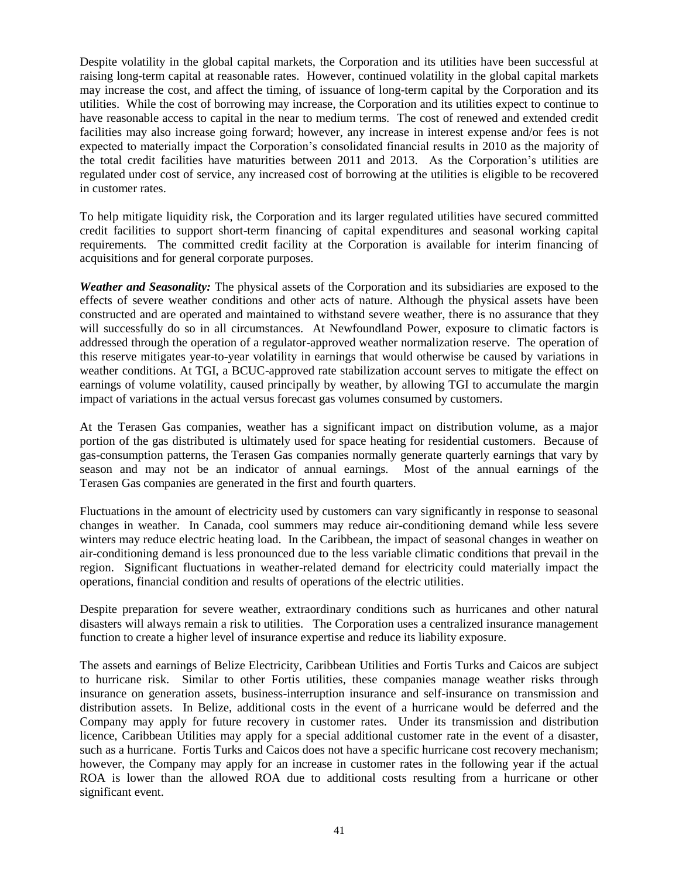Despite volatility in the global capital markets, the Corporation and its utilities have been successful at raising long-term capital at reasonable rates. However, continued volatility in the global capital markets may increase the cost, and affect the timing, of issuance of long-term capital by the Corporation and its utilities. While the cost of borrowing may increase, the Corporation and its utilities expect to continue to have reasonable access to capital in the near to medium terms. The cost of renewed and extended credit facilities may also increase going forward; however, any increase in interest expense and/or fees is not expected to materially impact the Corporation"s consolidated financial results in 2010 as the majority of the total credit facilities have maturities between 2011 and 2013. As the Corporation"s utilities are regulated under cost of service, any increased cost of borrowing at the utilities is eligible to be recovered in customer rates.

To help mitigate liquidity risk, the Corporation and its larger regulated utilities have secured committed credit facilities to support short-term financing of capital expenditures and seasonal working capital requirements. The committed credit facility at the Corporation is available for interim financing of acquisitions and for general corporate purposes.

*Weather and Seasonality:* The physical assets of the Corporation and its subsidiaries are exposed to the effects of severe weather conditions and other acts of nature. Although the physical assets have been constructed and are operated and maintained to withstand severe weather, there is no assurance that they will successfully do so in all circumstances. At Newfoundland Power, exposure to climatic factors is addressed through the operation of a regulator-approved weather normalization reserve. The operation of this reserve mitigates year-to-year volatility in earnings that would otherwise be caused by variations in weather conditions. At TGI, a BCUC-approved rate stabilization account serves to mitigate the effect on earnings of volume volatility, caused principally by weather, by allowing TGI to accumulate the margin impact of variations in the actual versus forecast gas volumes consumed by customers.

At the Terasen Gas companies, weather has a significant impact on distribution volume, as a major portion of the gas distributed is ultimately used for space heating for residential customers. Because of gas-consumption patterns, the Terasen Gas companies normally generate quarterly earnings that vary by season and may not be an indicator of annual earnings. Most of the annual earnings of the Terasen Gas companies are generated in the first and fourth quarters.

Fluctuations in the amount of electricity used by customers can vary significantly in response to seasonal changes in weather. In Canada, cool summers may reduce air-conditioning demand while less severe winters may reduce electric heating load. In the Caribbean, the impact of seasonal changes in weather on air-conditioning demand is less pronounced due to the less variable climatic conditions that prevail in the region. Significant fluctuations in weather-related demand for electricity could materially impact the operations, financial condition and results of operations of the electric utilities.

Despite preparation for severe weather, extraordinary conditions such as hurricanes and other natural disasters will always remain a risk to utilities. The Corporation uses a centralized insurance management function to create a higher level of insurance expertise and reduce its liability exposure.

The assets and earnings of Belize Electricity, Caribbean Utilities and Fortis Turks and Caicos are subject to hurricane risk. Similar to other Fortis utilities, these companies manage weather risks through insurance on generation assets, business-interruption insurance and self-insurance on transmission and distribution assets. In Belize, additional costs in the event of a hurricane would be deferred and the Company may apply for future recovery in customer rates. Under its transmission and distribution licence, Caribbean Utilities may apply for a special additional customer rate in the event of a disaster, such as a hurricane. Fortis Turks and Caicos does not have a specific hurricane cost recovery mechanism; however, the Company may apply for an increase in customer rates in the following year if the actual ROA is lower than the allowed ROA due to additional costs resulting from a hurricane or other significant event.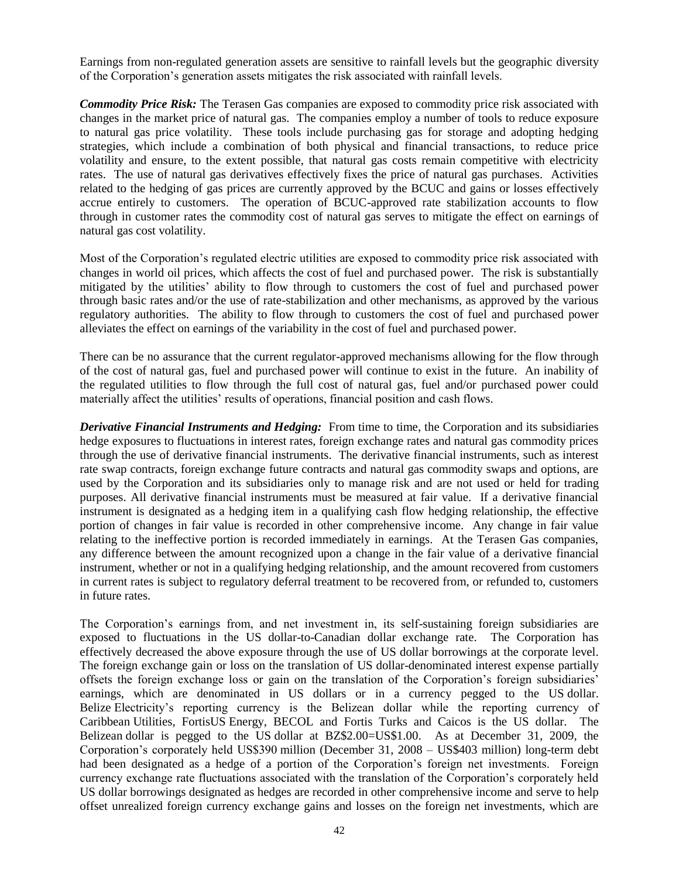Earnings from non-regulated generation assets are sensitive to rainfall levels but the geographic diversity of the Corporation"s generation assets mitigates the risk associated with rainfall levels.

*Commodity Price Risk:* The Terasen Gas companies are exposed to commodity price risk associated with changes in the market price of natural gas. The companies employ a number of tools to reduce exposure to natural gas price volatility. These tools include purchasing gas for storage and adopting hedging strategies, which include a combination of both physical and financial transactions, to reduce price volatility and ensure, to the extent possible, that natural gas costs remain competitive with electricity rates. The use of natural gas derivatives effectively fixes the price of natural gas purchases. Activities related to the hedging of gas prices are currently approved by the BCUC and gains or losses effectively accrue entirely to customers. The operation of BCUC-approved rate stabilization accounts to flow through in customer rates the commodity cost of natural gas serves to mitigate the effect on earnings of natural gas cost volatility.

Most of the Corporation"s regulated electric utilities are exposed to commodity price risk associated with changes in world oil prices, which affects the cost of fuel and purchased power. The risk is substantially mitigated by the utilities" ability to flow through to customers the cost of fuel and purchased power through basic rates and/or the use of rate-stabilization and other mechanisms, as approved by the various regulatory authorities. The ability to flow through to customers the cost of fuel and purchased power alleviates the effect on earnings of the variability in the cost of fuel and purchased power.

There can be no assurance that the current regulator-approved mechanisms allowing for the flow through of the cost of natural gas, fuel and purchased power will continue to exist in the future. An inability of the regulated utilities to flow through the full cost of natural gas, fuel and/or purchased power could materially affect the utilities' results of operations, financial position and cash flows.

*Derivative Financial Instruments and Hedging:* From time to time, the Corporation and its subsidiaries hedge exposures to fluctuations in interest rates, foreign exchange rates and natural gas commodity prices through the use of derivative financial instruments. The derivative financial instruments, such as interest rate swap contracts, foreign exchange future contracts and natural gas commodity swaps and options, are used by the Corporation and its subsidiaries only to manage risk and are not used or held for trading purposes. All derivative financial instruments must be measured at fair value. If a derivative financial instrument is designated as a hedging item in a qualifying cash flow hedging relationship, the effective portion of changes in fair value is recorded in other comprehensive income. Any change in fair value relating to the ineffective portion is recorded immediately in earnings. At the Terasen Gas companies, any difference between the amount recognized upon a change in the fair value of a derivative financial instrument, whether or not in a qualifying hedging relationship, and the amount recovered from customers in current rates is subject to regulatory deferral treatment to be recovered from, or refunded to, customers in future rates.

The Corporation"s earnings from, and net investment in, its self-sustaining foreign subsidiaries are exposed to fluctuations in the US dollar-to-Canadian dollar exchange rate. The Corporation has effectively decreased the above exposure through the use of US dollar borrowings at the corporate level. The foreign exchange gain or loss on the translation of US dollar-denominated interest expense partially offsets the foreign exchange loss or gain on the translation of the Corporation"s foreign subsidiaries" earnings, which are denominated in US dollars or in a currency pegged to the US dollar. Belize Electricity's reporting currency is the Belizean dollar while the reporting currency of Caribbean Utilities, FortisUS Energy, BECOL and Fortis Turks and Caicos is the US dollar. The Belizean dollar is pegged to the US dollar at BZ\$2.00=US\$1.00. As at December 31, 2009, the Corporation"s corporately held US\$390 million (December 31, 2008 – US\$403 million) long-term debt had been designated as a hedge of a portion of the Corporation's foreign net investments. Foreign currency exchange rate fluctuations associated with the translation of the Corporation"s corporately held US dollar borrowings designated as hedges are recorded in other comprehensive income and serve to help offset unrealized foreign currency exchange gains and losses on the foreign net investments, which are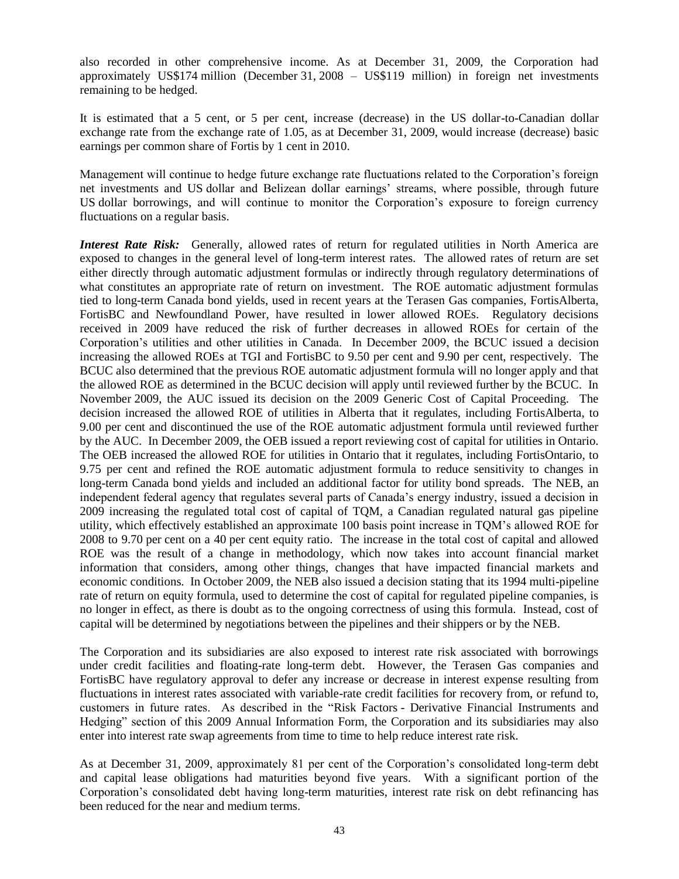also recorded in other comprehensive income. As at December 31, 2009, the Corporation had approximately US\$174 million (December 31, 2008 – US\$119 million) in foreign net investments remaining to be hedged.

It is estimated that a 5 cent, or 5 per cent, increase (decrease) in the US dollar-to-Canadian dollar exchange rate from the exchange rate of 1.05, as at December 31, 2009, would increase (decrease) basic earnings per common share of Fortis by 1 cent in 2010.

Management will continue to hedge future exchange rate fluctuations related to the Corporation"s foreign net investments and US dollar and Belizean dollar earnings" streams, where possible, through future US dollar borrowings, and will continue to monitor the Corporation"s exposure to foreign currency fluctuations on a regular basis.

*Interest Rate Risk:* Generally, allowed rates of return for regulated utilities in North America are exposed to changes in the general level of long-term interest rates. The allowed rates of return are set either directly through automatic adjustment formulas or indirectly through regulatory determinations of what constitutes an appropriate rate of return on investment. The ROE automatic adjustment formulas tied to long-term Canada bond yields, used in recent years at the Terasen Gas companies, FortisAlberta, FortisBC and Newfoundland Power, have resulted in lower allowed ROEs. Regulatory decisions received in 2009 have reduced the risk of further decreases in allowed ROEs for certain of the Corporation"s utilities and other utilities in Canada. In December 2009, the BCUC issued a decision increasing the allowed ROEs at TGI and FortisBC to 9.50 per cent and 9.90 per cent, respectively. The BCUC also determined that the previous ROE automatic adjustment formula will no longer apply and that the allowed ROE as determined in the BCUC decision will apply until reviewed further by the BCUC. In November 2009, the AUC issued its decision on the 2009 Generic Cost of Capital Proceeding. The decision increased the allowed ROE of utilities in Alberta that it regulates, including FortisAlberta, to 9.00 per cent and discontinued the use of the ROE automatic adjustment formula until reviewed further by the AUC. In December 2009, the OEB issued a report reviewing cost of capital for utilities in Ontario. The OEB increased the allowed ROE for utilities in Ontario that it regulates, including FortisOntario, to 9.75 per cent and refined the ROE automatic adjustment formula to reduce sensitivity to changes in long-term Canada bond yields and included an additional factor for utility bond spreads. The NEB, an independent federal agency that regulates several parts of Canada"s energy industry, issued a decision in 2009 increasing the regulated total cost of capital of TQM, a Canadian regulated natural gas pipeline utility, which effectively established an approximate 100 basis point increase in TQM"s allowed ROE for 2008 to 9.70 per cent on a 40 per cent equity ratio. The increase in the total cost of capital and allowed ROE was the result of a change in methodology, which now takes into account financial market information that considers, among other things, changes that have impacted financial markets and economic conditions. In October 2009, the NEB also issued a decision stating that its 1994 multi-pipeline rate of return on equity formula, used to determine the cost of capital for regulated pipeline companies, is no longer in effect, as there is doubt as to the ongoing correctness of using this formula. Instead, cost of capital will be determined by negotiations between the pipelines and their shippers or by the NEB.

The Corporation and its subsidiaries are also exposed to interest rate risk associated with borrowings under credit facilities and floating-rate long-term debt. However, the Terasen Gas companies and FortisBC have regulatory approval to defer any increase or decrease in interest expense resulting from fluctuations in interest rates associated with variable-rate credit facilities for recovery from, or refund to, customers in future rates. As described in the "Risk Factors - Derivative Financial Instruments and Hedging" section of this 2009 Annual Information Form, the Corporation and its subsidiaries may also enter into interest rate swap agreements from time to time to help reduce interest rate risk.

As at December 31, 2009, approximately 81 per cent of the Corporation's consolidated long-term debt and capital lease obligations had maturities beyond five years. With a significant portion of the Corporation"s consolidated debt having long-term maturities, interest rate risk on debt refinancing has been reduced for the near and medium terms.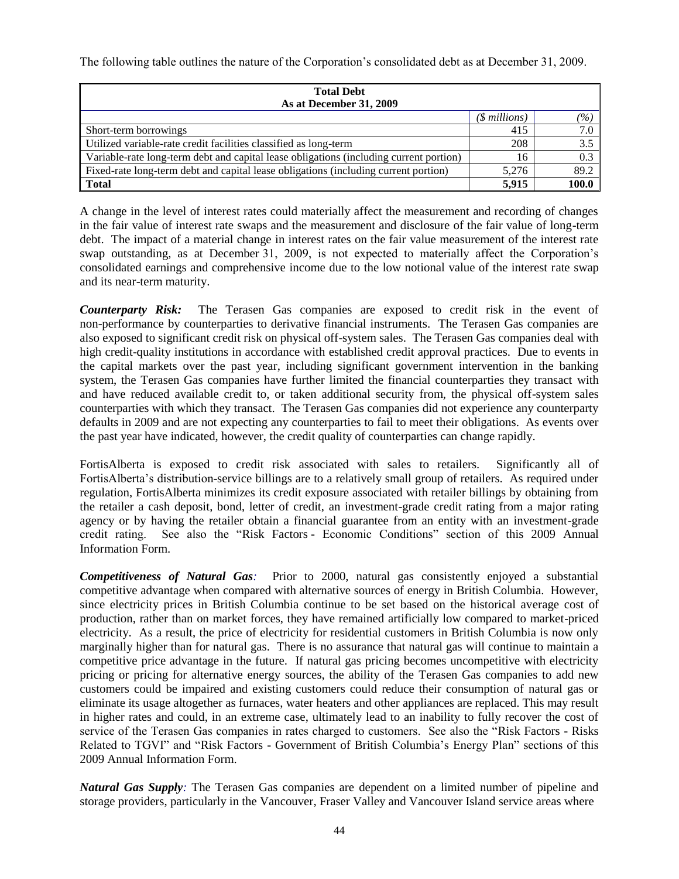The following table outlines the nature of the Corporation's consolidated debt as at December 31, 2009.

| <b>Total Debt</b><br>As at December 31, 2009                                           |                |                     |  |  |  |
|----------------------------------------------------------------------------------------|----------------|---------------------|--|--|--|
|                                                                                        | (\$ millions)  | $\left( \% \right)$ |  |  |  |
| Short-term borrowings                                                                  | 415            | 7.0                 |  |  |  |
| Utilized variable-rate credit facilities classified as long-term                       | 208            | 3.5                 |  |  |  |
| Variable-rate long-term debt and capital lease obligations (including current portion) | 16             | 0.3                 |  |  |  |
| Fixed-rate long-term debt and capital lease obligations (including current portion)    | 5.276          | 89.2                |  |  |  |
| <b>Total</b>                                                                           | 100.0<br>5.915 |                     |  |  |  |

A change in the level of interest rates could materially affect the measurement and recording of changes in the fair value of interest rate swaps and the measurement and disclosure of the fair value of long-term debt. The impact of a material change in interest rates on the fair value measurement of the interest rate swap outstanding, as at December 31, 2009, is not expected to materially affect the Corporation"s consolidated earnings and comprehensive income due to the low notional value of the interest rate swap and its near-term maturity.

*Counterparty Risk:* The Terasen Gas companies are exposed to credit risk in the event of non-performance by counterparties to derivative financial instruments. The Terasen Gas companies are also exposed to significant credit risk on physical off-system sales. The Terasen Gas companies deal with high credit-quality institutions in accordance with established credit approval practices. Due to events in the capital markets over the past year, including significant government intervention in the banking system, the Terasen Gas companies have further limited the financial counterparties they transact with and have reduced available credit to, or taken additional security from, the physical off-system sales counterparties with which they transact. The Terasen Gas companies did not experience any counterparty defaults in 2009 and are not expecting any counterparties to fail to meet their obligations. As events over the past year have indicated, however, the credit quality of counterparties can change rapidly.

FortisAlberta is exposed to credit risk associated with sales to retailers. Significantly all of FortisAlberta"s distribution-service billings are to a relatively small group of retailers. As required under regulation, FortisAlberta minimizes its credit exposure associated with retailer billings by obtaining from the retailer a cash deposit, bond, letter of credit, an investment-grade credit rating from a major rating agency or by having the retailer obtain a financial guarantee from an entity with an investment-grade credit rating. See also the "Risk Factors - Economic Conditions" section of this 2009 Annual Information Form.

*Competitiveness of Natural Gas:* Prior to 2000, natural gas consistently enjoyed a substantial competitive advantage when compared with alternative sources of energy in British Columbia. However, since electricity prices in British Columbia continue to be set based on the historical average cost of production, rather than on market forces, they have remained artificially low compared to market-priced electricity. As a result, the price of electricity for residential customers in British Columbia is now only marginally higher than for natural gas. There is no assurance that natural gas will continue to maintain a competitive price advantage in the future. If natural gas pricing becomes uncompetitive with electricity pricing or pricing for alternative energy sources, the ability of the Terasen Gas companies to add new customers could be impaired and existing customers could reduce their consumption of natural gas or eliminate its usage altogether as furnaces, water heaters and other appliances are replaced. This may result in higher rates and could, in an extreme case, ultimately lead to an inability to fully recover the cost of service of the Terasen Gas companies in rates charged to customers. See also the "Risk Factors - Risks Related to TGVI" and "Risk Factors - Government of British Columbia"s Energy Plan" sections of this 2009 Annual Information Form.

*Natural Gas Supply:* The Terasen Gas companies are dependent on a limited number of pipeline and storage providers, particularly in the Vancouver, Fraser Valley and Vancouver Island service areas where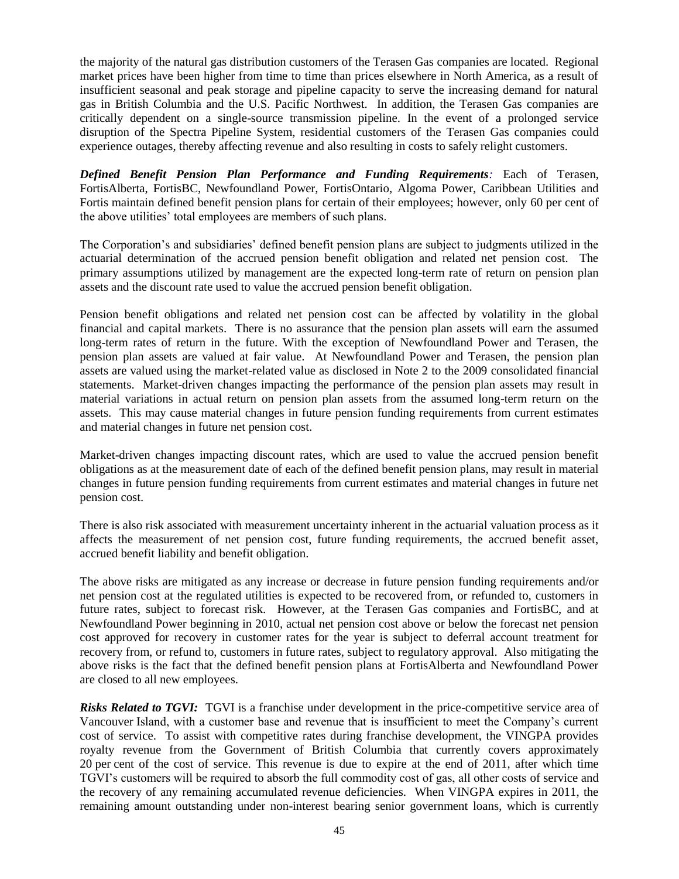the majority of the natural gas distribution customers of the Terasen Gas companies are located. Regional market prices have been higher from time to time than prices elsewhere in North America, as a result of insufficient seasonal and peak storage and pipeline capacity to serve the increasing demand for natural gas in British Columbia and the U.S. Pacific Northwest. In addition, the Terasen Gas companies are critically dependent on a single-source transmission pipeline. In the event of a prolonged service disruption of the Spectra Pipeline System, residential customers of the Terasen Gas companies could experience outages, thereby affecting revenue and also resulting in costs to safely relight customers.

*Defined Benefit Pension Plan Performance and Funding Requirements:* Each of Terasen, FortisAlberta, FortisBC, Newfoundland Power, FortisOntario, Algoma Power, Caribbean Utilities and Fortis maintain defined benefit pension plans for certain of their employees; however, only 60 per cent of the above utilities" total employees are members of such plans.

The Corporation's and subsidiaries' defined benefit pension plans are subject to judgments utilized in the actuarial determination of the accrued pension benefit obligation and related net pension cost. The primary assumptions utilized by management are the expected long-term rate of return on pension plan assets and the discount rate used to value the accrued pension benefit obligation.

Pension benefit obligations and related net pension cost can be affected by volatility in the global financial and capital markets. There is no assurance that the pension plan assets will earn the assumed long-term rates of return in the future. With the exception of Newfoundland Power and Terasen, the pension plan assets are valued at fair value. At Newfoundland Power and Terasen, the pension plan assets are valued using the market-related value as disclosed in Note 2 to the 2009 consolidated financial statements. Market-driven changes impacting the performance of the pension plan assets may result in material variations in actual return on pension plan assets from the assumed long-term return on the assets. This may cause material changes in future pension funding requirements from current estimates and material changes in future net pension cost.

Market-driven changes impacting discount rates, which are used to value the accrued pension benefit obligations as at the measurement date of each of the defined benefit pension plans, may result in material changes in future pension funding requirements from current estimates and material changes in future net pension cost.

There is also risk associated with measurement uncertainty inherent in the actuarial valuation process as it affects the measurement of net pension cost, future funding requirements, the accrued benefit asset, accrued benefit liability and benefit obligation.

The above risks are mitigated as any increase or decrease in future pension funding requirements and/or net pension cost at the regulated utilities is expected to be recovered from, or refunded to, customers in future rates, subject to forecast risk. However, at the Terasen Gas companies and FortisBC, and at Newfoundland Power beginning in 2010, actual net pension cost above or below the forecast net pension cost approved for recovery in customer rates for the year is subject to deferral account treatment for recovery from, or refund to, customers in future rates, subject to regulatory approval. Also mitigating the above risks is the fact that the defined benefit pension plans at FortisAlberta and Newfoundland Power are closed to all new employees.

*Risks Related to TGVI:* TGVI is a franchise under development in the price-competitive service area of Vancouver Island, with a customer base and revenue that is insufficient to meet the Company"s current cost of service. To assist with competitive rates during franchise development, the VINGPA provides royalty revenue from the Government of British Columbia that currently covers approximately 20 per cent of the cost of service. This revenue is due to expire at the end of 2011, after which time TGVI"s customers will be required to absorb the full commodity cost of gas, all other costs of service and the recovery of any remaining accumulated revenue deficiencies. When VINGPA expires in 2011, the remaining amount outstanding under non-interest bearing senior government loans, which is currently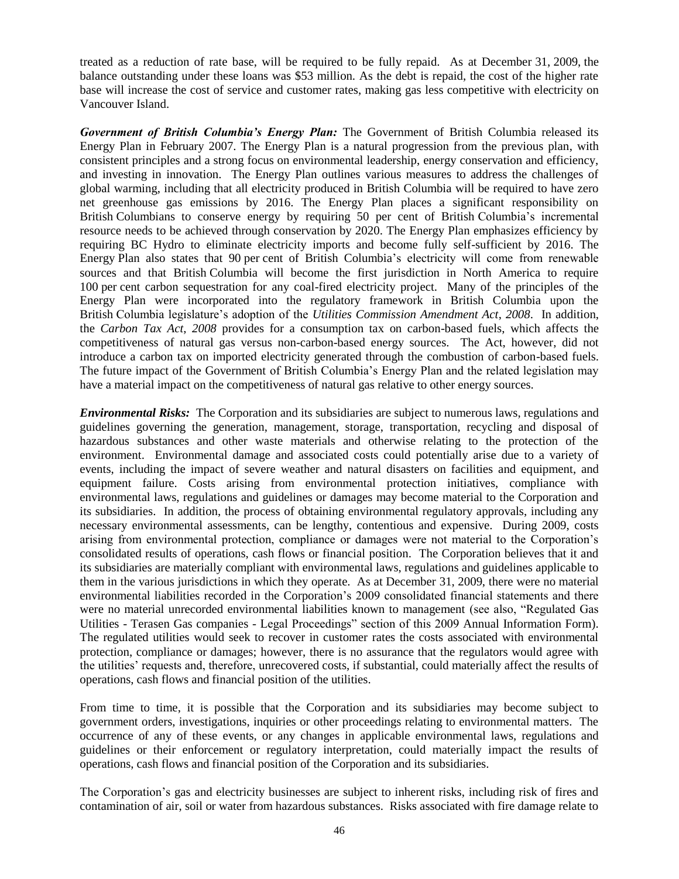treated as a reduction of rate base, will be required to be fully repaid. As at December 31, 2009, the balance outstanding under these loans was \$53 million. As the debt is repaid, the cost of the higher rate base will increase the cost of service and customer rates, making gas less competitive with electricity on Vancouver Island.

*Government of British Columbia's Energy Plan:* The Government of British Columbia released its Energy Plan in February 2007. The Energy Plan is a natural progression from the previous plan, with consistent principles and a strong focus on environmental leadership, energy conservation and efficiency, and investing in innovation. The Energy Plan outlines various measures to address the challenges of global warming, including that all electricity produced in British Columbia will be required to have zero net greenhouse gas emissions by 2016. The Energy Plan places a significant responsibility on British Columbians to conserve energy by requiring 50 per cent of British Columbia's incremental resource needs to be achieved through conservation by 2020. The Energy Plan emphasizes efficiency by requiring BC Hydro to eliminate electricity imports and become fully self-sufficient by 2016. The Energy Plan also states that 90 per cent of British Columbia"s electricity will come from renewable sources and that British Columbia will become the first jurisdiction in North America to require 100 per cent carbon sequestration for any coal-fired electricity project. Many of the principles of the Energy Plan were incorporated into the regulatory framework in British Columbia upon the British Columbia legislature"s adoption of the *Utilities Commission Amendment Act*, *2008*. In addition, the *Carbon Tax Act*, *2008* provides for a consumption tax on carbon-based fuels, which affects the competitiveness of natural gas versus non-carbon-based energy sources. The Act, however, did not introduce a carbon tax on imported electricity generated through the combustion of carbon-based fuels. The future impact of the Government of British Columbia"s Energy Plan and the related legislation may have a material impact on the competitiveness of natural gas relative to other energy sources.

*Environmental Risks:* The Corporation and its subsidiaries are subject to numerous laws, regulations and guidelines governing the generation, management, storage, transportation, recycling and disposal of hazardous substances and other waste materials and otherwise relating to the protection of the environment. Environmental damage and associated costs could potentially arise due to a variety of events, including the impact of severe weather and natural disasters on facilities and equipment, and equipment failure. Costs arising from environmental protection initiatives, compliance with environmental laws, regulations and guidelines or damages may become material to the Corporation and its subsidiaries. In addition, the process of obtaining environmental regulatory approvals, including any necessary environmental assessments, can be lengthy, contentious and expensive. During 2009, costs arising from environmental protection, compliance or damages were not material to the Corporation"s consolidated results of operations, cash flows or financial position. The Corporation believes that it and its subsidiaries are materially compliant with environmental laws, regulations and guidelines applicable to them in the various jurisdictions in which they operate. As at December 31, 2009, there were no material environmental liabilities recorded in the Corporation"s 2009 consolidated financial statements and there were no material unrecorded environmental liabilities known to management (see also, "Regulated Gas Utilities - Terasen Gas companies - Legal Proceedings" section of this 2009 Annual Information Form). The regulated utilities would seek to recover in customer rates the costs associated with environmental protection, compliance or damages; however, there is no assurance that the regulators would agree with the utilities" requests and, therefore, unrecovered costs, if substantial, could materially affect the results of operations, cash flows and financial position of the utilities.

From time to time, it is possible that the Corporation and its subsidiaries may become subject to government orders, investigations, inquiries or other proceedings relating to environmental matters. The occurrence of any of these events, or any changes in applicable environmental laws, regulations and guidelines or their enforcement or regulatory interpretation, could materially impact the results of operations, cash flows and financial position of the Corporation and its subsidiaries.

The Corporation"s gas and electricity businesses are subject to inherent risks, including risk of fires and contamination of air, soil or water from hazardous substances. Risks associated with fire damage relate to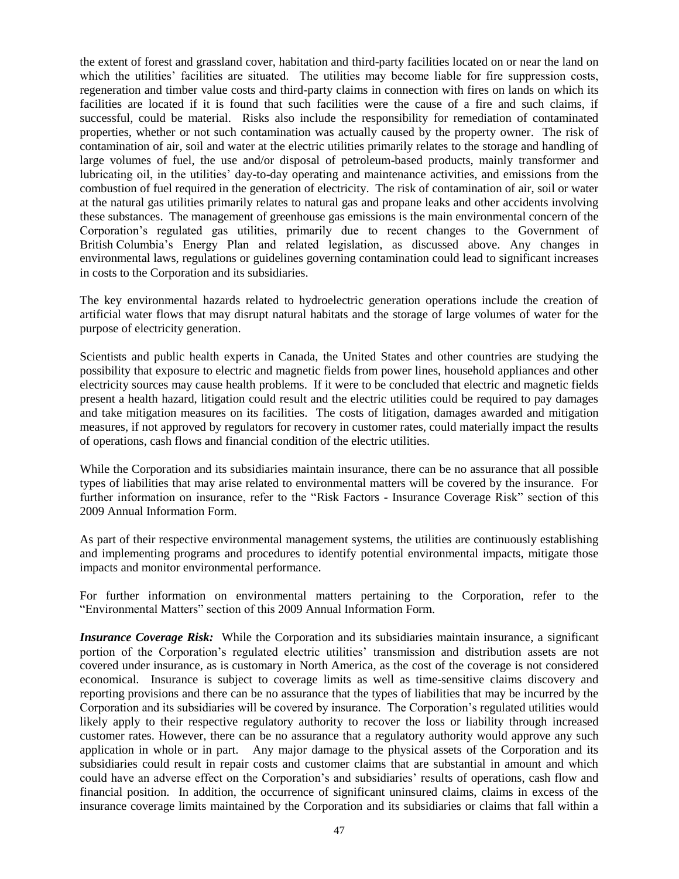the extent of forest and grassland cover, habitation and third-party facilities located on or near the land on which the utilities' facilities are situated. The utilities may become liable for fire suppression costs, regeneration and timber value costs and third-party claims in connection with fires on lands on which its facilities are located if it is found that such facilities were the cause of a fire and such claims, if successful, could be material. Risks also include the responsibility for remediation of contaminated properties, whether or not such contamination was actually caused by the property owner. The risk of contamination of air, soil and water at the electric utilities primarily relates to the storage and handling of large volumes of fuel, the use and/or disposal of petroleum-based products, mainly transformer and lubricating oil, in the utilities" day-to-day operating and maintenance activities, and emissions from the combustion of fuel required in the generation of electricity. The risk of contamination of air, soil or water at the natural gas utilities primarily relates to natural gas and propane leaks and other accidents involving these substances. The management of greenhouse gas emissions is the main environmental concern of the Corporation"s regulated gas utilities, primarily due to recent changes to the Government of British Columbia's Energy Plan and related legislation, as discussed above. Any changes in environmental laws, regulations or guidelines governing contamination could lead to significant increases in costs to the Corporation and its subsidiaries.

The key environmental hazards related to hydroelectric generation operations include the creation of artificial water flows that may disrupt natural habitats and the storage of large volumes of water for the purpose of electricity generation.

Scientists and public health experts in Canada, the United States and other countries are studying the possibility that exposure to electric and magnetic fields from power lines, household appliances and other electricity sources may cause health problems. If it were to be concluded that electric and magnetic fields present a health hazard, litigation could result and the electric utilities could be required to pay damages and take mitigation measures on its facilities. The costs of litigation, damages awarded and mitigation measures, if not approved by regulators for recovery in customer rates, could materially impact the results of operations, cash flows and financial condition of the electric utilities.

While the Corporation and its subsidiaries maintain insurance, there can be no assurance that all possible types of liabilities that may arise related to environmental matters will be covered by the insurance. For further information on insurance, refer to the "Risk Factors - Insurance Coverage Risk" section of this 2009 Annual Information Form.

As part of their respective environmental management systems, the utilities are continuously establishing and implementing programs and procedures to identify potential environmental impacts, mitigate those impacts and monitor environmental performance.

For further information on environmental matters pertaining to the Corporation, refer to the "Environmental Matters" section of this 2009 Annual Information Form.

*Insurance Coverage Risk:* While the Corporation and its subsidiaries maintain insurance, a significant portion of the Corporation's regulated electric utilities' transmission and distribution assets are not covered under insurance, as is customary in North America, as the cost of the coverage is not considered economical. Insurance is subject to coverage limits as well as time-sensitive claims discovery and reporting provisions and there can be no assurance that the types of liabilities that may be incurred by the Corporation and its subsidiaries will be covered by insurance. The Corporation"s regulated utilities would likely apply to their respective regulatory authority to recover the loss or liability through increased customer rates. However, there can be no assurance that a regulatory authority would approve any such application in whole or in part. Any major damage to the physical assets of the Corporation and its subsidiaries could result in repair costs and customer claims that are substantial in amount and which could have an adverse effect on the Corporation's and subsidiaries' results of operations, cash flow and financial position. In addition, the occurrence of significant uninsured claims, claims in excess of the insurance coverage limits maintained by the Corporation and its subsidiaries or claims that fall within a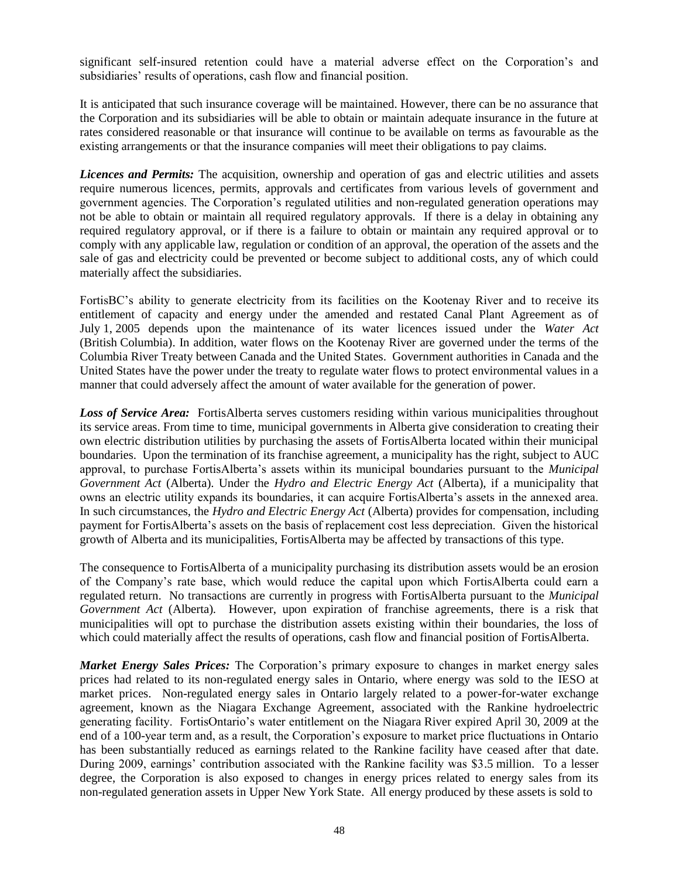significant self-insured retention could have a material adverse effect on the Corporation"s and subsidiaries' results of operations, cash flow and financial position.

It is anticipated that such insurance coverage will be maintained. However, there can be no assurance that the Corporation and its subsidiaries will be able to obtain or maintain adequate insurance in the future at rates considered reasonable or that insurance will continue to be available on terms as favourable as the existing arrangements or that the insurance companies will meet their obligations to pay claims.

*Licences and Permits:* The acquisition, ownership and operation of gas and electric utilities and assets require numerous licences, permits, approvals and certificates from various levels of government and government agencies. The Corporation"s regulated utilities and non-regulated generation operations may not be able to obtain or maintain all required regulatory approvals. If there is a delay in obtaining any required regulatory approval, or if there is a failure to obtain or maintain any required approval or to comply with any applicable law, regulation or condition of an approval, the operation of the assets and the sale of gas and electricity could be prevented or become subject to additional costs, any of which could materially affect the subsidiaries.

FortisBC"s ability to generate electricity from its facilities on the Kootenay River and to receive its entitlement of capacity and energy under the amended and restated Canal Plant Agreement as of July 1, 2005 depends upon the maintenance of its water licences issued under the *Water Act* (British Columbia). In addition, water flows on the Kootenay River are governed under the terms of the Columbia River Treaty between Canada and the United States. Government authorities in Canada and the United States have the power under the treaty to regulate water flows to protect environmental values in a manner that could adversely affect the amount of water available for the generation of power.

**Loss of Service Area:** FortisAlberta serves customers residing within various municipalities throughout its service areas. From time to time, municipal governments in Alberta give consideration to creating their own electric distribution utilities by purchasing the assets of FortisAlberta located within their municipal boundaries. Upon the termination of its franchise agreement, a municipality has the right, subject to AUC approval, to purchase FortisAlberta"s assets within its municipal boundaries pursuant to the *Municipal Government Act* (Alberta). Under the *Hydro and Electric Energy Act* (Alberta), if a municipality that owns an electric utility expands its boundaries, it can acquire FortisAlberta"s assets in the annexed area. In such circumstances, the *Hydro and Electric Energy Act* (Alberta) provides for compensation, including payment for FortisAlberta"s assets on the basis of replacement cost less depreciation. Given the historical growth of Alberta and its municipalities, FortisAlberta may be affected by transactions of this type.

The consequence to FortisAlberta of a municipality purchasing its distribution assets would be an erosion of the Company"s rate base, which would reduce the capital upon which FortisAlberta could earn a regulated return. No transactions are currently in progress with FortisAlberta pursuant to the *Municipal Government Act* (Alberta)*.* However, upon expiration of franchise agreements, there is a risk that municipalities will opt to purchase the distribution assets existing within their boundaries, the loss of which could materially affect the results of operations, cash flow and financial position of FortisAlberta.

*Market Energy Sales Prices:* The Corporation's primary exposure to changes in market energy sales prices had related to its non-regulated energy sales in Ontario, where energy was sold to the IESO at market prices. Non-regulated energy sales in Ontario largely related to a power-for-water exchange agreement, known as the Niagara Exchange Agreement, associated with the Rankine hydroelectric generating facility. FortisOntario"s water entitlement on the Niagara River expired April 30, 2009 at the end of a 100-year term and, as a result, the Corporation"s exposure to market price fluctuations in Ontario has been substantially reduced as earnings related to the Rankine facility have ceased after that date. During 2009, earnings' contribution associated with the Rankine facility was \$3.5 million. To a lesser degree, the Corporation is also exposed to changes in energy prices related to energy sales from its non-regulated generation assets in Upper New York State. All energy produced by these assets is sold to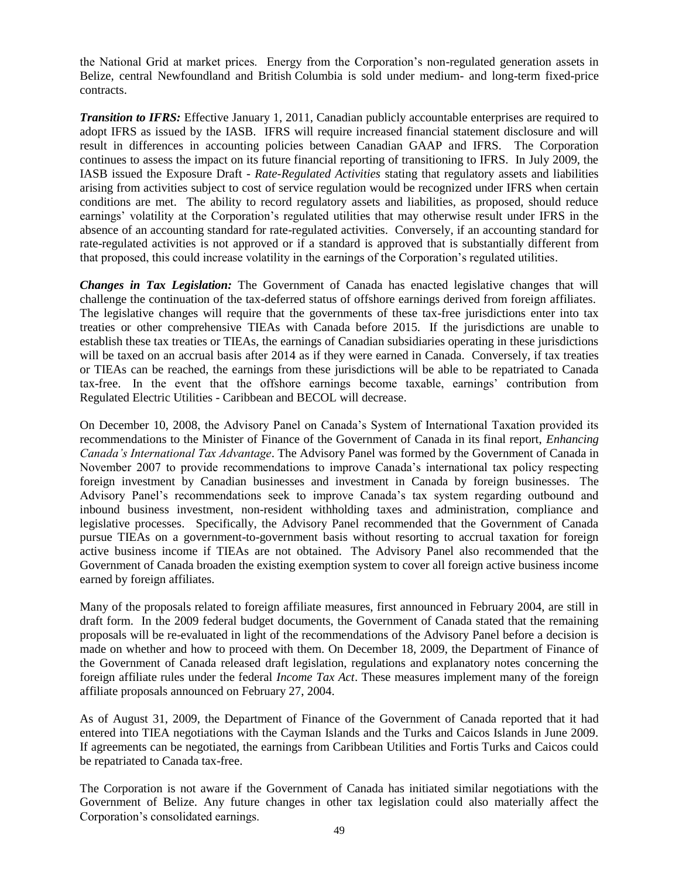the National Grid at market prices. Energy from the Corporation"s non-regulated generation assets in Belize, central Newfoundland and British Columbia is sold under medium- and long-term fixed-price contracts.

*Transition to IFRS:* Effective January 1, 2011, Canadian publicly accountable enterprises are required to adopt IFRS as issued by the IASB. IFRS will require increased financial statement disclosure and will result in differences in accounting policies between Canadian GAAP and IFRS. The Corporation continues to assess the impact on its future financial reporting of transitioning to IFRS. In July 2009, the IASB issued the Exposure Draft - *Rate-Regulated Activities* stating that regulatory assets and liabilities arising from activities subject to cost of service regulation would be recognized under IFRS when certain conditions are met. The ability to record regulatory assets and liabilities, as proposed, should reduce earnings" volatility at the Corporation"s regulated utilities that may otherwise result under IFRS in the absence of an accounting standard for rate-regulated activities. Conversely, if an accounting standard for rate-regulated activities is not approved or if a standard is approved that is substantially different from that proposed, this could increase volatility in the earnings of the Corporation"s regulated utilities.

*Changes in Tax Legislation:* The Government of Canada has enacted legislative changes that will challenge the continuation of the tax-deferred status of offshore earnings derived from foreign affiliates. The legislative changes will require that the governments of these tax-free jurisdictions enter into tax treaties or other comprehensive TIEAs with Canada before 2015. If the jurisdictions are unable to establish these tax treaties or TIEAs, the earnings of Canadian subsidiaries operating in these jurisdictions will be taxed on an accrual basis after 2014 as if they were earned in Canada. Conversely, if tax treaties or TIEAs can be reached, the earnings from these jurisdictions will be able to be repatriated to Canada tax-free. In the event that the offshore earnings become taxable, earnings" contribution from Regulated Electric Utilities - Caribbean and BECOL will decrease.

On December 10, 2008, the Advisory Panel on Canada"s System of International Taxation provided its recommendations to the Minister of Finance of the Government of Canada in its final report, *Enhancing Canada's International Tax Advantage*. The Advisory Panel was formed by the Government of Canada in November 2007 to provide recommendations to improve Canada"s international tax policy respecting foreign investment by Canadian businesses and investment in Canada by foreign businesses. The Advisory Panel"s recommendations seek to improve Canada"s tax system regarding outbound and inbound business investment, non-resident withholding taxes and administration, compliance and legislative processes. Specifically, the Advisory Panel recommended that the Government of Canada pursue TIEAs on a government-to-government basis without resorting to accrual taxation for foreign active business income if TIEAs are not obtained. The Advisory Panel also recommended that the Government of Canada broaden the existing exemption system to cover all foreign active business income earned by foreign affiliates.

Many of the proposals related to foreign affiliate measures, first announced in February 2004, are still in draft form. In the 2009 federal budget documents, the Government of Canada stated that the remaining proposals will be re-evaluated in light of the recommendations of the Advisory Panel before a decision is made on whether and how to proceed with them. On December 18, 2009, the Department of Finance of the Government of Canada released draft legislation, regulations and explanatory notes concerning the foreign affiliate rules under the federal *Income Tax Act*. These measures implement many of the foreign affiliate proposals announced on February 27, 2004.

As of August 31, 2009, the Department of Finance of the Government of Canada reported that it had entered into TIEA negotiations with the Cayman Islands and the Turks and Caicos Islands in June 2009. If agreements can be negotiated, the earnings from Caribbean Utilities and Fortis Turks and Caicos could be repatriated to Canada tax-free.

The Corporation is not aware if the Government of Canada has initiated similar negotiations with the Government of Belize. Any future changes in other tax legislation could also materially affect the Corporation"s consolidated earnings.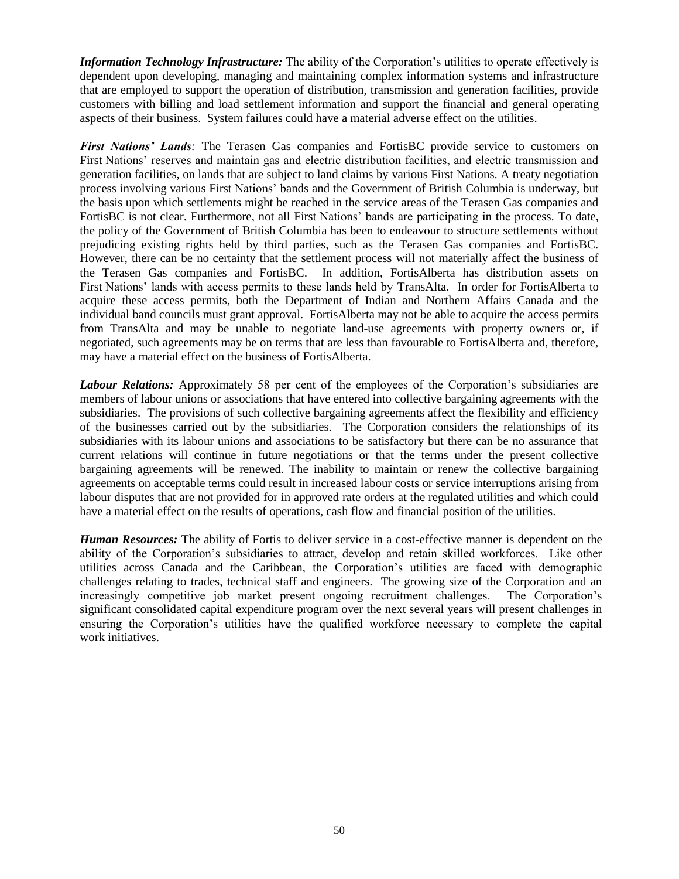*Information Technology Infrastructure:* The ability of the Corporation's utilities to operate effectively is dependent upon developing, managing and maintaining complex information systems and infrastructure that are employed to support the operation of distribution, transmission and generation facilities, provide customers with billing and load settlement information and support the financial and general operating aspects of their business. System failures could have a material adverse effect on the utilities.

*First Nations' Lands:* The Terasen Gas companies and FortisBC provide service to customers on First Nations" reserves and maintain gas and electric distribution facilities, and electric transmission and generation facilities, on lands that are subject to land claims by various First Nations. A treaty negotiation process involving various First Nations" bands and the Government of British Columbia is underway, but the basis upon which settlements might be reached in the service areas of the Terasen Gas companies and FortisBC is not clear. Furthermore, not all First Nations" bands are participating in the process. To date, the policy of the Government of British Columbia has been to endeavour to structure settlements without prejudicing existing rights held by third parties, such as the Terasen Gas companies and FortisBC. However, there can be no certainty that the settlement process will not materially affect the business of the Terasen Gas companies and FortisBC. In addition, FortisAlberta has distribution assets on First Nations" lands with access permits to these lands held by TransAlta. In order for FortisAlberta to acquire these access permits, both the Department of Indian and Northern Affairs Canada and the individual band councils must grant approval. FortisAlberta may not be able to acquire the access permits from TransAlta and may be unable to negotiate land-use agreements with property owners or, if negotiated, such agreements may be on terms that are less than favourable to FortisAlberta and, therefore, may have a material effect on the business of FortisAlberta.

*Labour Relations:* Approximately 58 per cent of the employees of the Corporation's subsidiaries are members of labour unions or associations that have entered into collective bargaining agreements with the subsidiaries. The provisions of such collective bargaining agreements affect the flexibility and efficiency of the businesses carried out by the subsidiaries. The Corporation considers the relationships of its subsidiaries with its labour unions and associations to be satisfactory but there can be no assurance that current relations will continue in future negotiations or that the terms under the present collective bargaining agreements will be renewed. The inability to maintain or renew the collective bargaining agreements on acceptable terms could result in increased labour costs or service interruptions arising from labour disputes that are not provided for in approved rate orders at the regulated utilities and which could have a material effect on the results of operations, cash flow and financial position of the utilities.

*Human Resources:* The ability of Fortis to deliver service in a cost-effective manner is dependent on the ability of the Corporation"s subsidiaries to attract, develop and retain skilled workforces. Like other utilities across Canada and the Caribbean, the Corporation"s utilities are faced with demographic challenges relating to trades, technical staff and engineers. The growing size of the Corporation and an increasingly competitive job market present ongoing recruitment challenges. The Corporation"s significant consolidated capital expenditure program over the next several years will present challenges in ensuring the Corporation"s utilities have the qualified workforce necessary to complete the capital work initiatives.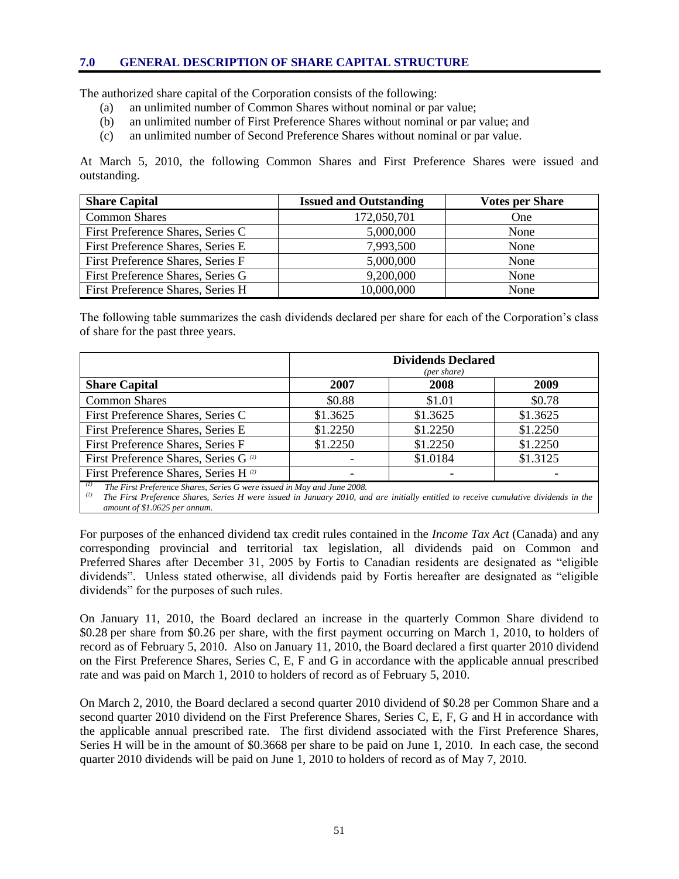#### **7.0 GENERAL DESCRIPTION OF SHARE CAPITAL STRUCTURE**

The authorized share capital of the Corporation consists of the following:

- (a) an unlimited number of Common Shares without nominal or par value;
- (b) an unlimited number of First Preference Shares without nominal or par value; and
- (c) an unlimited number of Second Preference Shares without nominal or par value.

At March 5, 2010, the following Common Shares and First Preference Shares were issued and outstanding.

| <b>Share Capital</b>              | <b>Issued and Outstanding</b> | <b>Votes per Share</b> |
|-----------------------------------|-------------------------------|------------------------|
| <b>Common Shares</b>              | 172,050,701                   | One                    |
| First Preference Shares, Series C | 5,000,000                     | None                   |
| First Preference Shares, Series E | 7,993,500                     | None                   |
| First Preference Shares, Series F | 5,000,000                     | None                   |
| First Preference Shares, Series G | 9,200,000                     | None                   |
| First Preference Shares, Series H | 10,000,000                    | None                   |

The following table summarizes the cash dividends declared per share for each of the Corporation"s class of share for the past three years.

|                                                  | <b>Dividends Declared</b><br>(per share) |          |          |  |
|--------------------------------------------------|------------------------------------------|----------|----------|--|
| <b>Share Capital</b>                             | 2007                                     | 2008     | 2009     |  |
| <b>Common Shares</b>                             | \$0.88                                   | \$1.01   | \$0.78   |  |
| First Preference Shares, Series C                | \$1.3625                                 | \$1.3625 | \$1.3625 |  |
| First Preference Shares, Series E                | \$1.2250                                 | \$1.2250 | \$1.2250 |  |
| First Preference Shares, Series F                | \$1.2250                                 | \$1.2250 | \$1.2250 |  |
| First Preference Shares, Series G <sup>(1)</sup> |                                          | \$1.0184 | \$1.3125 |  |
| First Preference Shares, Series H <sup>(2)</sup> |                                          |          |          |  |

*(1) The First Preference Shares, Series G were issued in May and June 2008.*

*(2) The First Preference Shares, Series H were issued in January 2010, and are initially entitled to receive cumulative dividends in the amount of \$1.0625 per annum.*

For purposes of the enhanced dividend tax credit rules contained in the *Income Tax Act* (Canada) and any corresponding provincial and territorial tax legislation, all dividends paid on Common and Preferred Shares after December 31, 2005 by Fortis to Canadian residents are designated as "eligible dividends". Unless stated otherwise, all dividends paid by Fortis hereafter are designated as "eligible dividends" for the purposes of such rules.

On January 11, 2010, the Board declared an increase in the quarterly Common Share dividend to \$0.28 per share from \$0.26 per share, with the first payment occurring on March 1, 2010, to holders of record as of February 5, 2010. Also on January 11, 2010, the Board declared a first quarter 2010 dividend on the First Preference Shares, Series C, E, F and G in accordance with the applicable annual prescribed rate and was paid on March 1, 2010 to holders of record as of February 5, 2010.

On March 2, 2010, the Board declared a second quarter 2010 dividend of \$0.28 per Common Share and a second quarter 2010 dividend on the First Preference Shares, Series C, E, F, G and H in accordance with the applicable annual prescribed rate. The first dividend associated with the First Preference Shares, Series H will be in the amount of \$0.3668 per share to be paid on June 1, 2010. In each case, the second quarter 2010 dividends will be paid on June 1, 2010 to holders of record as of May 7, 2010.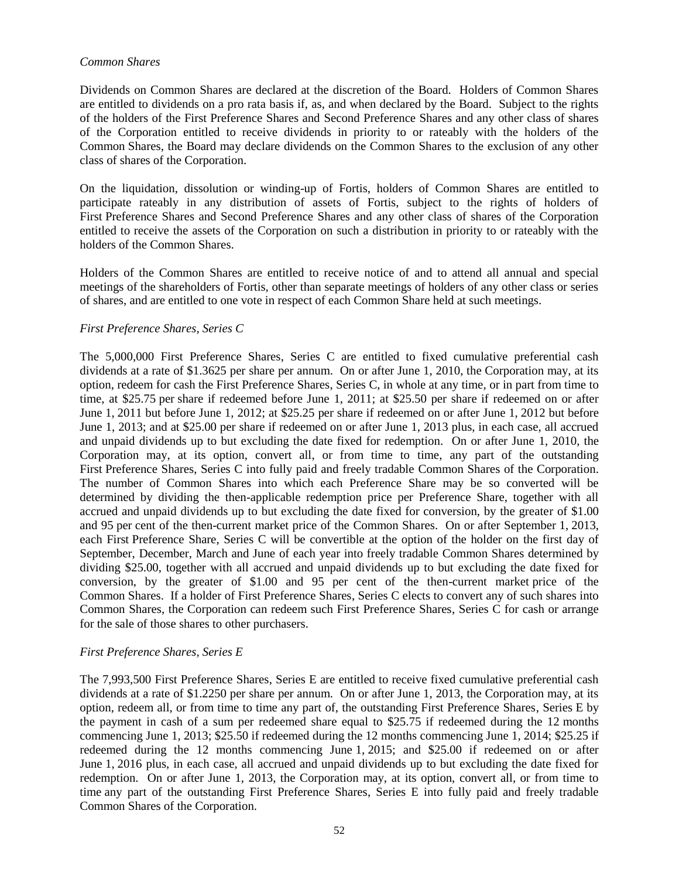#### *Common Shares*

Dividends on Common Shares are declared at the discretion of the Board. Holders of Common Shares are entitled to dividends on a pro rata basis if, as, and when declared by the Board. Subject to the rights of the holders of the First Preference Shares and Second Preference Shares and any other class of shares of the Corporation entitled to receive dividends in priority to or rateably with the holders of the Common Shares, the Board may declare dividends on the Common Shares to the exclusion of any other class of shares of the Corporation.

On the liquidation, dissolution or winding-up of Fortis, holders of Common Shares are entitled to participate rateably in any distribution of assets of Fortis, subject to the rights of holders of First Preference Shares and Second Preference Shares and any other class of shares of the Corporation entitled to receive the assets of the Corporation on such a distribution in priority to or rateably with the holders of the Common Shares.

Holders of the Common Shares are entitled to receive notice of and to attend all annual and special meetings of the shareholders of Fortis, other than separate meetings of holders of any other class or series of shares, and are entitled to one vote in respect of each Common Share held at such meetings.

#### *First Preference Shares, Series C*

The 5,000,000 First Preference Shares, Series C are entitled to fixed cumulative preferential cash dividends at a rate of \$1.3625 per share per annum. On or after June 1, 2010, the Corporation may, at its option, redeem for cash the First Preference Shares, Series C, in whole at any time, or in part from time to time, at \$25.75 per share if redeemed before June 1, 2011; at \$25.50 per share if redeemed on or after June 1, 2011 but before June 1, 2012; at \$25.25 per share if redeemed on or after June 1, 2012 but before June 1, 2013; and at \$25.00 per share if redeemed on or after June 1, 2013 plus, in each case, all accrued and unpaid dividends up to but excluding the date fixed for redemption. On or after June 1, 2010, the Corporation may, at its option, convert all, or from time to time, any part of the outstanding First Preference Shares, Series C into fully paid and freely tradable Common Shares of the Corporation. The number of Common Shares into which each Preference Share may be so converted will be determined by dividing the then-applicable redemption price per Preference Share, together with all accrued and unpaid dividends up to but excluding the date fixed for conversion, by the greater of \$1.00 and 95 per cent of the then-current market price of the Common Shares. On or after September 1, 2013, each First Preference Share, Series C will be convertible at the option of the holder on the first day of September, December, March and June of each year into freely tradable Common Shares determined by dividing \$25.00, together with all accrued and unpaid dividends up to but excluding the date fixed for conversion, by the greater of \$1.00 and 95 per cent of the then-current market price of the Common Shares. If a holder of First Preference Shares, Series C elects to convert any of such shares into Common Shares, the Corporation can redeem such First Preference Shares, Series C for cash or arrange for the sale of those shares to other purchasers.

#### *First Preference Shares, Series E*

The 7,993,500 First Preference Shares, Series E are entitled to receive fixed cumulative preferential cash dividends at a rate of \$1.2250 per share per annum. On or after June 1, 2013, the Corporation may, at its option, redeem all, or from time to time any part of, the outstanding First Preference Shares, Series E by the payment in cash of a sum per redeemed share equal to \$25.75 if redeemed during the 12 months commencing June 1, 2013; \$25.50 if redeemed during the 12 months commencing June 1, 2014; \$25.25 if redeemed during the 12 months commencing June 1, 2015; and \$25.00 if redeemed on or after June 1, 2016 plus, in each case, all accrued and unpaid dividends up to but excluding the date fixed for redemption. On or after June 1, 2013, the Corporation may, at its option, convert all, or from time to time any part of the outstanding First Preference Shares, Series E into fully paid and freely tradable Common Shares of the Corporation.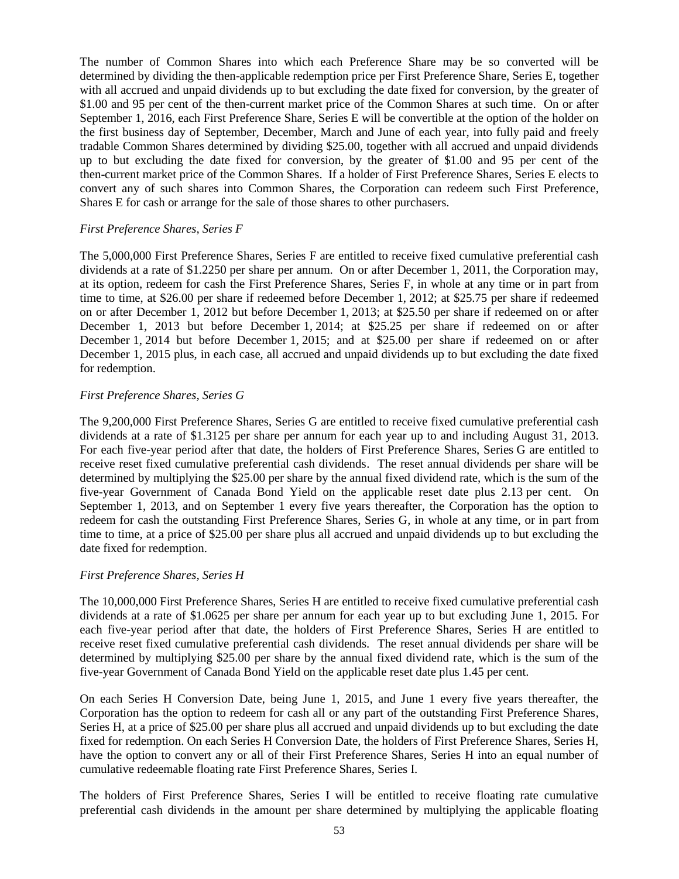The number of Common Shares into which each Preference Share may be so converted will be determined by dividing the then-applicable redemption price per First Preference Share, Series E, together with all accrued and unpaid dividends up to but excluding the date fixed for conversion, by the greater of \$1.00 and 95 per cent of the then-current market price of the Common Shares at such time. On or after September 1, 2016, each First Preference Share, Series E will be convertible at the option of the holder on the first business day of September, December, March and June of each year, into fully paid and freely tradable Common Shares determined by dividing \$25.00, together with all accrued and unpaid dividends up to but excluding the date fixed for conversion, by the greater of \$1.00 and 95 per cent of the then-current market price of the Common Shares. If a holder of First Preference Shares, Series E elects to convert any of such shares into Common Shares, the Corporation can redeem such First Preference, Shares E for cash or arrange for the sale of those shares to other purchasers.

#### *First Preference Shares, Series F*

The 5,000,000 First Preference Shares, Series F are entitled to receive fixed cumulative preferential cash dividends at a rate of \$1.2250 per share per annum. On or after December 1, 2011, the Corporation may, at its option, redeem for cash the First Preference Shares, Series F, in whole at any time or in part from time to time, at \$26.00 per share if redeemed before December 1, 2012; at \$25.75 per share if redeemed on or after December 1, 2012 but before December 1, 2013; at \$25.50 per share if redeemed on or after December 1, 2013 but before December 1, 2014; at \$25.25 per share if redeemed on or after December 1, 2014 but before December 1, 2015; and at \$25.00 per share if redeemed on or after December 1, 2015 plus, in each case, all accrued and unpaid dividends up to but excluding the date fixed for redemption.

#### *First Preference Shares, Series G*

The 9,200,000 First Preference Shares, Series G are entitled to receive fixed cumulative preferential cash dividends at a rate of \$1.3125 per share per annum for each year up to and including August 31, 2013. For each five-year period after that date, the holders of First Preference Shares, Series G are entitled to receive reset fixed cumulative preferential cash dividends. The reset annual dividends per share will be determined by multiplying the \$25.00 per share by the annual fixed dividend rate, which is the sum of the five-year Government of Canada Bond Yield on the applicable reset date plus 2.13 per cent. On September 1, 2013, and on September 1 every five years thereafter, the Corporation has the option to redeem for cash the outstanding First Preference Shares, Series G, in whole at any time, or in part from time to time, at a price of \$25.00 per share plus all accrued and unpaid dividends up to but excluding the date fixed for redemption.

#### *First Preference Shares, Series H*

The 10,000,000 First Preference Shares, Series H are entitled to receive fixed cumulative preferential cash dividends at a rate of \$1.0625 per share per annum for each year up to but excluding June 1, 2015. For each five-year period after that date, the holders of First Preference Shares, Series H are entitled to receive reset fixed cumulative preferential cash dividends. The reset annual dividends per share will be determined by multiplying \$25.00 per share by the annual fixed dividend rate, which is the sum of the five-year Government of Canada Bond Yield on the applicable reset date plus 1.45 per cent.

On each Series H Conversion Date, being June 1, 2015, and June 1 every five years thereafter, the Corporation has the option to redeem for cash all or any part of the outstanding First Preference Shares, Series H, at a price of \$25.00 per share plus all accrued and unpaid dividends up to but excluding the date fixed for redemption. On each Series H Conversion Date, the holders of First Preference Shares, Series H, have the option to convert any or all of their First Preference Shares, Series H into an equal number of cumulative redeemable floating rate First Preference Shares, Series I.

The holders of First Preference Shares, Series I will be entitled to receive floating rate cumulative preferential cash dividends in the amount per share determined by multiplying the applicable floating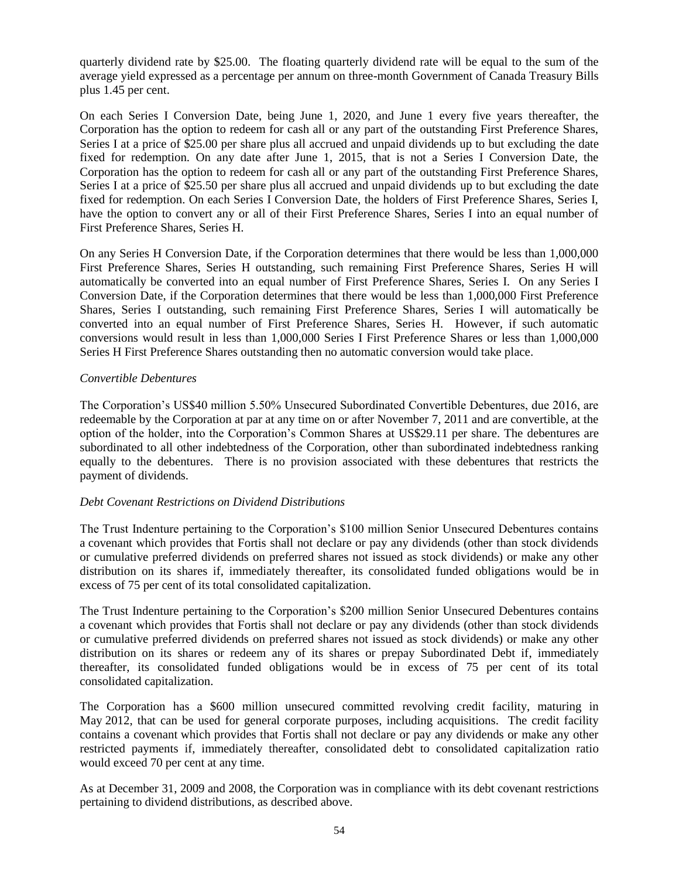quarterly dividend rate by \$25.00. The floating quarterly dividend rate will be equal to the sum of the average yield expressed as a percentage per annum on three-month Government of Canada Treasury Bills plus 1.45 per cent.

On each Series I Conversion Date, being June 1, 2020, and June 1 every five years thereafter, the Corporation has the option to redeem for cash all or any part of the outstanding First Preference Shares, Series I at a price of \$25.00 per share plus all accrued and unpaid dividends up to but excluding the date fixed for redemption. On any date after June 1, 2015, that is not a Series I Conversion Date, the Corporation has the option to redeem for cash all or any part of the outstanding First Preference Shares, Series I at a price of \$25.50 per share plus all accrued and unpaid dividends up to but excluding the date fixed for redemption. On each Series I Conversion Date, the holders of First Preference Shares, Series I, have the option to convert any or all of their First Preference Shares, Series I into an equal number of First Preference Shares, Series H.

On any Series H Conversion Date, if the Corporation determines that there would be less than 1,000,000 First Preference Shares, Series H outstanding, such remaining First Preference Shares, Series H will automatically be converted into an equal number of First Preference Shares, Series I. On any Series I Conversion Date, if the Corporation determines that there would be less than 1,000,000 First Preference Shares, Series I outstanding, such remaining First Preference Shares, Series I will automatically be converted into an equal number of First Preference Shares, Series H. However, if such automatic conversions would result in less than 1,000,000 Series I First Preference Shares or less than 1,000,000 Series H First Preference Shares outstanding then no automatic conversion would take place.

#### *Convertible Debentures*

The Corporation"s US\$40 million 5.50% Unsecured Subordinated Convertible Debentures, due 2016, are redeemable by the Corporation at par at any time on or after November 7, 2011 and are convertible, at the option of the holder, into the Corporation"s Common Shares at US\$29.11 per share. The debentures are subordinated to all other indebtedness of the Corporation, other than subordinated indebtedness ranking equally to the debentures. There is no provision associated with these debentures that restricts the payment of dividends.

#### *Debt Covenant Restrictions on Dividend Distributions*

The Trust Indenture pertaining to the Corporation"s \$100 million Senior Unsecured Debentures contains a covenant which provides that Fortis shall not declare or pay any dividends (other than stock dividends or cumulative preferred dividends on preferred shares not issued as stock dividends) or make any other distribution on its shares if, immediately thereafter, its consolidated funded obligations would be in excess of 75 per cent of its total consolidated capitalization.

The Trust Indenture pertaining to the Corporation"s \$200 million Senior Unsecured Debentures contains a covenant which provides that Fortis shall not declare or pay any dividends (other than stock dividends or cumulative preferred dividends on preferred shares not issued as stock dividends) or make any other distribution on its shares or redeem any of its shares or prepay Subordinated Debt if, immediately thereafter, its consolidated funded obligations would be in excess of 75 per cent of its total consolidated capitalization.

The Corporation has a \$600 million unsecured committed revolving credit facility, maturing in May 2012, that can be used for general corporate purposes, including acquisitions. The credit facility contains a covenant which provides that Fortis shall not declare or pay any dividends or make any other restricted payments if, immediately thereafter, consolidated debt to consolidated capitalization ratio would exceed 70 per cent at any time.

As at December 31, 2009 and 2008, the Corporation was in compliance with its debt covenant restrictions pertaining to dividend distributions, as described above.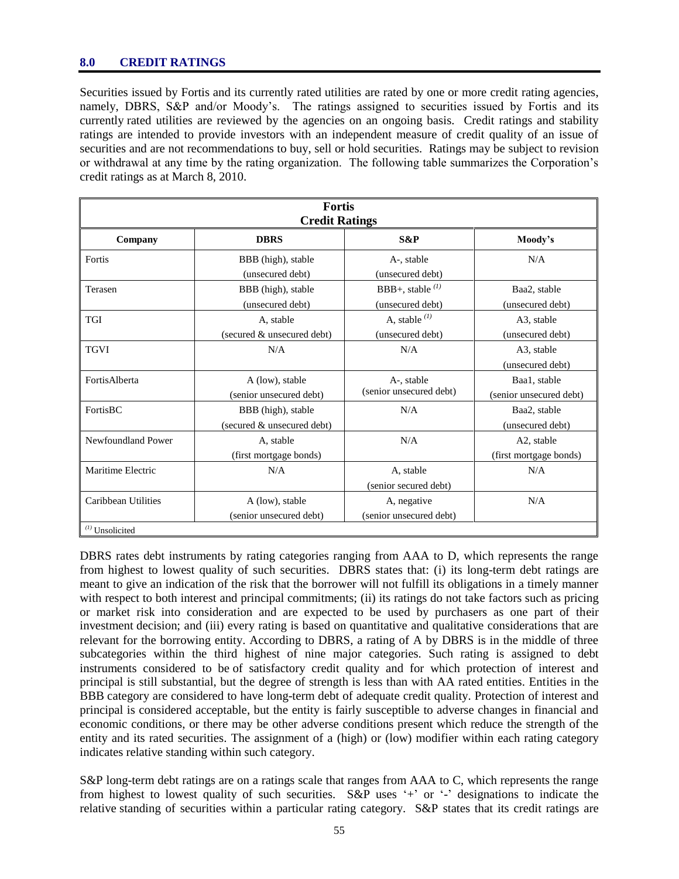#### **8.0 CREDIT RATINGS**

Securities issued by Fortis and its currently rated utilities are rated by one or more credit rating agencies, namely, DBRS, S&P and/or Moody's. The ratings assigned to securities issued by Fortis and its currently rated utilities are reviewed by the agencies on an ongoing basis. Credit ratings and stability ratings are intended to provide investors with an independent measure of credit quality of an issue of securities and are not recommendations to buy, sell or hold securities. Ratings may be subject to revision or withdrawal at any time by the rating organization. The following table summarizes the Corporation"s credit ratings as at March 8, 2010.

| <b>Fortis</b><br><b>Credit Ratings</b>   |                                                  |                                           |                                         |  |  |  |
|------------------------------------------|--------------------------------------------------|-------------------------------------------|-----------------------------------------|--|--|--|
| <b>DBRS</b><br>S&P<br>Company<br>Moody's |                                                  |                                           |                                         |  |  |  |
| Fortis                                   | BBB (high), stable<br>(unsecured debt)           | A-, stable<br>(unsecured debt)            | N/A                                     |  |  |  |
| Terasen                                  | BBB (high), stable<br>(unsecured debt)           | BBB+, stable $^{(1)}$<br>(unsecured debt) | Baa2, stable<br>(unsecured debt)        |  |  |  |
| <b>TGI</b>                               | A, stable<br>(secured & unsecured debt)          | A, stable $^{(1)}$<br>(unsecured debt)    | A3, stable<br>(unsecured debt)          |  |  |  |
| <b>TGVI</b>                              | N/A                                              | N/A                                       | A3, stable<br>(unsecured debt)          |  |  |  |
| FortisAlberta                            | A (low), stable<br>(senior unsecured debt)       | A-, stable<br>(senior unsecured debt)     | Baa1, stable<br>(senior unsecured debt) |  |  |  |
| FortisBC                                 | BBB (high), stable<br>(secured & unsecured debt) | N/A                                       | Baa2, stable<br>(unsecured debt)        |  |  |  |
| Newfoundland Power                       | A, stable<br>(first mortgage bonds)              | N/A                                       | A2, stable<br>(first mortgage bonds)    |  |  |  |
| Maritime Electric                        | N/A                                              | A, stable<br>(senior secured debt)        | N/A                                     |  |  |  |
| Caribbean Utilities                      | A (low), stable<br>(senior unsecured debt)       | A, negative<br>(senior unsecured debt)    | N/A                                     |  |  |  |
| $(1)$ Unsolicited                        |                                                  |                                           |                                         |  |  |  |

DBRS rates debt instruments by rating categories ranging from AAA to D, which represents the range from highest to lowest quality of such securities. DBRS states that: (i) its long-term debt ratings are meant to give an indication of the risk that the borrower will not fulfill its obligations in a timely manner with respect to both interest and principal commitments; (ii) its ratings do not take factors such as pricing or market risk into consideration and are expected to be used by purchasers as one part of their investment decision; and (iii) every rating is based on quantitative and qualitative considerations that are relevant for the borrowing entity. According to DBRS, a rating of A by DBRS is in the middle of three subcategories within the third highest of nine major categories. Such rating is assigned to debt instruments considered to be of satisfactory credit quality and for which protection of interest and principal is still substantial, but the degree of strength is less than with AA rated entities. Entities in the BBB category are considered to have long-term debt of adequate credit quality. Protection of interest and principal is considered acceptable, but the entity is fairly susceptible to adverse changes in financial and economic conditions, or there may be other adverse conditions present which reduce the strength of the entity and its rated securities. The assignment of a (high) or (low) modifier within each rating category indicates relative standing within such category.

S&P long-term debt ratings are on a ratings scale that ranges from AAA to C, which represents the range from highest to lowest quality of such securities. S&P uses '+' or '-' designations to indicate the relative standing of securities within a particular rating category. S&P states that its credit ratings are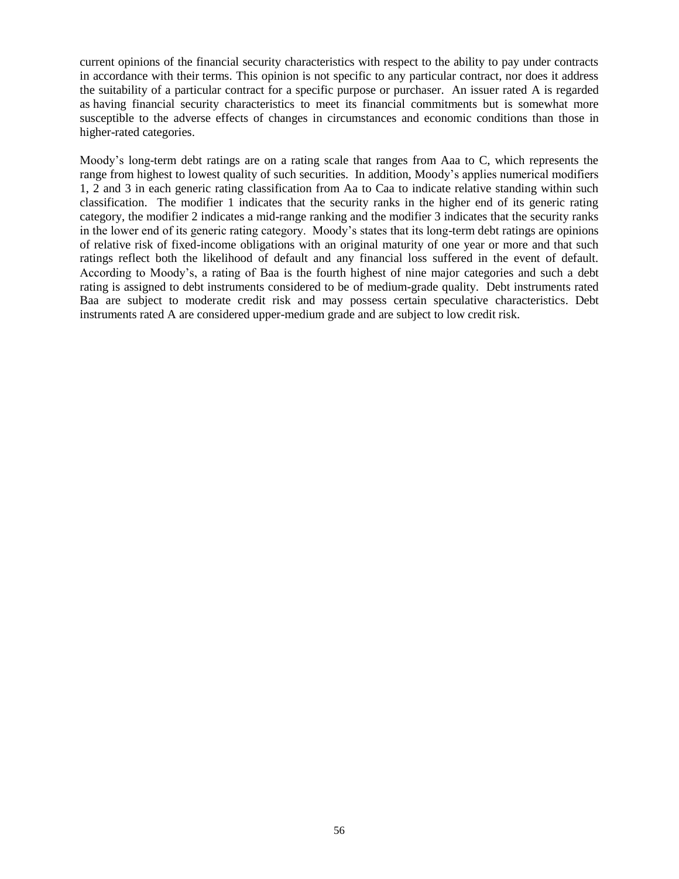current opinions of the financial security characteristics with respect to the ability to pay under contracts in accordance with their terms. This opinion is not specific to any particular contract, nor does it address the suitability of a particular contract for a specific purpose or purchaser. An issuer rated A is regarded as having financial security characteristics to meet its financial commitments but is somewhat more susceptible to the adverse effects of changes in circumstances and economic conditions than those in higher-rated categories.

Moody"s long-term debt ratings are on a rating scale that ranges from Aaa to C, which represents the range from highest to lowest quality of such securities. In addition, Moody"s applies numerical modifiers 1, 2 and 3 in each generic rating classification from Aa to Caa to indicate relative standing within such classification. The modifier 1 indicates that the security ranks in the higher end of its generic rating category, the modifier 2 indicates a mid-range ranking and the modifier 3 indicates that the security ranks in the lower end of its generic rating category. Moody"s states that its long-term debt ratings are opinions of relative risk of fixed-income obligations with an original maturity of one year or more and that such ratings reflect both the likelihood of default and any financial loss suffered in the event of default. According to Moody"s, a rating of Baa is the fourth highest of nine major categories and such a debt rating is assigned to debt instruments considered to be of medium-grade quality. Debt instruments rated Baa are subject to moderate credit risk and may possess certain speculative characteristics. Debt instruments rated A are considered upper-medium grade and are subject to low credit risk.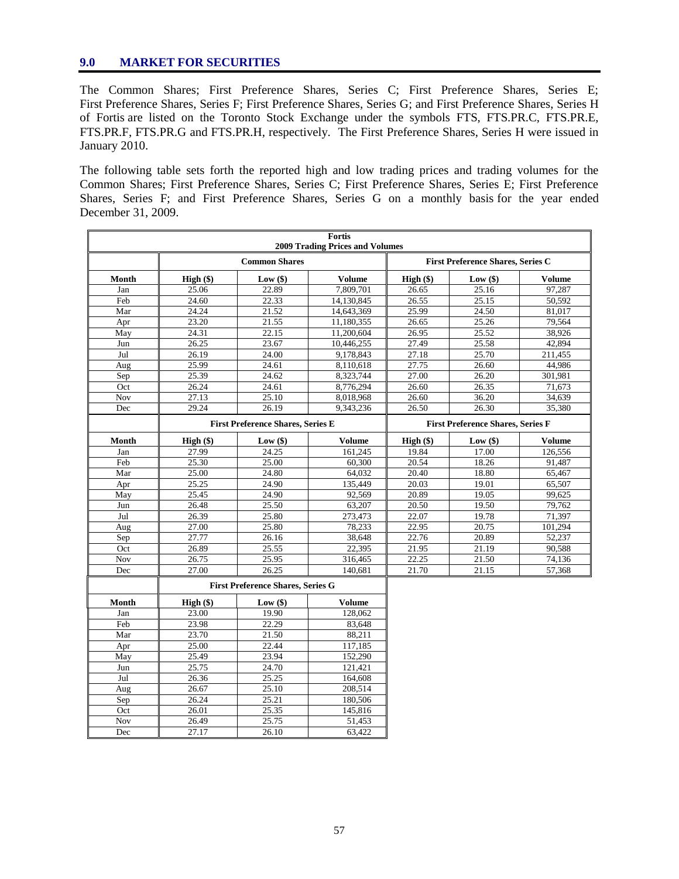#### **9.0 MARKET FOR SECURITIES**

The Common Shares; First Preference Shares, Series C; First Preference Shares, Series E; First Preference Shares, Series F; First Preference Shares, Series G; and First Preference Shares, Series H of Fortis are listed on the Toronto Stock Exchange under the symbols FTS, FTS.PR.C, FTS.PR.E, FTS.PR.F, FTS.PR.G and FTS.PR.H, respectively. The First Preference Shares, Series H were issued in January 2010.

The following table sets forth the reported high and low trading prices and trading volumes for the Common Shares; First Preference Shares, Series C; First Preference Shares, Series E; First Preference Shares, Series F; and First Preference Shares, Series G on a monthly basis for the year ended December 31, 2009.

| Fortis<br><b>2009 Trading Prices and Volumes</b> |                                          |                                          |                                          |             |            |               |
|--------------------------------------------------|------------------------------------------|------------------------------------------|------------------------------------------|-------------|------------|---------------|
|                                                  | <b>Common Shares</b>                     |                                          | <b>First Preference Shares, Series C</b> |             |            |               |
| Month                                            | High()                                   | $Low($ \$)                               | <b>Volume</b>                            | $High (\$)$ | Low(\$)    | <b>Volume</b> |
| Jan                                              | 25.06                                    | 22.89                                    | 7,809,701                                | 26.65       | 25.16      | 97,287        |
| Feb                                              | 24.60                                    | 22.33                                    | 14,130,845                               | 26.55       | 25.15      | 50,592        |
| Mar                                              | 24.24                                    | 21.52                                    | 14,643,369                               | 25.99       | 24.50      | 81,017        |
| Apr                                              | 23.20                                    | 21.55                                    | 11,180,355                               | 26.65       | 25.26      | 79.564        |
| May                                              | 24.31                                    | 22.15                                    | 11,200,604                               | 26.95       | 25.52      | 38,926        |
| Jun                                              | 26.25                                    | 23.67                                    | 10,446,255                               | 27.49       | 25.58      | 42.894        |
| Jul                                              | 26.19                                    | 24.00                                    | 9,178,843                                | 27.18       | 25.70      | 211,455       |
| Aug                                              | 25.99                                    | 24.61                                    | 8,110,618                                | 27.75       | 26.60      | 44.986        |
| Sep                                              | 25.39                                    | 24.62                                    | 8.323.744                                | 27.00       | 26.20      | 301.981       |
| Oct                                              | 26.24                                    | 24.61                                    | 8,776,294                                | 26.60       | 26.35      | 71,673        |
| <b>Nov</b>                                       | 27.13                                    | 25.10                                    | 8,018,968                                | 26.60       | 36.20      | 34,639        |
| Dec                                              | 29.24                                    | 26.19                                    | 9.343.236                                | 26.50       | 26.30      | 35.380        |
|                                                  | <b>First Preference Shares, Series E</b> |                                          | <b>First Preference Shares, Series F</b> |             |            |               |
| Month                                            | High (\$)                                | Low $(\$)$                               | <b>Volume</b>                            | $High (\$)$ | Low $(\$)$ | <b>Volume</b> |
| Jan                                              | 27.99                                    | 24.25                                    | 161,245                                  | 19.84       | 17.00      | 126,556       |
| Feb                                              | 25.30                                    | 25.00                                    | 60,300                                   | 20.54       | 18.26      | 91,487        |
| Mar                                              | 25.00                                    | 24.80                                    | 64,032                                   | 20.40       | 18.80      | 65,467        |
| Apr                                              | 25.25                                    | 24.90                                    | 135,449                                  | 20.03       | 19.01      | 65,507        |
| May                                              | 25.45                                    | 24.90                                    | 92,569                                   | 20.89       | 19.05      | 99,625        |
| Jun                                              | 26.48                                    | 25.50                                    | 63,207                                   | 20.50       | 19.50      | 79,762        |
| Jul                                              | 26.39                                    | 25.80                                    | 273,473                                  | 22.07       | 19.78      | 71,397        |
| Aug                                              | 27.00                                    | 25.80                                    | 78,233                                   | 22.95       | 20.75      | 101,294       |
| Sep                                              | 27.77                                    | 26.16                                    | 38,648                                   | 22.76       | 20.89      | 52,237        |
| Oct                                              | 26.89                                    | 25.55                                    | 22,395                                   | 21.95       | 21.19      | 90,588        |
| Nov                                              | 26.75                                    | 25.95                                    | 316,465                                  | 22.25       | 21.50      | 74,136        |
| Dec                                              | 27.00                                    | 26.25                                    | 140.681                                  | 21.70       | 21.15      | 57,368        |
|                                                  |                                          | <b>First Preference Shares, Series G</b> |                                          |             |            |               |
| Month                                            | $High (\$)$                              | Low $(\$)$                               | Volume                                   |             |            |               |
| Jan                                              | 23.00                                    | 19.90                                    | 128,062                                  |             |            |               |
| Feb                                              | 23.98                                    | 22.29                                    | 83,648                                   |             |            |               |
| Mar                                              | 23.70                                    | 21.50                                    | 88,211                                   |             |            |               |
| Apr                                              | 25.00                                    | 22.44                                    | 117.185                                  |             |            |               |
| May                                              | 25.49                                    | 23.94                                    | 152,290                                  |             |            |               |
| Jun                                              | 25.75                                    | 24.70                                    | 121,421                                  |             |            |               |
| Jul                                              | 26.36                                    | 25.25                                    | 164,608                                  |             |            |               |
| Aug                                              | 26.67                                    | 25.10                                    | 208.514                                  |             |            |               |
| Sep                                              | 26.24                                    | 25.21                                    | 180,506                                  |             |            |               |
| Oct                                              | 26.01                                    | 25.35                                    | 145,816                                  |             |            |               |
| Nov                                              | 26.49                                    | 25.75                                    | 51,453                                   |             |            |               |
| Dec                                              | 27.17                                    | 26.10                                    | 63,422                                   |             |            |               |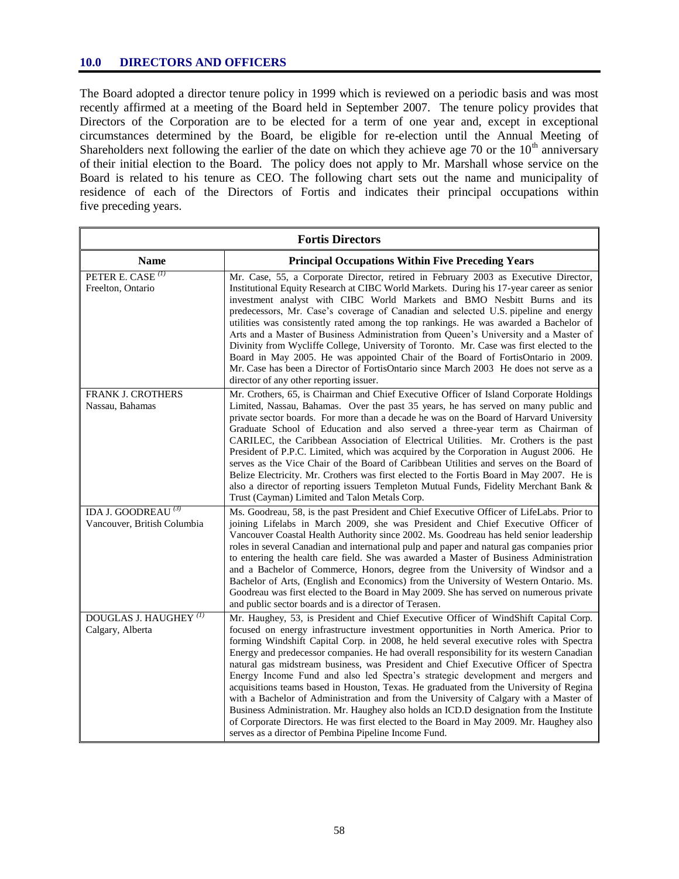#### **10.0 DIRECTORS AND OFFICERS**

The Board adopted a director tenure policy in 1999 which is reviewed on a periodic basis and was most recently affirmed at a meeting of the Board held in September 2007. The tenure policy provides that Directors of the Corporation are to be elected for a term of one year and, except in exceptional circumstances determined by the Board, be eligible for re-election until the Annual Meeting of Shareholders next following the earlier of the date on which they achieve age 70 or the  $10<sup>th</sup>$  anniversary of their initial election to the Board. The policy does not apply to Mr. Marshall whose service on the Board is related to his tenure as CEO. The following chart sets out the name and municipality of residence of each of the Directors of Fortis and indicates their principal occupations within five preceding years.

| <b>Fortis Directors</b>                                       |                                                                                                                                                                                                                                                                                                                                                                                                                                                                                                                                                                                                                                                                                                                                                                                                                                                                                                                                                                                |  |  |
|---------------------------------------------------------------|--------------------------------------------------------------------------------------------------------------------------------------------------------------------------------------------------------------------------------------------------------------------------------------------------------------------------------------------------------------------------------------------------------------------------------------------------------------------------------------------------------------------------------------------------------------------------------------------------------------------------------------------------------------------------------------------------------------------------------------------------------------------------------------------------------------------------------------------------------------------------------------------------------------------------------------------------------------------------------|--|--|
| <b>Name</b>                                                   | <b>Principal Occupations Within Five Preceding Years</b>                                                                                                                                                                                                                                                                                                                                                                                                                                                                                                                                                                                                                                                                                                                                                                                                                                                                                                                       |  |  |
| PETER E. CASE <sup>(1)</sup><br>Freelton, Ontario             | Mr. Case, 55, a Corporate Director, retired in February 2003 as Executive Director,<br>Institutional Equity Research at CIBC World Markets. During his 17-year career as senior<br>investment analyst with CIBC World Markets and BMO Nesbitt Burns and its<br>predecessors, Mr. Case's coverage of Canadian and selected U.S. pipeline and energy<br>utilities was consistently rated among the top rankings. He was awarded a Bachelor of<br>Arts and a Master of Business Administration from Queen's University and a Master of<br>Divinity from Wycliffe College, University of Toronto. Mr. Case was first elected to the<br>Board in May 2005. He was appointed Chair of the Board of FortisOntario in 2009.<br>Mr. Case has been a Director of FortisOntario since March 2003 He does not serve as a<br>director of any other reporting issuer.                                                                                                                        |  |  |
| FRANK J. CROTHERS<br>Nassau, Bahamas                          | Mr. Crothers, 65, is Chairman and Chief Executive Officer of Island Corporate Holdings<br>Limited, Nassau, Bahamas. Over the past 35 years, he has served on many public and<br>private sector boards. For more than a decade he was on the Board of Harvard University<br>Graduate School of Education and also served a three-year term as Chairman of<br>CARILEC, the Caribbean Association of Electrical Utilities. Mr. Crothers is the past<br>President of P.P.C. Limited, which was acquired by the Corporation in August 2006. He<br>serves as the Vice Chair of the Board of Caribbean Utilities and serves on the Board of<br>Belize Electricity. Mr. Crothers was first elected to the Fortis Board in May 2007. He is<br>also a director of reporting issuers Templeton Mutual Funds, Fidelity Merchant Bank &<br>Trust (Cayman) Limited and Talon Metals Corp.                                                                                                    |  |  |
| IDA J. GOODREAU <sup>(3)</sup><br>Vancouver, British Columbia | Ms. Goodreau, 58, is the past President and Chief Executive Officer of LifeLabs. Prior to<br>joining Lifelabs in March 2009, she was President and Chief Executive Officer of<br>Vancouver Coastal Health Authority since 2002. Ms. Goodreau has held senior leadership<br>roles in several Canadian and international pulp and paper and natural gas companies prior<br>to entering the health care field. She was awarded a Master of Business Administration<br>and a Bachelor of Commerce, Honors, degree from the University of Windsor and a<br>Bachelor of Arts, (English and Economics) from the University of Western Ontario. Ms.<br>Goodreau was first elected to the Board in May 2009. She has served on numerous private<br>and public sector boards and is a director of Terasen.                                                                                                                                                                               |  |  |
| DOUGLAS J. HAUGHEY <sup>(1)</sup><br>Calgary, Alberta         | Mr. Haughey, 53, is President and Chief Executive Officer of WindShift Capital Corp.<br>focused on energy infrastructure investment opportunities in North America. Prior to<br>forming Windshift Capital Corp. in 2008, he held several executive roles with Spectra<br>Energy and predecessor companies. He had overall responsibility for its western Canadian<br>natural gas midstream business, was President and Chief Executive Officer of Spectra<br>Energy Income Fund and also led Spectra's strategic development and mergers and<br>acquisitions teams based in Houston, Texas. He graduated from the University of Regina<br>with a Bachelor of Administration and from the University of Calgary with a Master of<br>Business Administration. Mr. Haughey also holds an ICD.D designation from the Institute<br>of Corporate Directors. He was first elected to the Board in May 2009. Mr. Haughey also<br>serves as a director of Pembina Pipeline Income Fund. |  |  |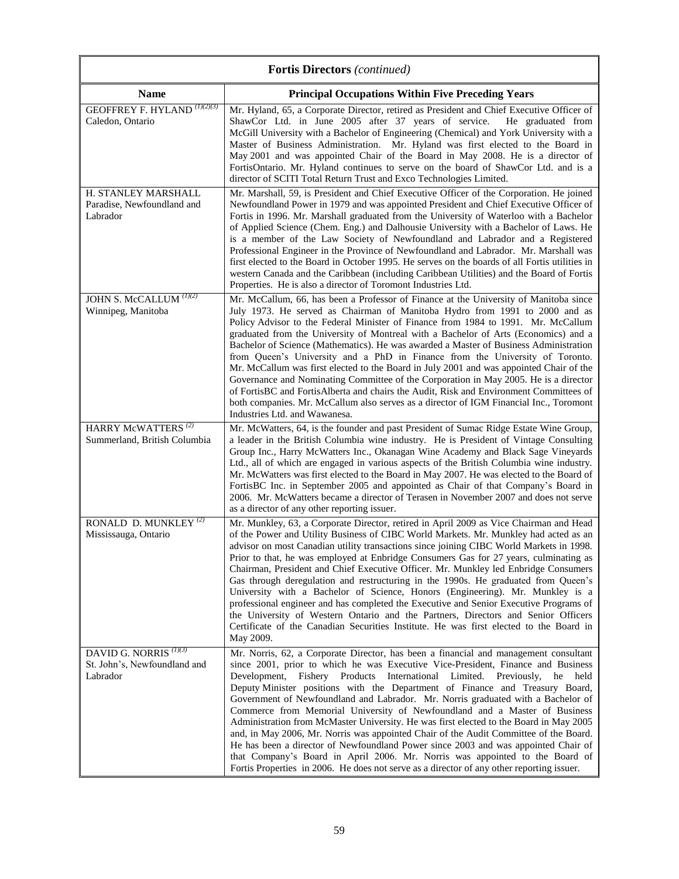| <b>Fortis Directors</b> (continued)                                           |                                                                                                                                                                                                                                                                                                                                                                                                                                                                                                                                                                                                                                                                                                                                                                                                                                                                                                                                                                       |  |  |  |
|-------------------------------------------------------------------------------|-----------------------------------------------------------------------------------------------------------------------------------------------------------------------------------------------------------------------------------------------------------------------------------------------------------------------------------------------------------------------------------------------------------------------------------------------------------------------------------------------------------------------------------------------------------------------------------------------------------------------------------------------------------------------------------------------------------------------------------------------------------------------------------------------------------------------------------------------------------------------------------------------------------------------------------------------------------------------|--|--|--|
| <b>Name</b>                                                                   | <b>Principal Occupations Within Five Preceding Years</b>                                                                                                                                                                                                                                                                                                                                                                                                                                                                                                                                                                                                                                                                                                                                                                                                                                                                                                              |  |  |  |
| <b>GEOFFREY F. HYLAND</b> (1)(2)(3)<br>Caledon, Ontario                       | Mr. Hyland, 65, a Corporate Director, retired as President and Chief Executive Officer of<br>ShawCor Ltd. in June 2005 after 37 years of service. He graduated from<br>McGill University with a Bachelor of Engineering (Chemical) and York University with a<br>Master of Business Administration. Mr. Hyland was first elected to the Board in<br>May 2001 and was appointed Chair of the Board in May 2008. He is a director of<br>FortisOntario. Mr. Hyland continues to serve on the board of ShawCor Ltd. and is a<br>director of SCITI Total Return Trust and Exco Technologies Limited.                                                                                                                                                                                                                                                                                                                                                                       |  |  |  |
| H. STANLEY MARSHALL<br>Paradise, Newfoundland and<br>Labrador                 | Mr. Marshall, 59, is President and Chief Executive Officer of the Corporation. He joined<br>Newfoundland Power in 1979 and was appointed President and Chief Executive Officer of<br>Fortis in 1996. Mr. Marshall graduated from the University of Waterloo with a Bachelor<br>of Applied Science (Chem. Eng.) and Dalhousie University with a Bachelor of Laws. He<br>is a member of the Law Society of Newfoundland and Labrador and a Registered<br>Professional Engineer in the Province of Newfoundland and Labrador. Mr. Marshall was<br>first elected to the Board in October 1995. He serves on the boards of all Fortis utilities in<br>western Canada and the Caribbean (including Caribbean Utilities) and the Board of Fortis<br>Properties. He is also a director of Toromont Industries Ltd.                                                                                                                                                            |  |  |  |
| JOHN S. McCALLUM (1)(2)<br>Winnipeg, Manitoba                                 | Mr. McCallum, 66, has been a Professor of Finance at the University of Manitoba since<br>July 1973. He served as Chairman of Manitoba Hydro from 1991 to 2000 and as<br>Policy Advisor to the Federal Minister of Finance from 1984 to 1991. Mr. McCallum<br>graduated from the University of Montreal with a Bachelor of Arts (Economics) and a<br>Bachelor of Science (Mathematics). He was awarded a Master of Business Administration<br>from Queen's University and a PhD in Finance from the University of Toronto.<br>Mr. McCallum was first elected to the Board in July 2001 and was appointed Chair of the<br>Governance and Nominating Committee of the Corporation in May 2005. He is a director<br>of FortisBC and FortisAlberta and chairs the Audit, Risk and Environment Committees of<br>both companies. Mr. McCallum also serves as a director of IGM Financial Inc., Toromont<br>Industries Ltd. and Wawanesa.                                     |  |  |  |
| HARRY McWATTERS <sup>(2)</sup><br>Summerland, British Columbia                | Mr. McWatters, 64, is the founder and past President of Sumac Ridge Estate Wine Group,<br>a leader in the British Columbia wine industry. He is President of Vintage Consulting<br>Group Inc., Harry McWatters Inc., Okanagan Wine Academy and Black Sage Vineyards<br>Ltd., all of which are engaged in various aspects of the British Columbia wine industry.<br>Mr. McWatters was first elected to the Board in May 2007. He was elected to the Board of<br>FortisBC Inc. in September 2005 and appointed as Chair of that Company's Board in<br>2006. Mr. McWatters became a director of Terasen in November 2007 and does not serve<br>as a director of any other reporting issuer.                                                                                                                                                                                                                                                                              |  |  |  |
| RONALD D. MUNKLEY $^{(2)}$<br>Mississauga, Ontario                            | Mr. Munkley, 63, a Corporate Director, retired in April 2009 as Vice Chairman and Head<br>of the Power and Utility Business of CIBC World Markets. Mr. Munkley had acted as an<br>advisor on most Canadian utility transactions since joining CIBC World Markets in 1998.<br>Prior to that, he was employed at Enbridge Consumers Gas for 27 years, culminating as<br>Chairman, President and Chief Executive Officer. Mr. Munkley led Enbridge Consumers<br>Gas through deregulation and restructuring in the 1990s. He graduated from Queen's<br>University with a Bachelor of Science, Honors (Engineering). Mr. Munkley is a<br>professional engineer and has completed the Executive and Senior Executive Programs of<br>the University of Western Ontario and the Partners, Directors and Senior Officers<br>Certificate of the Canadian Securities Institute. He was first elected to the Board in<br>May 2009.                                                |  |  |  |
| DAVID G. NORRIS <sup>(1)(3)</sup><br>St. John's, Newfoundland and<br>Labrador | Mr. Norris, 62, a Corporate Director, has been a financial and management consultant<br>since 2001, prior to which he was Executive Vice-President, Finance and Business<br>Development,<br>International Limited. Previously, he<br>Fishery Products<br>held<br>Deputy Minister positions with the Department of Finance and Treasury Board,<br>Government of Newfoundland and Labrador. Mr. Norris graduated with a Bachelor of<br>Commerce from Memorial University of Newfoundland and a Master of Business<br>Administration from McMaster University. He was first elected to the Board in May 2005<br>and, in May 2006, Mr. Norris was appointed Chair of the Audit Committee of the Board.<br>He has been a director of Newfoundland Power since 2003 and was appointed Chair of<br>that Company's Board in April 2006. Mr. Norris was appointed to the Board of<br>Fortis Properties in 2006. He does not serve as a director of any other reporting issuer. |  |  |  |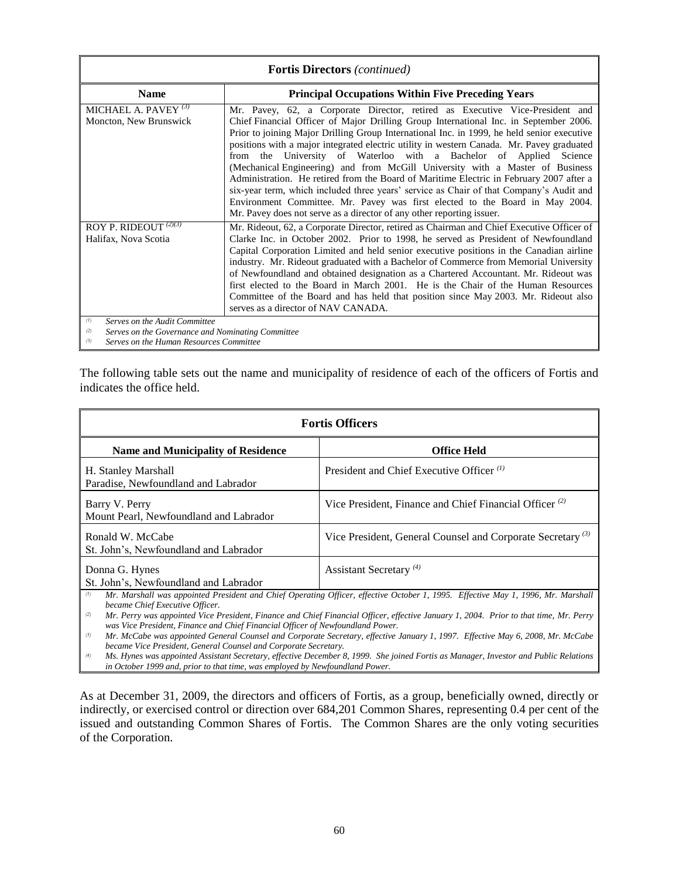| <b>Fortis Directors</b> (continued)                                                                                                                |                                                                                                                                                                                                                                                                                                                                                                                                                                                                                                                                                                                                                                                                                                                                                                                                                                                                           |  |  |
|----------------------------------------------------------------------------------------------------------------------------------------------------|---------------------------------------------------------------------------------------------------------------------------------------------------------------------------------------------------------------------------------------------------------------------------------------------------------------------------------------------------------------------------------------------------------------------------------------------------------------------------------------------------------------------------------------------------------------------------------------------------------------------------------------------------------------------------------------------------------------------------------------------------------------------------------------------------------------------------------------------------------------------------|--|--|
| <b>Name</b>                                                                                                                                        | <b>Principal Occupations Within Five Preceding Years</b>                                                                                                                                                                                                                                                                                                                                                                                                                                                                                                                                                                                                                                                                                                                                                                                                                  |  |  |
| MICHAEL A. PAVEY $^{(3)}$<br>Moncton, New Brunswick                                                                                                | Mr. Pavey, 62, a Corporate Director, retired as Executive Vice-President and<br>Chief Financial Officer of Major Drilling Group International Inc. in September 2006.<br>Prior to joining Major Drilling Group International Inc. in 1999, he held senior executive<br>positions with a major integrated electric utility in western Canada. Mr. Pavey graduated<br>University of Waterloo with a Bachelor of Applied Science<br>from the<br>(Mechanical Engineering) and from McGill University with a Master of Business<br>Administration. He retired from the Board of Maritime Electric in February 2007 after a<br>six-year term, which included three years' service as Chair of that Company's Audit and<br>Environment Committee. Mr. Pavey was first elected to the Board in May 2004.<br>Mr. Pavey does not serve as a director of any other reporting issuer. |  |  |
| ROY P. RIDEOUT <sup>(2)(3)</sup><br>Halifax, Nova Scotia                                                                                           | Mr. Rideout, 62, a Corporate Director, retired as Chairman and Chief Executive Officer of<br>Clarke Inc. in October 2002. Prior to 1998, he served as President of Newfoundland<br>Capital Corporation Limited and held senior executive positions in the Canadian airline<br>industry. Mr. Rideout graduated with a Bachelor of Commerce from Memorial University<br>of Newfoundland and obtained designation as a Chartered Accountant. Mr. Rideout was<br>first elected to the Board in March 2001. He is the Chair of the Human Resources<br>Committee of the Board and has held that position since May 2003. Mr. Rideout also<br>serves as a director of NAV CANADA.                                                                                                                                                                                                |  |  |
| (1)<br>Serves on the Audit Committee<br>Serves on the Governance and Nominating Committee<br>(2)<br>(3)<br>Serves on the Human Resources Committee |                                                                                                                                                                                                                                                                                                                                                                                                                                                                                                                                                                                                                                                                                                                                                                                                                                                                           |  |  |

The following table sets out the name and municipality of residence of each of the officers of Fortis and indicates the office held.

| <b>Fortis Officers</b>                                     |                                                                                                                                                                                                                                                                           |  |  |
|------------------------------------------------------------|---------------------------------------------------------------------------------------------------------------------------------------------------------------------------------------------------------------------------------------------------------------------------|--|--|
| <b>Name and Municipality of Residence</b>                  | <b>Office Held</b>                                                                                                                                                                                                                                                        |  |  |
| H. Stanley Marshall<br>Paradise, Newfoundland and Labrador | President and Chief Executive Officer <sup>(1)</sup>                                                                                                                                                                                                                      |  |  |
| Barry V. Perry<br>Mount Pearl, Newfoundland and Labrador   | Vice President, Finance and Chief Financial Officer <sup>(2)</sup>                                                                                                                                                                                                        |  |  |
| Ronald W. McCabe<br>St. John's, Newfoundland and Labrador  | Vice President, General Counsel and Corporate Secretary <sup>(3)</sup>                                                                                                                                                                                                    |  |  |
| Donna G. Hynes<br>St. John's, Newfoundland and Labrador    | Assistant Secretary <sup>(4)</sup>                                                                                                                                                                                                                                        |  |  |
| (1)<br>became Chief Executive Officer.<br>(2)              | Mr. Marshall was appointed President and Chief Operating Officer, effective October 1, 1995. Effective May 1, 1996, Mr. Marshall<br>Mr. Perry was appointed Vice President. Finance and Chief Financial Officer, effective January 1, 2004. Prior to that time, Mr. Perry |  |  |

*(2) Mr. Perry was appointed Vice President, Finance and Chief Financial Officer, effective January 1, 2004. Prior to that time, Mr. Perry was Vice President, Finance and Chief Financial Officer of Newfoundland Power.*

*(3) Mr. McCabe was appointed General Counsel and Corporate Secretary, effective January 1, 1997. Effective May 6, 2008, Mr. McCabe became Vice President, General Counsel and Corporate Secretary.*

*(4) Ms. Hynes was appointed Assistant Secretary, effective December 8, 1999. She joined Fortis as Manager, Investor and Public Relations in October 1999 and, prior to that time, was employed by Newfoundland Power.*

As at December 31, 2009, the directors and officers of Fortis, as a group, beneficially owned, directly or indirectly, or exercised control or direction over 684,201 Common Shares, representing 0.4 per cent of the issued and outstanding Common Shares of Fortis. The Common Shares are the only voting securities of the Corporation.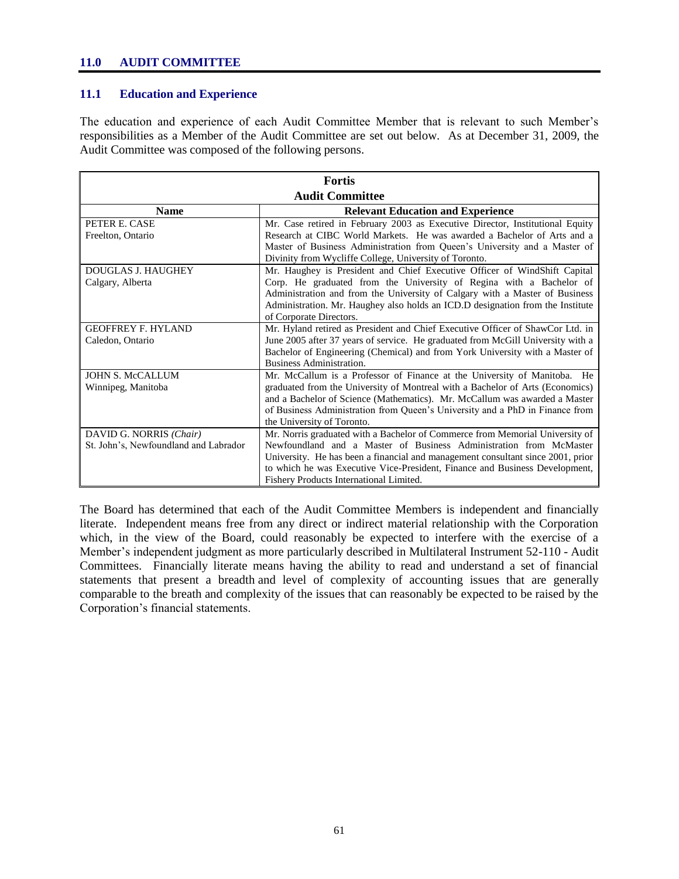#### **11.0 AUDIT COMMITTEE**

#### **11.1 Education and Experience**

The education and experience of each Audit Committee Member that is relevant to such Member"s responsibilities as a Member of the Audit Committee are set out below. As at December 31, 2009, the Audit Committee was composed of the following persons.

| <b>Fortis</b>                         |                                                                                 |  |  |  |
|---------------------------------------|---------------------------------------------------------------------------------|--|--|--|
| <b>Audit Committee</b>                |                                                                                 |  |  |  |
| <b>Name</b>                           | <b>Relevant Education and Experience</b>                                        |  |  |  |
| PETER E. CASE                         | Mr. Case retired in February 2003 as Executive Director, Institutional Equity   |  |  |  |
| Freelton, Ontario                     | Research at CIBC World Markets. He was awarded a Bachelor of Arts and a         |  |  |  |
|                                       | Master of Business Administration from Queen's University and a Master of       |  |  |  |
|                                       | Divinity from Wycliffe College, University of Toronto.                          |  |  |  |
| <b>DOUGLAS J. HAUGHEY</b>             | Mr. Haughey is President and Chief Executive Officer of WindShift Capital       |  |  |  |
| Calgary, Alberta                      | Corp. He graduated from the University of Regina with a Bachelor of             |  |  |  |
|                                       | Administration and from the University of Calgary with a Master of Business     |  |  |  |
|                                       | Administration. Mr. Haughey also holds an ICD.D designation from the Institute  |  |  |  |
|                                       | of Corporate Directors.                                                         |  |  |  |
| <b>GEOFFREY F. HYLAND</b>             | Mr. Hyland retired as President and Chief Executive Officer of ShawCor Ltd. in  |  |  |  |
| Caledon, Ontario                      | June 2005 after 37 years of service. He graduated from McGill University with a |  |  |  |
|                                       | Bachelor of Engineering (Chemical) and from York University with a Master of    |  |  |  |
|                                       | Business Administration.                                                        |  |  |  |
| <b>JOHN S. McCALLUM</b>               | Mr. McCallum is a Professor of Finance at the University of Manitoba. He        |  |  |  |
| Winnipeg, Manitoba                    | graduated from the University of Montreal with a Bachelor of Arts (Economics)   |  |  |  |
|                                       | and a Bachelor of Science (Mathematics). Mr. McCallum was awarded a Master      |  |  |  |
|                                       | of Business Administration from Queen's University and a PhD in Finance from    |  |  |  |
|                                       | the University of Toronto.                                                      |  |  |  |
| DAVID G. NORRIS (Chair)               | Mr. Norris graduated with a Bachelor of Commerce from Memorial University of    |  |  |  |
| St. John's, Newfoundland and Labrador | Newfoundland and a Master of Business Administration from McMaster              |  |  |  |
|                                       | University. He has been a financial and management consultant since 2001, prior |  |  |  |
|                                       | to which he was Executive Vice-President, Finance and Business Development,     |  |  |  |
|                                       | Fishery Products International Limited.                                         |  |  |  |

The Board has determined that each of the Audit Committee Members is independent and financially literate. Independent means free from any direct or indirect material relationship with the Corporation which, in the view of the Board, could reasonably be expected to interfere with the exercise of a Member"s independent judgment as more particularly described in Multilateral Instrument 52-110 - Audit Committees. Financially literate means having the ability to read and understand a set of financial statements that present a breadth and level of complexity of accounting issues that are generally comparable to the breath and complexity of the issues that can reasonably be expected to be raised by the Corporation"s financial statements.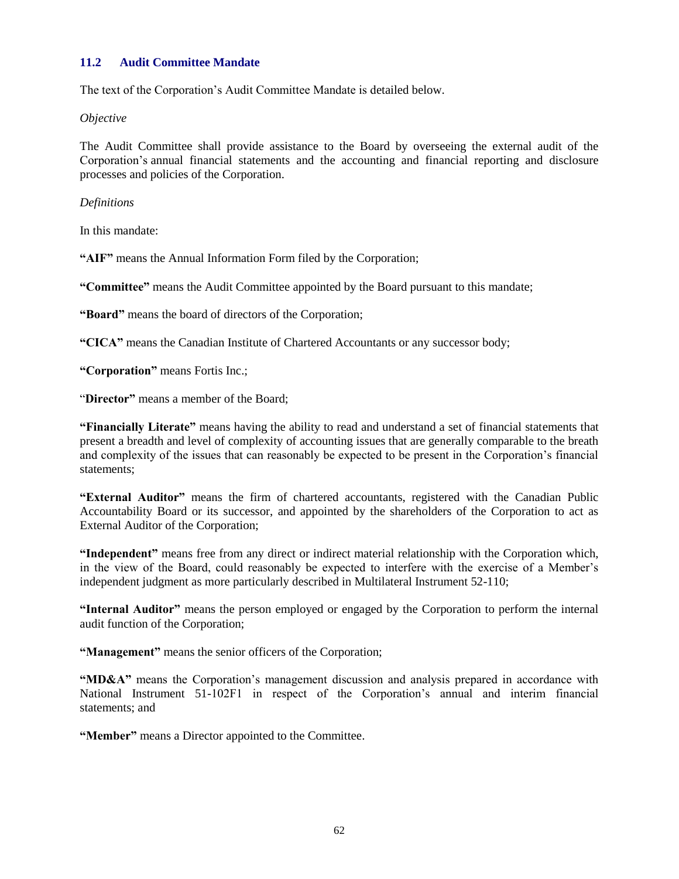## **11.2 Audit Committee Mandate**

The text of the Corporation"s Audit Committee Mandate is detailed below.

*Objective*

The Audit Committee shall provide assistance to the Board by overseeing the external audit of the Corporation"s annual financial statements and the accounting and financial reporting and disclosure processes and policies of the Corporation.

#### *Definitions*

In this mandate:

**"AIF"** means the Annual Information Form filed by the Corporation;

**"Committee"** means the Audit Committee appointed by the Board pursuant to this mandate;

**"Board"** means the board of directors of the Corporation;

**"CICA"** means the Canadian Institute of Chartered Accountants or any successor body;

**"Corporation"** means Fortis Inc.;

"**Director"** means a member of the Board;

**"Financially Literate"** means having the ability to read and understand a set of financial statements that present a breadth and level of complexity of accounting issues that are generally comparable to the breath and complexity of the issues that can reasonably be expected to be present in the Corporation"s financial statements;

**"External Auditor"** means the firm of chartered accountants, registered with the Canadian Public Accountability Board or its successor, and appointed by the shareholders of the Corporation to act as External Auditor of the Corporation;

**"Independent"** means free from any direct or indirect material relationship with the Corporation which, in the view of the Board, could reasonably be expected to interfere with the exercise of a Member"s independent judgment as more particularly described in Multilateral Instrument 52-110;

**"Internal Auditor"** means the person employed or engaged by the Corporation to perform the internal audit function of the Corporation;

**"Management"** means the senior officers of the Corporation;

**"MD&A"** means the Corporation"s management discussion and analysis prepared in accordance with National Instrument 51-102F1 in respect of the Corporation's annual and interim financial statements; and

**"Member"** means a Director appointed to the Committee.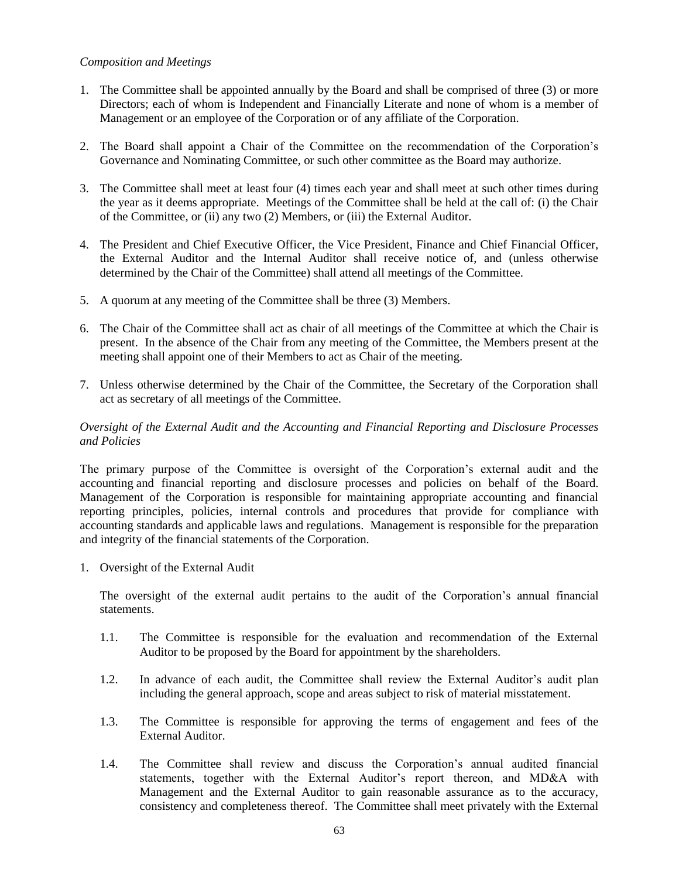#### *Composition and Meetings*

- 1. The Committee shall be appointed annually by the Board and shall be comprised of three (3) or more Directors; each of whom is Independent and Financially Literate and none of whom is a member of Management or an employee of the Corporation or of any affiliate of the Corporation.
- 2. The Board shall appoint a Chair of the Committee on the recommendation of the Corporation"s Governance and Nominating Committee, or such other committee as the Board may authorize.
- 3. The Committee shall meet at least four (4) times each year and shall meet at such other times during the year as it deems appropriate. Meetings of the Committee shall be held at the call of: (i) the Chair of the Committee, or (ii) any two (2) Members, or (iii) the External Auditor.
- 4. The President and Chief Executive Officer, the Vice President, Finance and Chief Financial Officer, the External Auditor and the Internal Auditor shall receive notice of, and (unless otherwise determined by the Chair of the Committee) shall attend all meetings of the Committee.
- 5. A quorum at any meeting of the Committee shall be three (3) Members.
- 6. The Chair of the Committee shall act as chair of all meetings of the Committee at which the Chair is present. In the absence of the Chair from any meeting of the Committee, the Members present at the meeting shall appoint one of their Members to act as Chair of the meeting.
- 7. Unless otherwise determined by the Chair of the Committee, the Secretary of the Corporation shall act as secretary of all meetings of the Committee.

## *Oversight of the External Audit and the Accounting and Financial Reporting and Disclosure Processes and Policies*

The primary purpose of the Committee is oversight of the Corporation"s external audit and the accounting and financial reporting and disclosure processes and policies on behalf of the Board. Management of the Corporation is responsible for maintaining appropriate accounting and financial reporting principles, policies, internal controls and procedures that provide for compliance with accounting standards and applicable laws and regulations. Management is responsible for the preparation and integrity of the financial statements of the Corporation.

1. Oversight of the External Audit

The oversight of the external audit pertains to the audit of the Corporation"s annual financial statements.

- 1.1. The Committee is responsible for the evaluation and recommendation of the External Auditor to be proposed by the Board for appointment by the shareholders.
- 1.2. In advance of each audit, the Committee shall review the External Auditor"s audit plan including the general approach, scope and areas subject to risk of material misstatement.
- 1.3. The Committee is responsible for approving the terms of engagement and fees of the External Auditor.
- 1.4. The Committee shall review and discuss the Corporation"s annual audited financial statements, together with the External Auditor's report thereon, and MD&A with Management and the External Auditor to gain reasonable assurance as to the accuracy, consistency and completeness thereof. The Committee shall meet privately with the External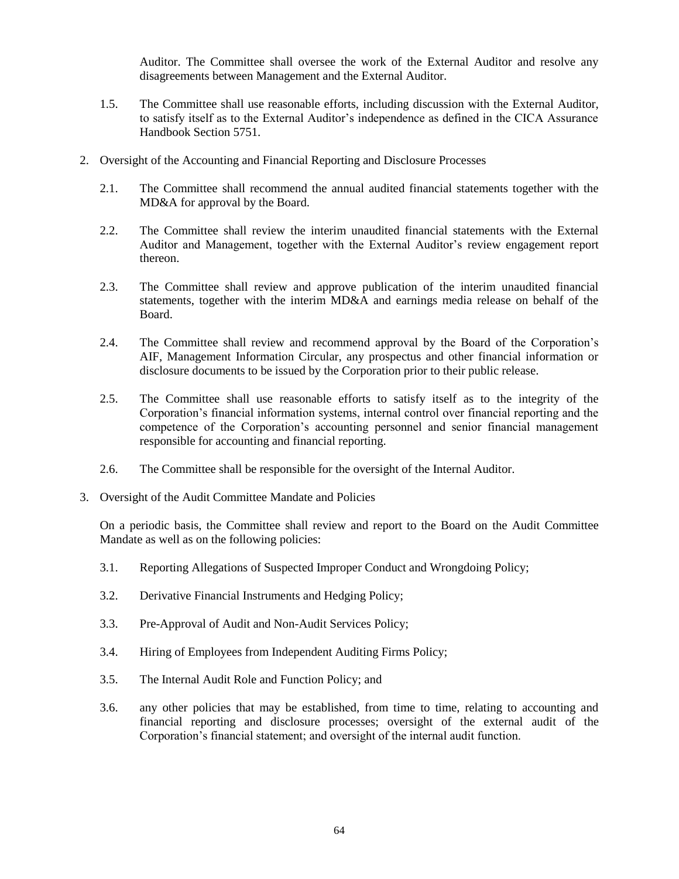Auditor. The Committee shall oversee the work of the External Auditor and resolve any disagreements between Management and the External Auditor.

- 1.5. The Committee shall use reasonable efforts, including discussion with the External Auditor, to satisfy itself as to the External Auditor"s independence as defined in the CICA Assurance Handbook Section 5751.
- 2. Oversight of the Accounting and Financial Reporting and Disclosure Processes
	- 2.1. The Committee shall recommend the annual audited financial statements together with the MD&A for approval by the Board.
	- 2.2. The Committee shall review the interim unaudited financial statements with the External Auditor and Management, together with the External Auditor"s review engagement report thereon.
	- 2.3. The Committee shall review and approve publication of the interim unaudited financial statements, together with the interim MD&A and earnings media release on behalf of the Board.
	- 2.4. The Committee shall review and recommend approval by the Board of the Corporation"s AIF, Management Information Circular, any prospectus and other financial information or disclosure documents to be issued by the Corporation prior to their public release.
	- 2.5. The Committee shall use reasonable efforts to satisfy itself as to the integrity of the Corporation"s financial information systems, internal control over financial reporting and the competence of the Corporation"s accounting personnel and senior financial management responsible for accounting and financial reporting.
	- 2.6. The Committee shall be responsible for the oversight of the Internal Auditor.
- 3. Oversight of the Audit Committee Mandate and Policies

On a periodic basis, the Committee shall review and report to the Board on the Audit Committee Mandate as well as on the following policies:

- 3.1. Reporting Allegations of Suspected Improper Conduct and Wrongdoing Policy;
- 3.2. Derivative Financial Instruments and Hedging Policy;
- 3.3. Pre-Approval of Audit and Non-Audit Services Policy;
- 3.4. Hiring of Employees from Independent Auditing Firms Policy;
- 3.5. The Internal Audit Role and Function Policy; and
- 3.6. any other policies that may be established, from time to time, relating to accounting and financial reporting and disclosure processes; oversight of the external audit of the Corporation"s financial statement; and oversight of the internal audit function.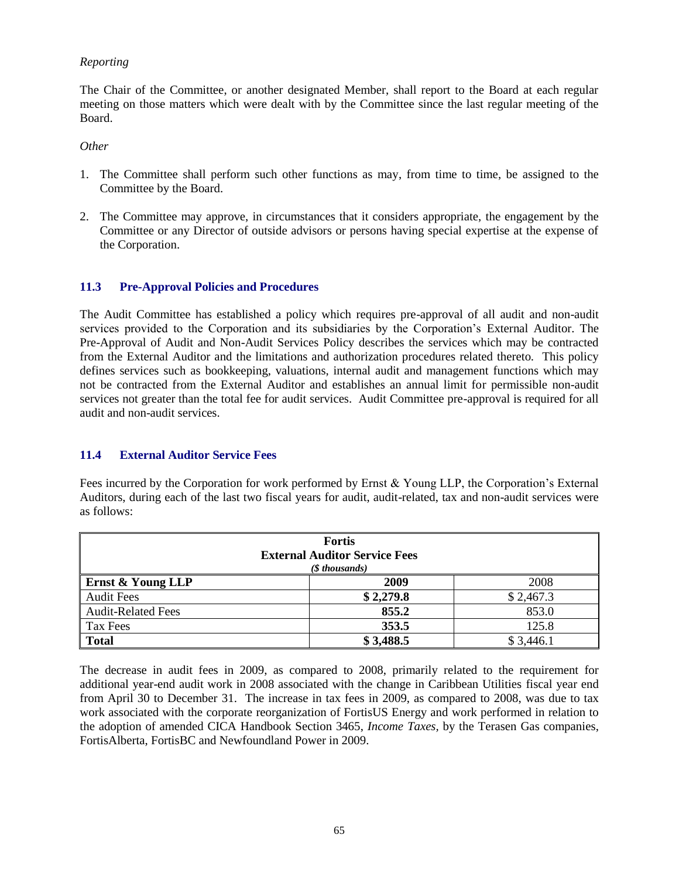## *Reporting*

The Chair of the Committee, or another designated Member, shall report to the Board at each regular meeting on those matters which were dealt with by the Committee since the last regular meeting of the Board.

#### *Other*

- 1. The Committee shall perform such other functions as may, from time to time, be assigned to the Committee by the Board.
- 2. The Committee may approve, in circumstances that it considers appropriate, the engagement by the Committee or any Director of outside advisors or persons having special expertise at the expense of the Corporation.

## **11.3 Pre-Approval Policies and Procedures**

The Audit Committee has established a policy which requires pre-approval of all audit and non-audit services provided to the Corporation and its subsidiaries by the Corporation"s External Auditor. The Pre-Approval of Audit and Non-Audit Services Policy describes the services which may be contracted from the External Auditor and the limitations and authorization procedures related thereto. This policy defines services such as bookkeeping, valuations, internal audit and management functions which may not be contracted from the External Auditor and establishes an annual limit for permissible non-audit services not greater than the total fee for audit services. Audit Committee pre-approval is required for all audit and non-audit services.

#### **11.4 External Auditor Service Fees**

Fees incurred by the Corporation for work performed by Ernst & Young LLP, the Corporation's External Auditors, during each of the last two fiscal years for audit, audit-related, tax and non-audit services were as follows:

| <b>Fortis</b><br><b>External Auditor Service Fees</b><br>$(S$ thousands) |           |           |  |  |
|--------------------------------------------------------------------------|-----------|-----------|--|--|
| Ernst & Young LLP                                                        | 2009      | 2008      |  |  |
| <b>Audit Fees</b>                                                        | \$2,279.8 | \$2,467.3 |  |  |
| <b>Audit-Related Fees</b>                                                | 855.2     | 853.0     |  |  |
| Tax Fees                                                                 | 353.5     | 125.8     |  |  |
| <b>Total</b>                                                             | \$3,488.5 | \$3,446.1 |  |  |

The decrease in audit fees in 2009, as compared to 2008, primarily related to the requirement for additional year-end audit work in 2008 associated with the change in Caribbean Utilities fiscal year end from April 30 to December 31. The increase in tax fees in 2009, as compared to 2008, was due to tax work associated with the corporate reorganization of FortisUS Energy and work performed in relation to the adoption of amended CICA Handbook Section 3465, *Income Taxes,* by the Terasen Gas companies, FortisAlberta, FortisBC and Newfoundland Power in 2009.